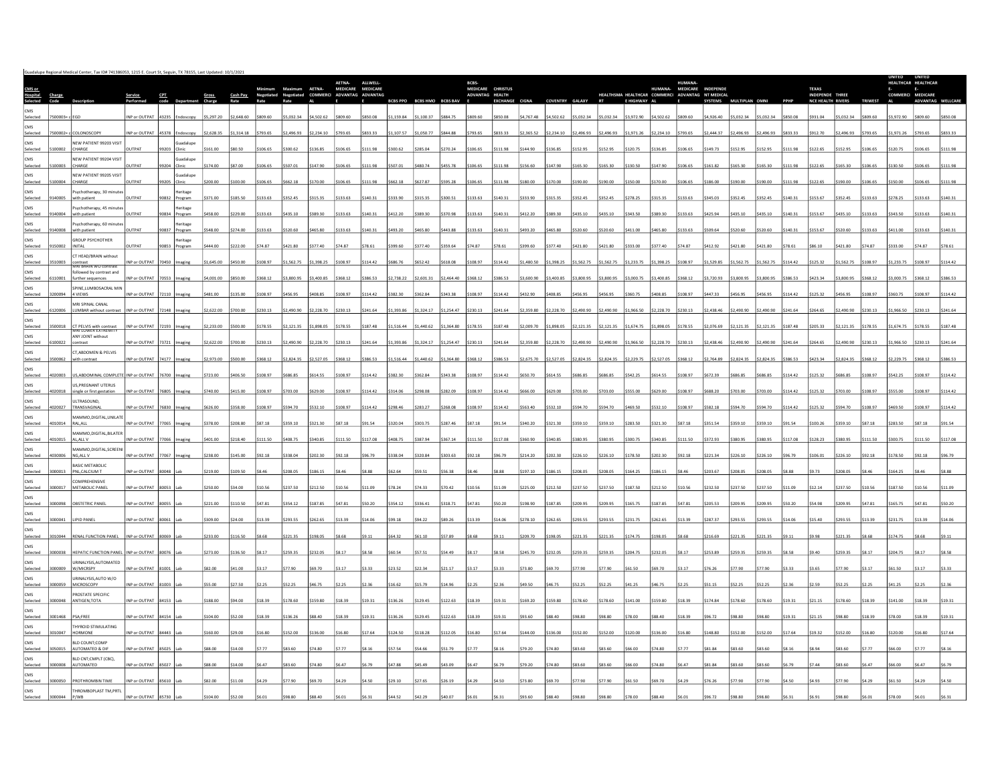|                                        |         |                                                            |                     |       |                                  |            |            |          | mum Maximum AETNA- |                                         | MEDICARE MEDICARE | ALLWELL         |                 |                          |            | BCBS-<br>MEDICARE CHRISTUS |                 |            |               |               |            |              |            | HUMANA- MEDICARE INDEPENDE                       |                |                  |          |        | <b>TEXAS</b>                                |            |                | $\mathsf{E}$      | HEALTHCAR HEALTHCAR<br>E. |        |
|----------------------------------------|---------|------------------------------------------------------------|---------------------|-------|----------------------------------|------------|------------|----------|--------------------|-----------------------------------------|-------------------|-----------------|-----------------|--------------------------|------------|----------------------------|-----------------|------------|---------------|---------------|------------|--------------|------------|--------------------------------------------------|----------------|------------------|----------|--------|---------------------------------------------|------------|----------------|-------------------|---------------------------|--------|
| <b>CMS or<br/>Hospital</b><br>Selected |         |                                                            |                     |       |                                  |            | Cash Pav   |          |                    | Negotiated Negotiated COMMERCI ADVANTAG |                   | <b>ADVANTAG</b> | <b>BCBS PPO</b> | <b>RCRS HMO RCRS RAV</b> |            | ADVANTAG HEALTH            | <b>FXCHANGE</b> |            | COVENTRY      | <b>GALAXY</b> |            | E HIGHWAY AL |            | HEALTHSMA HEALTHCAR COMMERCI ADVANTAG NT MEDICAL | <b>SYSTEMS</b> | <b>MULTIPLAN</b> |          |        | INDEPENDE THREE<br><b>NCF HEALTH RIVERS</b> |            | <b>TRIWEST</b> | COMMERCI MEDICARE | <b>ADVANTAG</b>           |        |
| Selecte                                |         |                                                            | INP or OUTPAT       | 43235 | ndoscopy                         | \$5,297.20 | \$2,648.60 | 809.60   | 5.032.34           | \$4,502.62                              | 809.60            | \$850.08        | 1.159.84        | 1.100.37                 | 8847       | na eng:                    | SR50.08         | \$4,767.48 | \$4,502.62    | 5.032.34      | \$5.032.34 | \$3,972.90   | 4.502.62   | \$809.60                                         | \$4,926.40     | 5.032.34         | 5.032.34 |        | \$931.04                                    | \$5.032.34 | 809 61         | 3.972.90          |                           |        |
| CMS<br>Selecte                         |         | OLONOSCOP                                                  | NP or OUTPAT        |       |                                  | 2,628.35   | \$1,314.18 | 793.65   | 2.496.93           | 2.234.10                                | 793.65            | \$833.33        |                 |                          |            |                            | 833.33          | \$2,365.52 | \$2,234.10    | .496.93       | 2.496.93   | \$1.971.26   |            | 5793.6                                           |                |                  |          |        |                                             | 496.93     |                |                   |                           |        |
| CMS<br>Selecte                         |         | NEW PATIENT 99203 VISIT<br>CHARGE                          | <b>ITPAT</b>        |       | iuadalupe<br><b>linic</b>        |            |            | 06.6     | 300.62             |                                         | 106.6             | 111.98          |                 |                          |            |                            |                 | 144.90     |               |               | 52.95      | 120.75       | 136.85     | 3.301                                            |                |                  |          |        |                                             |            |                |                   |                           |        |
| CMS                                    |         | NEW PATIENT 99204 VISIT                                    |                     |       | suadalupe                        |            |            |          |                    |                                         |                   |                 |                 |                          |            |                            |                 |            |               |               |            |              |            |                                                  |                |                  |          |        |                                             |            |                |                   |                           |        |
| Selected<br>CMS                        |         | CHARGE<br>NEW PATIENT 99205 VISIT                          | <b>UTPAT</b>        | 9204  | Clinic<br>suadalupe              | 174.00     | 187.00     | 106.65   | 507.01             | 147.90                                  | 106.65            | \$111.98        |                 | 1807                     |            |                            | 111.98          | \$156.60   | \$147.90      | 165.30        | \$165.30   | \$130.50     | \$147.90   | \$106.65                                         |                |                  |          |        | 122.65                                      | 165.30     | 106.65         | 130.50            | 106.65                    |        |
| Selected<br>CMS                        |         | CHARGE<br>sychotherapy, 30 minut                           | UTPAT               |       | 205 Clinic<br>leritage           |            |            | 106.65   | 662.18             | 170.00                                  | 106.65            | \$111.98        |                 |                          |            |                            | 111.98          | \$180.00   | 170.00        | 190.00        | \$190.00   | \$150.00     | \$170.00   | \$106.65                                         |                |                  |          |        | 22.65                                       | 190.00     | 06.6           |                   | 106.65                    |        |
| Selected<br>CMS                        |         | with patient<br>Psychotherapy, 45 minute                   | <b>JTPAT</b>        |       | 90832 Program<br>Heritage        |            | 185.50     | 133.63   | 352.45             | 315.35                                  | 133.63            | 140.31          |                 |                          |            |                            | 140.31          | \$333.90   | 315.35        | \$352.45      | 352.45     | \$278.25     | \$315.35   | \$133.63                                         |                |                  |          |        |                                             | 52.45      | 133.63         | 278.2             | 133.63                    |        |
| Selected<br><b>CMS</b>                 | 140004  | with patient<br>Psychotherapy, 60 minute                   | <b>IITPAT</b>       |       | 90834 Program<br><b>Heritage</b> | 458.00     | 1229.00    | 133.63   | 435.10             | 389.30                                  | \$133.63          | 14031           |                 |                          |            | 133.63                     | 140.31          | \$412.20   | \$389.30      | \$435.10      | 435.10     | 343.50       | 389.30     | \$133.63                                         |                |                  |          |        | 153.67                                      | 435.10     | 133.63         | 343.50            | 133.63                    |        |
| Selected<br>CMS                        |         | with patient<br><b>GROUP PSYCHOTHER</b>                    | UTPAT               |       | 90837 Program<br>leritage        |            |            | 133.63   | 520.60             | \$465.80                                | \$133.63          | \$140.3         |                 |                          |            |                            | 140.31          | \$493.20   | \$465.8       | 520.60        | \$520.60   | \$411.00     | \$465.80   | \$133.63                                         |                |                  |          |        | 153.67                                      | 520.60     |                |                   |                           |        |
| Selected                               |         | INITAL                                                     |                     | 90853 | rogram                           | 144.00     | 222.00     | 74.87    | \$421.80           | 377.40                                  | 574.87            | 78.61           |                 |                          |            |                            | 78.61           | 399.60     | 377.40        | \$421.80      | \$421.80   | 333.00       | \$377.40   | 574.87                                           |                |                  |          |        |                                             | \$421.80   |                |                   |                           |        |
| CMS<br>Selected                        | 10003   | CT HEAD/BRAIN without<br>contrast<br>MKI BKAIN WO contrast | NP or OUTPAT        | 70450 |                                  | 645.00     | 450.00     | 108.97   | 1,562.75           | 1,398.25                                | \$108.97          | 114.42          |                 |                          |            |                            | 114.42          | \$1,480.50 | \$1,398.25    | 1,562.75      | \$1,562.75 | 1,233.75     | \$1,398.25 | \$108.97                                         | 529.8          |                  |          |        | 125.32                                      | 1,562.75   | 108.97         |                   |                           |        |
| CMS<br>Selected                        |         | followed by contrast and<br>further sequences              | INP or OUTPAT       |       |                                  | 4,001.00   | \$850.00   | \$368.12 | \$3,800.95         | \$3,400.85                              | \$368.12          | \$386.53        | \$2,738.22      | \$2,601.31               | \$2,464.40 | \$368.12                   | \$386.53        | \$3,600.90 | \$3,400.85    | \$3,800.95    | \$3,800.95 | \$3,000.75   | \$3,400.85 | \$368.12                                         | \$3,720.93     | 3.800.95         | 3.800.95 | 386.53 | \$423.34                                    | \$3,800.95 | \$368.12       | \$3,000.75        | 368.12                    |        |
| CMS<br>Selected                        |         | SPINE, LUMBOSACRAL MIN<br>4 VIEWS                          | INP or OUTPAT       |       |                                  | \$481.00   | \$135.00   | \$108.97 | \$456.95           | \$408.85                                | \$108.97          | \$114.42        | \$382.30        | 362.84                   | 343 38     | 108.97                     | \$114.42        | \$432.90   | \$408.85      | \$456.95      | \$456.95   | \$360.75     | \$408.85   | \$108.97                                         | \$447.33       | 456.95           |          | 14.42  | \$125.32                                    | \$456.95   | \$108.97       | \$360.75          | 108.97                    |        |
| CMS<br>Selected                        |         | MRI SPINAL CANAL<br><b>LUMBAR</b> without contras          | NP or OUTPAT        |       |                                  | 2,622.00   | \$700.00   | 230.13   | 2,490.90           | \$2,228.70                              | \$230.13          | \$241.64        | 1.393.86        | 1,324.17                 | 1.254.47   | \$230.13                   | \$241.64        | \$2,359.80 | \$2,228.70    | 2,490.90      | \$2,490.90 | \$1,966.50   | \$2,228.70 | \$230.13                                         | 2.438.46       |                  |          |        | 264.65                                      | 2,490.90   | \$230.13       | 1,966.50          | 230.13                    |        |
| CMS<br>Selected                        |         | CT PELVIS with contrast                                    | INP or OUTPAT       |       |                                  | \$2,233.00 | 5500.01    | 178.55   | \$2,121.35         | 1.898.05                                | 178.55            | \$187.48        |                 |                          |            |                            | 187.48          | \$2,009.70 | \$1,898.05    | \$2,121.35    | \$2,121.35 | \$1,674.75   | 1.898.0    | \$178.55                                         |                |                  |          |        |                                             | \$2,121.35 | 178.5          | 1.674.75          | 178.55                    |        |
| CMS<br>Selected                        |         | ANY JOINT without<br>ntrast                                | NP or OUTPA'        |       |                                  | 622.00     |            | 230.13   | 2,490.90           | 2,228.70                                | 230.13            | 241.64          |                 |                          |            |                            | 241.64          | 1,359.80   | 2,228.70      | 2,490.90      | 2,490.90   | 1,966.50     |            |                                                  |                |                  |          |        |                                             | ,490.90    |                |                   |                           |        |
| CMS<br>Selected                        |         | CT.ABDOMEN & PELVIS<br>with contrast                       | P or OUTPAT         |       |                                  | .973.00    | inn nn     | 368 12   | 2.824.35           | 2527.05                                 | 368 12            | 386.53          |                 |                          |            |                            | 386.53          | 12 675 70  | 527.05        | 2.824.35      | 282435     | 12 229 75    | 527.0      | 368.12                                           |                |                  |          |        |                                             | 82435      |                | 229.7             | 68 12                     |        |
| CMS<br>Selected                        |         | US.ABDOMINAL COMPLETE INP or OUTPAT                        |                     |       |                                  | 723.00     | \$406.50   | 108.97   | 686.85             | 614.55                                  | \$108.97          | \$114.42        | 382.30          | 362.84                   | 1343.35    | <b>INR 97</b>              | 114.42          | \$650.70   | 614.55        | \$686.85      | \$686.85   | \$542.25     | \$614.55   | \$108.97                                         |                |                  |          | 447    | 125.32                                      | 686.85     | 108.97         | \$542.25          | 108.97                    | 114.47 |
| CMS<br>Selecte                         |         | US, PREGNANT UTERUS<br>single or first gestation           | NP or OUTPA'        |       |                                  |            | 415.00     | 108.97   | 703.00             | 629.00                                  | 108.97            | \$114.42        |                 |                          |            |                            | 114.42          | 666.00     | 629.00        | 703.00        | \$703.00   | 555.00       | 629.00     | 108.97                                           |                |                  |          |        |                                             | 703.00     | 08.9           |                   | 108.97                    |        |
| CMS                                    |         | ULTRASOUND,                                                |                     |       |                                  |            |            |          |                    |                                         |                   |                 |                 |                          |            |                            |                 |            |               |               |            |              |            |                                                  |                |                  |          |        |                                             |            |                |                   |                           |        |
| Selected<br>CMS                        |         | TRANSVAGINA<br>MAMMO.DIGITAL.UNILATE                       | <b>IP or OUTPAT</b> |       |                                  |            |            | 108.97   | 594.70             | 532.10                                  | 108.97            | 114.42          |                 |                          |            |                            | 114.42          | 563.40     | 532.10        | 594.70        | 594.70     | 469.50       | 532.10     | \$108.97                                         |                |                  |          |        |                                             |            |                |                   |                           |        |
| Selected<br>CMS                        | 4010014 | RAL, ALL<br>MAMMO,DIGITAL,BILATER                          | INP or OUTPAT       |       |                                  | 378.00     | 208.80     | 87.18    | 359.10             | 321.30                                  | \$87.18           | \$91.54         |                 | 303.7                    |            |                            |                 | \$340.20   | \$321.30      | \$359.10      | \$359.10   | \$283.50     | \$321.30   | \$87.18                                          |                |                  |          |        | 100.26                                      | 3359.10    |                | \$283.50          | 87.1                      |        |
| Selected<br>CMS                        |         | AL, ALL V<br>MAMMO,DIGITAL,SCREENI                         | INP or OUTPAT       |       |                                  |            | 218.4      | 111.50   | 408.75             | 340.85                                  | 111.50            | \$117.08        |                 |                          |            |                            | 117.08          | 360.90     | 340.85        | 380.95        | 380.95     | \$300.75     | \$340.85   | \$111.50                                         |                |                  |          |        | 128.23                                      | 380.95     |                |                   |                           |        |
| Selected<br><b>CMS</b>                 |         | NG, ALL V<br>RASIC METAROLIC                               | NP or OUTPAT        |       |                                  |            |            | 92.18    | 338.04             | 202.30                                  |                   |                 |                 |                          |            |                            |                 | \$214.20   | 202.30        | 226.10        | \$226.10   | \$178.50     | \$202.30   |                                                  |                |                  |          |        |                                             |            |                |                   |                           |        |
| Selected<br>CMS                        | 000013  | PNL, CALCIUM T<br>COMPREHENSIVE                            | INP or OUTPAT       | 80048 |                                  | \$219.00   | \$109.50   | 8.46     | \$208.05           | \$186.15                                | \$8.46            | \$8.88          | \$62.64         | \$59.51                  | \$56.38    |                            | \$8.88          | \$197.10   | \$186.15      | \$208.05      | \$208.05   | \$164.25     | \$186.15   | \$8.46                                           | \$203.67       | 208.05           | 208.05   |        |                                             | \$208.05   | 8.46           | \$164.25          |                           |        |
| Selected<br>CMS                        |         | METABOLIC PANE                                             | NP or OUTPAT        |       |                                  | 250.00     | \$34.00    | 10.56    | \$237.50           | \$212.50                                | \$10.56           | \$11.09         | \$78.24         | 74.33                    | 570.42     |                            | \$11.09         | \$225.00   | \$212.50      | \$237.50      | \$237.50   | \$187.50     | \$212.50   | \$10.56                                          | \$232.50       | \$237.50         |          |        | \$12.14                                     | \$237.50   | 10.56          | 187.50            |                           |        |
| Selected<br><b>CMS</b>                 |         | OBSTETRIC PANEL                                            | NP or OUTPAT        |       |                                  | 221.00     | \$110.50   | 47.81    | 354.12             | \$187.85                                | \$47.81           | \$50.20         | \$354.12        | 336.4                    | 318.7      |                            | 50.20           | \$198.90   | \$187.85      | 209.95        | 209.95     | \$165.75     | \$187.85   | \$47.81                                          | \$205.5        |                  |          |        |                                             |            |                |                   |                           |        |
| Selected                               | nnnna   | <b>IPID PANE</b>                                           | NP or OUTPAT        | 8006  |                                  | 309.00     | \$24.00    | 13.39    | 293.55             | \$262.65                                | \$13.39           | \$14.06         | \$99.18         | 94.22                    |            |                            | 14.06           | \$278.10   | \$262.65      | \$293.55      | \$293.55   | \$231.75     | \$262.65   | \$13.39                                          | \$287.37       | 293.5            |          |        |                                             | 293.55     |                |                   |                           |        |
| CMS<br>Selected                        |         | RENAL FUNCTION PANEL                                       | INP or OUTPA'       |       |                                  | 233.00     | \$116.50   |          | 221.35             | 198.05                                  | 8.68              | S9.11           | \$64.32         | 61.10                    |            |                            |                 | \$209.70   | 198.0         | 221.35        | \$221.35   | \$174.75     | \$198.05   | \$8.68                                           |                |                  |          |        |                                             |            |                |                   |                           |        |
| CMS<br>Selected                        |         | EPATIC FUNCTION PANEL                                      | INP or OUTPAT       |       |                                  |            |            |          |                    |                                         |                   | 1858            |                 |                          |            |                            |                 |            |               |               | 150 35     | 204.75       | \$232.05   | \$8.17                                           |                |                  |          |        |                                             |            |                |                   |                           |        |
| CMS<br>Selected                        | nnnns   | <b>JRINALYSIS.AUTOMATED</b><br>W/MICRSPY                   | INP or OUTPAT       |       |                                  |            |            |          | 77.90              | 69.70                                   | 3.17              | \$3.33          | \$23.52         | 22.34                    | 321.17     |                            |                 | \$73.80    |               | 77.90         | 577.90     | \$61.50      | \$69.70    | \$3.17                                           |                |                  |          |        |                                             |            |                |                   |                           |        |
| CMS<br>Selected                        |         | RINALYSIS, AUTO W/O<br>MICROSCOPY                          | INP or OUTPAT       |       |                                  |            |            |          | \$52.25            |                                         | 2.25              | \$2.36          | \$16.62         |                          |            |                            |                 | \$49.50    |               | \$52.25       | \$52.25    | \$41.25      | \$46.75    | \$2.25                                           |                |                  |          |        |                                             |            |                |                   |                           |        |
| CMS<br>Selected                        |         | ROSTATE SPECIFIC<br>ANTIGEN, TOTA                          | <b>IP or OUTPAT</b> |       |                                  |            |            |          | 178.60             | 159.80                                  | 18.39             | \$19.31         |                 |                          |            |                            |                 | 169.20     | 159.8         | 178.60        | \$178.60   | \$141.00     | \$159.80   | \$18.39                                          |                |                  |          |        |                                             |            |                |                   |                           |        |
| CMS<br>Selected                        | 3001468 | PSA;FREE                                                   | NP or OUTPAT        |       |                                  | 104.00     |            | 1839     | 136.26             | \$88.40                                 | \$18.39           | \$19.31         |                 | 129.4                    |            |                            | 1931            | \$93.60    | <b>SRR 40</b> | \$98.80       | \$98.80    | \$78.00      | \$88.40    | \$18.39                                          |                |                  |          |        |                                             |            |                |                   |                           |        |
| <b>CMS</b><br>Selected                 |         | THYROID STIMULATING<br><b>IORMONE</b>                      | NP or OUTPAT        |       |                                  | 160.00     |            |          | 152.00             | \$136.00                                | \$16.80           | \$17.64         |                 |                          |            |                            | 17.64           | \$144.00   | 136.0         | 152.00        | \$152.00   | \$120.00     | \$136.00   | \$16.80                                          |                |                  |          |        |                                             |            |                |                   |                           |        |
| CMS                                    |         | <b>BLD COUNT;COMP</b>                                      |                     |       |                                  |            |            |          |                    |                                         |                   |                 |                 |                          |            |                            |                 |            |               |               |            |              |            |                                                  |                |                  |          |        |                                             |            |                |                   |                           |        |
| Selected<br>CMS                        |         | AUTOMATED & DIF<br>BLD CNT;CMPLT (CBC),                    | NP or OUTPAT        |       |                                  |            |            |          | \$83.60            | \$74.80                                 | 7.77              | \$8.16          |                 | 54.66                    | \$51.79    |                            | 3.16            | \$79.20    | 74.80         | \$83.60       | \$83.60    | \$66.00      | \$74.80    |                                                  |                | 83.60            |          |        |                                             |            |                |                   |                           |        |
| Selected<br>CMS                        |         | AUTOMATED                                                  | NP or OUTPAT        |       |                                  | 88.00      | 14.00      |          | \$83.60            | \$74.80                                 | 647               |                 | 47.88           | 45.49                    | \$43.09    |                            | 6.79            | \$79.20    | \$74.80       | \$83.60       | \$83.60    | 66.00        | \$74.80    | \$6.47                                           | \$81.84        | 83.60            |          |        |                                             |            |                |                   |                           |        |
| Selected<br>CMS                        | 000050  | PROTHROMBIN TIME<br>HROMBOPLAST TM, PRTL                   | NP or OUTPAT        | 85610 |                                  | \$82.00    | \$11.00    | 4.29     | \$77.90            | 69.70                                   | \$4.29            | \$4.50          | \$29.10         | \$27.65                  | \$26.19    | \$4.29                     | \$4.50          | \$73.80    | \$69.70       | \$77.90       | \$77.90    | \$61.50      | \$69.70    | \$4.29                                           | \$76.26        | \$77.90          | \$77.90  |        |                                             | \$77.90    |                |                   |                           |        |
| Selected                               |         | P/WB                                                       |                     |       |                                  |            |            |          |                    |                                         |                   |                 |                 |                          |            |                            |                 |            |               |               |            |              |            |                                                  |                |                  |          |        |                                             |            |                |                   |                           |        |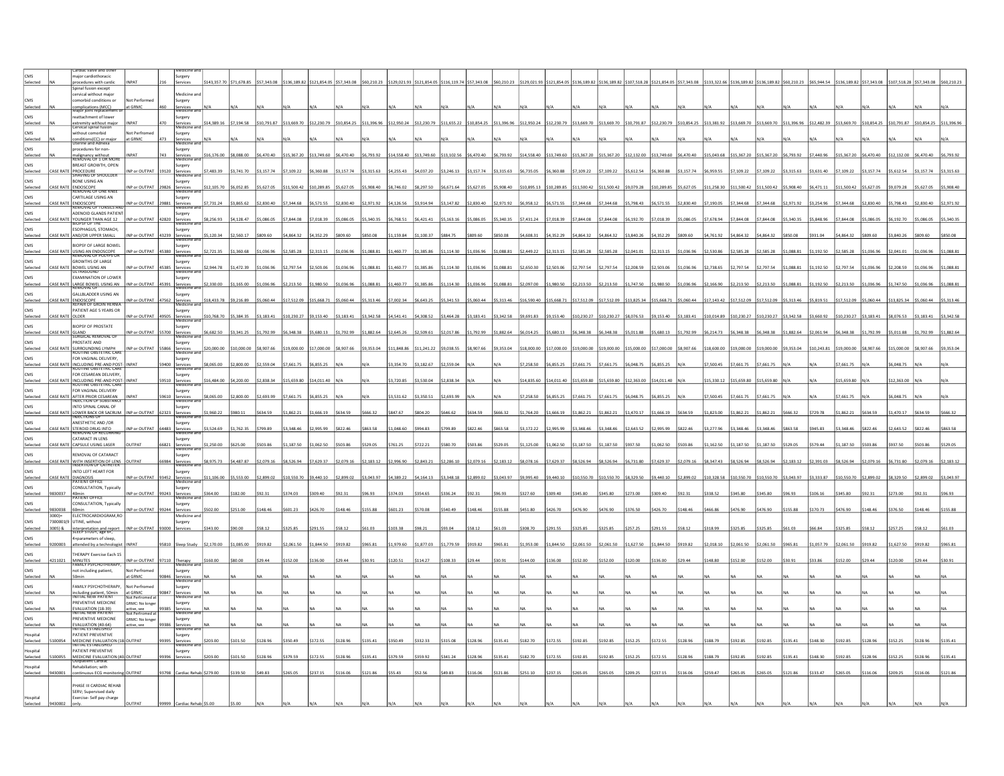| <b>CMS</b>             |                 | ardiac valve and<br>naior cardiothoracic                                    |                                   | Surgery                             |                        |                        |             |                                       |                        |             |                               |             |                           |              |             |                                                           |                                        |                         |             |                         |                         |                                       |             |                         |                        |              |             |             |                                           |                         |              |             |            |
|------------------------|-----------------|-----------------------------------------------------------------------------|-----------------------------------|-------------------------------------|------------------------|------------------------|-------------|---------------------------------------|------------------------|-------------|-------------------------------|-------------|---------------------------|--------------|-------------|-----------------------------------------------------------|----------------------------------------|-------------------------|-------------|-------------------------|-------------------------|---------------------------------------|-------------|-------------------------|------------------------|--------------|-------------|-------------|-------------------------------------------|-------------------------|--------------|-------------|------------|
| Selected               |                 | procedures with cardio                                                      | <b>NPAT</b>                       | services                            |                        | 143,357.70 \$71,678.85 | \$57,343.08 | \$136,189.82 \$121,854.05 \$57,343.08 |                        |             | \$60,210.23                   |             | \$129.021.93 \$121.854.05 | \$116,119.74 | \$57,343.08 | \$60,210.23                                               | \$129,021.93 \$121,854.05 \$136,189.82 |                         |             | \$136,189.82            |                         | \$107,518.28 \$121,854.05 \$57,343.08 |             |                         | 133.322.66 5136.189.82 | \$136,189.82 | \$60,210.23 | \$65,944.54 | \$136,189.82                              | \$57.343.08             | \$107.518.28 | \$57,343.08 |            |
|                        |                 | Spinal fusion except<br>ervical without major                               |                                   | Medicine ar                         |                        |                        |             |                                       |                        |             |                               |             |                           |              |             |                                                           |                                        |                         |             |                         |                         |                                       |             |                         |                        |              |             |             |                                           |                         |              |             |            |
| CMS                    |                 | norbid conditions or                                                        | Vot Performed                     | Surgery                             |                        |                        |             |                                       |                        |             |                               |             |                           |              |             |                                                           |                                        |                         |             |                         |                         |                                       |             |                         |                        |              |             |             |                                           |                         |              |             |            |
| Selected               |                 | mplications (MCC)                                                           | at GRMC                           |                                     |                        |                        |             |                                       |                        |             |                               |             |                           |              |             |                                                           |                                        |                         |             |                         |                         |                                       |             |                         |                        |              |             |             |                                           |                         |              |             |            |
| CMS<br>Selected        |                 | reattachment of lower<br>extremity without major<br>Cervical spinal fusion  | <b>NPAT</b><br>470                | iurgery<br>Services<br>Viedicine    | \$14,389.16            | \$7,194.58             | \$10,791.87 | \$13,669.70                           | \$12,230.79            | \$10,854.25 | \$11.396.96                   | \$12.950.24 | \$12,230.79               | \$11,655.22  | \$10,854.25 | \$11.396.96                                               | \$12,950.24                            | \$12,230.79 \$13,669.70 |             | \$13,669.70             | \$10,791.87 \$12,230.79 |                                       | \$10,854.25 | \$13,381.92 \$13,669.70 |                        | \$13,669.70  | 11.396.96   | \$12,482.39 | \$13,669.70                               | \$10,854.25 \$10,791.87 |              | \$10,854.25 |            |
| CMS                    |                 | vithout comorbid                                                            | Not Perfromed                     | Surgery                             |                        |                        |             |                                       |                        |             |                               |             |                           |              |             |                                                           |                                        |                         |             |                         |                         |                                       |             |                         |                        |              |             |             |                                           |                         |              |             |            |
| Selected               |                 | nditions(CC) or majo<br>Inne and Adnexa                                     | at GRMC                           | ervices<br>tedicio                  |                        |                        |             |                                       |                        |             |                               |             |                           |              |             |                                                           |                                        |                         |             |                         |                         |                                       |             |                         |                        |              |             |             |                                           |                         |              |             |            |
| <b>CMS</b>             |                 | procedures for non-                                                         |                                   | iurgery                             |                        |                        |             |                                       |                        |             |                               |             |                           |              |             |                                                           |                                        |                         |             |                         |                         |                                       |             |                         |                        |              |             |             |                                           |                         |              |             |            |
| Selected               |                 | nalignancy without<br>IEMOVAL UF I UK MORE                                  | <b>NPAT</b>                       | iervices<br>viedicine a             | 16,176.00              | \$8,088.00             | \$6,470.40  | \$15,367.20                           | \$13,749.60            | \$6,470.40  | \$6,793.92                    | 14 558 40   | \$13,749.60               | \$13,102.56  | \$6,470.40  | \$6,793.92                                                | \$14,558.40 \$13,749.60 \$15,367.20    |                         |             | \$15,367.20             | \$12,132.00             | \$13,749.60                           | \$6,470.40  | 15.043.68               | 15 367 20              | 15 367 20    | 6 793 92    | 57,440.96   | 15,367.20                                 | 6.470.40                | \$12,132.00  | 04.070.45   | 6 793 97   |
| CMS<br>Selected        | <b>ASE RATI</b> | <b>BREAST GROWTH, OPEN</b>                                                  | NP or OUTPAT 19120                | Surgery                             | 7,483.39               | \$3,741.70             | \$3,157.74  | \$7,109.22                            | \$6,360.88             | \$3.157.74  | \$3.315.63                    | \$4,255.43  | \$4.037.20                | 3,246.13     | 33.157.74   | \$3,315.63                                                | \$6,735.05                             | \$6,360.88 \$7,109.22   |             | \$7,109.22              | \$5,612.54              | \$6,360.88                            | \$3,157.74  | 6.959.55                | \$7.109.22             | 109.22       | 3.315.63    | \$3,631.40  | \$7,109.22                                | \$3,157.74              | \$5.612.54   | \$3,157.74  | \$3,315.63 |
|                        |                 | <b>PROCEDURE</b><br>SHAVING OF SHOULDER                                     |                                   | Services<br>Vienicine :             |                        |                        |             |                                       |                        |             |                               |             |                           |              |             |                                                           |                                        |                         |             |                         |                         |                                       |             |                         |                        |              |             |             |                                           |                         |              |             |            |
| CMS<br>Selected        |                 | BONE USING AN<br>ASE RATE ENDOSCOPE<br>REMOVAL OF ONE KNEE                  | INP or OUTPAT<br>29826            | iurgery<br>iervices<br>vedicine an  | \$12,105.70            | \$6,052.85             | 5,627.05    | 11,500.42                             | \$10,289.85            | \$5,627.05  | 5,908.40                      | 8.746.02    | \$8,297.50                | 6,671.64     | \$5,627.05  | \$5,908.40                                                | \$10,895.13 \$10,289.85 \$11,500.42    |                         |             | \$11,500.42             | \$9,079.28              | \$10,289.85                           | 5,627.05    | 11,258.30               | 11,500.42              | 11,500.42    | 5,908.40    | \$6,471.11  | \$11,500.42                               | \$5,627.05              | \$9,079.28   | \$5,627.05  |            |
| CMS                    |                 | CARTILAGE USING AN                                                          |                                   | Surgery                             |                        |                        |             |                                       |                        |             |                               |             |                           |              |             |                                                           |                                        |                         |             |                         |                         |                                       |             |                         |                        |              |             |             |                                           |                         |              |             |            |
| Selected               |                 | CASE RATE ENDOSCOPE                                                         | NP or OUTPAT<br>29881             | Services<br>Medicine a              | \$7,731.24             | 3,865.62               | \$2,830.40  | 7.344.61                              | \$6.571.5              | \$2,830.40  | 2,971.92                      | 4,126.5     | 3,914.94                  | 3,147.82     | \$2,830.40  | \$2,971.92                                                | \$6,958.12                             | \$6,571.55              | \$7,344.68  | 7,344.68                | \$5,798.43              | \$6,571.55                            | ,830.40     | 190.0                   | 7.344.68               | .344.68      | 2,971.92    | \$3,254.96  | 7,344.68                                  | \$2,830.40              | \$5,798.43   | 2,830.40    |            |
| CMS                    |                 | ADENOID GLANDS PATIENT                                                      |                                   | Surgery                             |                        |                        |             |                                       |                        |             |                               |             |                           |              |             |                                                           |                                        |                         |             |                         |                         |                                       |             |                         |                        |              |             |             |                                           |                         |              |             |            |
| Selected               | ASE RATI        | YOUNGER THAN AGE 12                                                         | NP or OUTPAT<br>42820             | Services<br>Medicine ai             | 8,256.93               | 4,128.47               | 5,086.05    | 7,844.08                              | \$7,018.3              |             |                               |             | 6,421.41                  | 55,163.16    | \$5,086.05  | \$5,340.35                                                | \$7,431.24                             | \$7,018.39              | \$7,844.08  | 7,844.08                | \$6,192.70              | \$7,018.39                            | 5,086.05    | ,678.9                  |                        | ,844.08      | 5,340.35    | 55,848.96   | \$7,844.08                                | 5,086.05                | 6,192.70     | \$5,086.05  |            |
| <b>CMS</b>             |                 | <b>ESOPHAGUS, STOMACH.</b><br>CASE RATE AND/OR UPPER SMALL                  | NP or OUTPAT 43239                | Surgery                             |                        | \$2,560.17             | \$809.60    | \$4,864.32                            | \$4,352.29             | \$809.60    | 850.08                        | 1.159.84    | \$1.100.37                | \$884.75     | \$809.60    | \$850.08                                                  | \$4,608.31                             | \$4,352.29              | S4.864.32   | \$4,864.32              | \$3,840.26              | S4.352.29                             | \$809.60    | \$4,761.92              | S4.864.32              | 4.864.32     | \$850.08    | \$931.04    | \$4,864.32                                | \$809.60                | \$3,840.26   | \$809.60    |            |
| Selected               |                 |                                                                             |                                   | Services<br>Medicine ai             | \$5,120.34             |                        |             |                                       |                        |             |                               |             |                           |              |             |                                                           |                                        |                         |             |                         |                         |                                       |             |                         |                        |              |             |             |                                           |                         |              |             |            |
| CMS<br>Selected        |                 | <b>IOPSY OF LARGE BOWEL</b><br>ASE RATE USING AN ENDOSCOPE                  | INP or OUTPAT 45380               | Surgery<br>Services<br>Viedicine ar | 2,721.35               | \$1,360.68             | \$1,036.96  | \$2,585.28                            | \$2,313.15             | \$1,036.96  | \$1,088.81                    | 1,460.77    | 1,385.86                  | 1,114.30     | \$1,036.96  | \$1,088.81                                                | \$2,449.22                             | \$2,313.15              | \$2,585.28  | 2,585.28                | \$2,041.01              | \$2,313.15                            | \$1,036.96  | 2,530.86                | 2,585.28               | 2,585.28     | 1,088.81    | \$1,192.50  | \$2,585.28                                | \$1,036.96              | \$2,041.01   | \$1,036.96  | 1.088.81   |
| <b>CMS</b>             |                 | <b>GROWTHS OF LARGE</b>                                                     |                                   | Surgery                             |                        |                        |             |                                       |                        |             |                               |             |                           |              |             |                                                           |                                        |                         |             |                         |                         |                                       |             |                         |                        |              |             |             |                                           |                         |              |             |            |
| Selected               |                 | CASE RATE BOWEL USING AN                                                    | NP or OUTPAT 45385                | Services<br>Medicine ar             | \$2,944.78             | \$1,472.39             | \$1,036.96  | \$2,797.54                            | \$2,503.06             | \$1,036.96  | \$1,088.81                    | 1,460.77    | \$1,385.86                | \$1,114.30   | \$1,036.96  | \$1,088.81                                                | \$2,650.30                             | \$2,503.06              | \$2,797.54  | \$2,797.54              | \$2,208.59              | \$2,503.06                            | \$1,036.96  | \$2,738.65              | \$2,797.54             | 2,797.54     | \$1,088.81  | \$1,192.50  | \$2,797.54                                | \$1,036.96              | \$2,208.59   | \$1,036.96  | \$1,088.81 |
| CMS                    |                 | EXAMINATION OF LOWER                                                        |                                   | Surgery                             |                        |                        |             |                                       |                        |             |                               |             |                           |              |             |                                                           |                                        |                         |             |                         |                         |                                       |             |                         |                        |              |             |             |                                           |                         |              |             |            |
| Selecte                | ASE RATE        | LARGE BOWEL USING AN                                                        | NP or OUTPAT<br>45391             | Services<br>Medicine                | 2,330.00               | 1,165.00               | 1,036.96    | 2,213.50                              | 1,980.50               | \$1,036.96  | \$1,088.81                    | 1,460.77    | 1,385.86                  | 1,114.30     | \$1,036.96  | \$1,088.81                                                | 2,097.00                               | 1,980.50                | \$2,213.50  | 2,213.50                | 1,747.50                | 1,980.50                              | 1,036.96    | ,166.90                 |                        | ,213.50      | 1,088.81    | \$1,192.50  | \$2,213.50                                | 1,036.96                | 1,747.50     | 1,036.96    | 1,088.81   |
| CMS<br>Selected        |                 | <b>GALLBLADDER USING AN</b><br>CASE RATE ENDOSCOPE                          | INP or OUTPAT 47562               | Surgery                             |                        | 18.433.78 59.216.89    | \$5,060.44  | \$17.512.09                           | \$15,668.71 \$5,060.44 |             | S5.313.46 S7.002.34 S6.643.25 |             |                           | \$5,341.53   |             | \$5,060.44 \$5,313.46 \$16,590.40 \$15,668.71 \$17,512.09 |                                        |                         |             | \$17,512.09             | \$13,825.34 \$15,668.71 |                                       | \$5,060.44  | \$17.143.42 \$17.512.09 |                        | \$17.512.09  | S5.313.46   | \$5,819.51  | S17.512.09 S5.060.44 S13.825.34 S5.060.44 |                         |              |             | \$5,313.46 |
| CMS                    |                 | <b>FPAIR OF GROIN HERNIA</b>                                                |                                   | Services<br>Medicine                |                        |                        |             |                                       |                        |             |                               |             |                           |              |             |                                                           |                                        |                         |             |                         |                         |                                       |             |                         |                        |              |             |             |                                           |                         |              |             |            |
| Selected               | ASE RATE OLDER  | PATIENT AGE 5 YEARS OR                                                      | NP or OUTPAT<br>49505             | Surgery<br>ervices<br>sagirina      | 10,768.70 \$5,384.35   |                        | \$3,183.41  | \$10,230.27                           | \$9,153.40             | \$3,183.41  | \$3,342.58                    | \$4,541.41  | \$4,308.52                | \$3,464.28   | \$3,183.41  | \$3,342.58                                                | \$9,691.83 \$9,153.40                  |                         | \$10,230.27 | \$10,230.27             | \$8,076.53              | \$9,153.40                            | \$3,183.41  |                         | \$10,230.27            | 10,230.27    | \$3,342.58  | \$3,660.92  | \$10,230.27 \$3,183.41                    |                         | \$8,076.53   | \$3,183.41  | \$3,342.58 |
| <b>CMS</b>             |                 | <b>BIOPSY OF PROSTATE</b>                                                   |                                   | Surgery                             |                        |                        |             |                                       |                        |             |                               |             |                           |              |             |                                                           |                                        |                         |             |                         |                         |                                       |             |                         |                        |              |             |             |                                           |                         |              |             |            |
| Selected               |                 | CASE RATE GLAND<br>SURGICAL REMOVAL OF                                      | INP or OUTPAT<br>55700            | Services<br>Viedicine a             | \$6,682.50             | \$3,341.25             | \$1,792.99  | \$6,348.38                            | \$5,680.13             | \$1,792.99  | \$1,882.64                    | \$2,645.26  | \$2,509.61                | \$2,017.86   | \$1,792.99  | \$1,882.64                                                | \$6,014.25                             | \$5,680.13 \$6,348.38   |             | \$6,348.38              | \$5,011.88              | \$5,680.13                            | 1,792.99    | 6,214.73                | \$6,348.38             | 6.348.38     | 1,882.64    | \$2,061.94  | \$6,348.38                                | 1,792.99                | \$5,011.88   | \$1,792.99  | \$1,882.64 |
| CMS                    |                 | PROSTATE AND                                                                |                                   | Surgery                             |                        |                        |             |                                       |                        |             |                               |             |                           |              |             |                                                           |                                        |                         |             |                         |                         |                                       |             |                         |                        |              |             |             |                                           |                         |              |             |            |
| Selected               |                 | .<br>JRROUNDING LYMPH<br>JUTINE OBSTETRIC CAR                               | INP or OUTPAT<br>55866            | Services<br>Tredicine               | 20,000.00              | 10,000.                | 8,907.66    | \$19,000.00                           |                        |             | 9,353.04                      | 11,848.8    | 11,241.22                 | \$9,038.55   | \$8,907.66  | \$9,353.04                                                | 18,000.00                              | 17,000.00               | 19,000.00   | 19,000.00               |                         | \$17,000.00                           | ,907.66     |                         |                        |              |             | 10,243.81   | 19,000.00                                 |                         | 15,000.00    |             |            |
| CMS                    |                 | FOR VAGINAL DELIVERY.                                                       | 00492                             | Surgery                             |                        | 2,800.00               | 2,559.04    | 7,661.75                              | 6.855.2                |             |                               | 3.354.70    | 3,182.67                  | 2,559.04     |             |                                                           |                                        |                         | \$7,661.75  |                         | 6.048.75                | 6,855.25                              |             | 7.500.45                | .661.75                | .661.75      |             |             | 7,661.75                                  |                         | 0487         |             |            |
| Selected               |                 | ASE RATE INCLUDING PRE-AND POST                                             |                                   | ervices<br>viedicine                | 8,065.00               |                        |             |                                       |                        |             |                               |             |                           |              |             |                                                           | 7,258.50                               | 6,855.25                |             | 7,661.75                |                         |                                       |             |                         |                        |              |             |             |                                           |                         |              |             |            |
| CMS<br>Selected        |                 | FOR CESAREAN DELIVERY,<br>CASE RATE INCLUDING PRE-AND POST                  | 59510<br><b>NPAT</b>              | Surgery<br>Services<br>Medicine a   | 16,484.00 \$4,200.00   |                        | \$2,838.34  | \$15,659.80                           | \$14,011.40            |             |                               | \$3,720.85  | \$3,530.04                | 2,838.34     |             |                                                           | \$14,835.60 \$14,011.40 \$15,659.80    |                         |             | \$15,659.80 \$12,363.00 |                         | \$14,011.40                           |             | \$15,330.12 \$15,659.80 |                        | \$15,659.80  |             |             | \$15,659.80                               |                         | 12.363.00    |             |            |
| CMS                    |                 | FOR VAGINAL DELIVERY                                                        |                                   | Surgery                             |                        |                        |             |                                       |                        |             |                               |             |                           |              |             |                                                           |                                        |                         |             |                         |                         |                                       |             |                         |                        |              |             |             |                                           |                         |              |             |            |
| Selected               |                 | ASE RATE AFTER PRIOR CESAREAN                                               | 59610                             | Services<br>Medicine ani            | \$8,065.00             | \$2,800.00             | 2,693.99    | \$7,661.75                            | 6,855.2                |             |                               | 3,531.62    | \$3,350.51                | 2,693.99     |             |                                                           | \$7,258.50                             | 6,855.25                | \$7,661.75  | \$7,661.75              | \$6,048.75              | \$6,855.25                            |             | 7,500.45                | 7,661.75               | 7,661.75     |             |             | 7,661.75                                  |                         |              |             |            |
| <b>CMS</b>             |                 | INTO SPINAL CANAL OF                                                        |                                   | Surgery                             |                        |                        |             |                                       |                        |             |                               |             |                           |              |             |                                                           |                                        |                         |             |                         |                         |                                       |             |                         |                        |              |             |             |                                           |                         |              |             |            |
| Selected               |                 | CASE RATE LOWER BACK OR SACRUM                                              | INP or OUTPAT<br>62323            | Services<br>Medicine a              | 1,960.22               | \$980.11               | \$634.59    | \$1,862.21                            | \$1,666.19             | \$634.59    | \$666.32                      | \$847.67    | \$804.20                  | 646.62       | \$634.59    | \$666.32                                                  | \$1,764.20                             | \$1,666.19              | \$1,862.21  | \$1,862.21              | \$1,470.17              | \$1,666.19                            | \$634.59    | \$1,823.00              | 1,862.21               | 1,862.21     |             | \$729.78    | \$1,862.21                                | \$634.59                | \$1,470.17   | \$634.59    | \$666.3    |
| CMS                    |                 | ANESTHETIC AND /OR                                                          |                                   | Surgery                             |                        |                        |             |                                       |                        |             |                               |             |                           |              |             |                                                           |                                        |                         |             |                         |                         |                                       |             |                         |                        |              |             |             |                                           |                         |              |             |            |
| Selected               |                 | <b>STEROID DRUG INTO</b><br>REMOVAL OF RECURRI                              | NP or OUTPAT<br>64483             | Services<br>Viegicine ar            | 3,524.69               | 1,762.35               | 799.89      | 3,348.4                               | 2,995.9                |             | 863.58                        | 1,048.6     |                           |              |             | \$863.58                                                  | 3,172.22                               | \$2,995.99              | \$3,348.46  | \$3,348.46              | \$2,643.52              | \$2,995.99                            |             |                         |                        |              |             |             | 3,348.46                                  | 822.4                   | 2,643.5      |             |            |
| <b>CMS</b><br>Selected |                 | CATARACT IN LENS<br>CASE RATE CAPSULE USING LASER                           | UTPAT<br>66821                    | Surgery<br>iervices<br>viedicine    | \$1,250.00             | \$625.00               | \$503.86    | \$1,187.50                            | \$1,062.50             | \$503.86    | \$529.05                      | \$761.25    | \$722.21                  | \$580.70     | \$503.86    | \$529.05                                                  | \$1,125.00 \$1,062.50 \$1,187.50       |                         |             | \$1,187.50              | \$937.50                | \$1,062.50                            | \$503.86    | \$1,162.50              | \$1,187.50             | 1,187.50     | \$529.05    | \$579.44    | \$1,187.50                                | \$503.86                | \$937.50     | \$503.86    | \$529.05   |
| CMS                    |                 | <b>EMOVAL OF CATARACT</b>                                                   |                                   | Surgery                             |                        |                        |             |                                       |                        |             |                               |             |                           |              |             |                                                           |                                        |                         |             |                         |                         |                                       |             |                         |                        |              |             |             |                                           |                         |              |             |            |
| Selecte                |                 | CASE RATE WITH INSERTION OF LENS                                            | DUTPAT<br>66984                   |                                     | \$8,975.73             | \$4,487.87             | \$2,079.16  | \$8,526.94                            | \$7,629.37             | \$2,079.16  | \$2,183.12                    | \$2,996.90  | \$2,843.21                | \$2,286.10   | \$2,079.16  | \$2,183.12                                                | \$8,078.16                             | \$7,629.37 \$8,526.94   |             | \$8,526.94              | \$6,731.80              | \$7,629.37                            | \$2,079.16  | \$8,347.43              | \$8,526.94             | \$8,526.94   | \$2,183.12  | \$2,391.03  | \$8,526.94                                | \$2,079.16              | \$6,731.80   | \$2,079.16  | \$2,183.12 |
| <b>CMS</b>             |                 | INTO LEFT HEART FOR                                                         |                                   | Surgery                             |                        |                        |             |                                       |                        |             |                               |             |                           |              |             |                                                           |                                        |                         |             |                         |                         |                                       |             |                         |                        |              |             |             |                                           |                         |              |             |            |
| Selected               |                 | <b>EASE RATE DIAGNOSIS</b><br><b>PATIENT OFFICE</b>                         | NP or OUTPAT 93452                | Services<br>Medicine an             | \$11,106.00 \$5,553.00 |                        | 2.899.02    | \$10.550.70                           | \$9,440.10             | \$2.899.02  | \$3.043.97                    | 4.389.22    | \$4,164.13                | 3.348.18     | 2.899.02    | \$3,043.97                                                | \$9,995.40                             | \$9,440.10              | \$10,550.70 | \$10,550.70             | \$8,329.50              | S9.440.10                             | \$2,899.02  | \$10,328.58             | \$10,550.70            | 10.550.70    | \$3.043.97  | \$3,333,87  | \$10,550.70                               | \$2,899.02              | \$8,329.50   | 2.899.02    | \$3,043.9  |
| CMS<br>Selecte         |                 | CONSULTATION, Typically<br>Omin                                             | IP or OUTPAT<br>99243             | Surgery                             | 364.00                 | 182.00                 | 92.31       | 374.03                                | 309.40                 |             |                               |             |                           |              |             | 96.93                                                     | \$327.60                               | 309.40                  | \$345.80    | \$345.80                | 273.00                  | \$309.40                              | 92.31       |                         |                        |              |             | 106.16      | 345.80                                    | 92.31                   | 273.00       | \$92.31     |            |
| <b>CMS</b>             |                 | <b>TIENT OFFICE</b>                                                         |                                   |                                     |                        |                        |             |                                       |                        |             |                               |             |                           |              |             |                                                           |                                        |                         |             |                         |                         |                                       |             |                         |                        |              |             |             |                                           |                         |              |             |            |
| Selected               | 9830038         | CONSULTATION, Typically<br>60min                                            | NP or OUTPAT 99244                | Surgery<br>Services                 | 502.00                 | \$251.00               | 148.46      | \$601.23                              | \$426.70               | \$148.46    | 155.88                        | 601.23      |                           | 540.49       | 148.46      | \$155.88                                                  | \$451.80                               | \$426.70                | \$476.90    | \$476.90                | \$376.50                | S426.70                               | \$148.46    | 466.88                  |                        |              | 55.88       | \$170.73    | \$476.90                                  | 148.46                  | \$376.50     | 148.46      |            |
| CMS                    | $3000 =$        | <b>FLECTROCARDIOGRAM RC</b>                                                 |                                   | Medicine and                        |                        |                        |             |                                       |                        |             |                               |             |                           |              |             |                                                           |                                        |                         |             |                         |                         |                                       |             |                         |                        |              |             |             |                                           |                         |              |             |            |
| Selected               | 3005) &         | 7300001(9 UTINE, without<br>nterpretation and report<br>LEEP STUDY, age 6+, | INP or OUTPAT<br>93000            | Surgery<br>Services                 | \$343.00               | \$90.00                | \$58.12     | \$325.85                              | \$291.55               | \$58.12     | \$61.03                       | \$103.3     | 98.21                     |              |             | \$61.03                                                   | \$308.70                               | \$291.55                | \$325.85    | \$325.85                | \$257.25                | \$291.55                              | \$58.12     | \$318.9                 |                        |              |             | \$66.84     | \$325.85                                  | \$58.12                 | \$257.25     | 58.12       |            |
| CMS                    |                 | +parameters of sleep,                                                       |                                   |                                     |                        |                        |             |                                       |                        |             |                               |             |                           |              |             |                                                           |                                        |                         |             |                         |                         |                                       |             |                         |                        |              |             |             |                                           |                         |              |             |            |
| Selected               |                 | ttended by a technologi                                                     | <b>NDAT</b><br>95810              | ep Study                            | 2,170.00               | 1.085.00               | 919.82      | 2.061.50                              | \$1,844.50             | 919.87      |                               | 9796        |                           | 779.59       | 919.82      |                                                           | 1,953.00                               | 1.844.50                | 2.061.50    | 2,061.50                | 1.627.50                | 1844 50                               | 919.87      |                         |                        |              |             | 05779       | 061.50                                    | 919.82                  |              |             |            |
| CMS                    |                 | HERAPY Exercise Each 15                                                     |                                   |                                     |                        |                        |             |                                       |                        |             |                               |             |                           |              |             |                                                           |                                        |                         |             |                         |                         |                                       |             |                         |                        |              |             |             |                                           |                         |              |             |            |
| Selected               | 4211021         | MINUTES<br>FAMILY PSYCHOTHERA                                               | INP or OUTPAT 97110               | Therapy                             | \$160.00               |                        |             | 152.00                                | \$136.00               | \$29.44     | \$30.91                       | \$120.5     |                           |              | \$29.44     | \$30.91                                                   | \$144.00                               | \$136.00                | \$152.00    | 152.00                  | \$120.00                | \$136.00                              | \$29.44     | 148.80                  |                        |              |             |             |                                           |                         |              |             |            |
| CMS<br>Selected        |                 | not including patient,<br>50min                                             | Not Perfromec<br>90846<br>at GRMC | Surgery                             |                        |                        |             |                                       |                        |             |                               |             |                           |              |             |                                                           |                                        |                         |             |                         |                         |                                       |             |                         |                        |              |             |             |                                           |                         |              |             |            |
| <b>CMS</b>             |                 | FAMILY PSYCHOTHERAPY.                                                       | Not Perfromed                     | iervices<br>vienirine :             |                        |                        |             |                                       |                        |             |                               |             |                           |              |             |                                                           |                                        |                         |             |                         |                         |                                       |             |                         |                        |              |             |             |                                           |                         |              |             |            |
| Selected               |                 | including patient, 50min<br>INITIAL NEW PATIENT                             | at GRMC<br>Not Perfromed<br>90847 | Surgery<br>Services<br>Medicine a   |                        |                        |             |                                       |                        |             |                               |             |                           |              |             |                                                           |                                        |                         |             |                         |                         |                                       |             |                         |                        |              |             |             |                                           |                         |              |             |            |
| CMS                    |                 | PREVENTIVE MEDICINE                                                         | GRMC: No longer                   | Surgery                             |                        |                        |             |                                       |                        |             |                               |             |                           |              |             |                                                           |                                        |                         |             |                         |                         |                                       |             |                         |                        |              |             |             |                                           |                         |              |             |            |
| Selected               |                 | <b>EVALUATION (18-39)</b><br>NITIAL NEW PATIENT                             | sctive, see<br>99385              | <b>iervices</b><br>Medicina         |                        |                        |             |                                       |                        |             |                               |             |                           |              |             |                                                           |                                        |                         |             |                         |                         |                                       |             |                         |                        |              |             |             |                                           |                         |              |             |            |
| <b>CMS</b>             |                 | PREVENTIVE MEDICINE                                                         | Not Perfromed<br>GRMC: No longe   | Surgery                             |                        |                        |             |                                       |                        |             |                               |             |                           |              |             |                                                           |                                        |                         |             |                         |                         |                                       |             |                         |                        |              |             |             |                                           |                         |              |             |            |
| Selected               |                 | <b>EVALUATION (40-64)</b><br>INITIAL ESTABLISHED                            | active, see<br>9386               | iervices<br>viedicine a             |                        |                        |             |                                       |                        |             |                               |             |                           |              |             |                                                           |                                        |                         |             |                         |                         |                                       |             |                         |                        |              |             |             |                                           |                         |              |             |            |
| Hospital               |                 | PATIENT PREVENTIVE                                                          |                                   | Surgery                             |                        | \$101.50               |             |                                       |                        |             | \$135.41                      |             |                           |              |             |                                                           | \$182.70                               | \$172.55                | \$192.85    |                         |                         |                                       | \$128.96    |                         |                        |              |             |             |                                           |                         |              |             |            |
| Selected               | 100054          | MEDICINE EVALUATION (18 OUTPAT                                              | 99395                             | iervices<br>Tegucionas              | 203.00                 |                        |             | 350.49                                | \$172.55               | \$128.96    |                               | 350.49      | \$332.33                  | 315.08       | 128.96      | \$135.41                                                  |                                        |                         |             | \$192.85                | \$152.25                | \$172.55                              |             |                         |                        |              |             | 148.30      | 192.85                                    |                         |              | 128.96      |            |
| lospital<br>Selected   |                 | PATIENT PREVENTIVE                                                          | <b>JUTPAT</b><br>99396            | Surgery<br>Services                 | 203.00                 | \$101.50               | 128.9       | 379.59                                | \$172.55               | \$128.9     | \$135.41                      | 379.59      | 359.92                    | 341.24       | \$128.96    | \$135.41                                                  | 182.70                                 | \$172.55                | \$192.85    | 192.85                  | \$152.25                | \$172.55                              | 128.9       |                         |                        |              |             |             |                                           |                         |              | 128.96      |            |
| Hospital               |                 | MEDICINE EVALUATION (4)<br>Rehabiliation; with                              |                                   |                                     |                        |                        |             |                                       |                        |             |                               |             |                           |              |             |                                                           |                                        |                         |             |                         |                         |                                       |             |                         |                        |              |             |             |                                           |                         |              |             |            |
| Selected               |                 | continuous ECG monitori                                                     | <b>JTPAT</b><br>93798             |                                     | Cardiac Rehab \$279.00 | 139.50                 |             |                                       |                        |             | \$121.86                      |             |                           |              |             |                                                           | \$251.10                               | 237.15                  |             | 265.05                  | 209.25                  | \$237.15                              | 116.06      |                         |                        |              |             |             |                                           |                         |              |             |            |
|                        |                 | HASE III CARDIAC REHAB                                                      |                                   |                                     |                        |                        |             |                                       |                        |             |                               |             |                           |              |             |                                                           |                                        |                         |             |                         |                         |                                       |             |                         |                        |              |             |             |                                           |                         |              |             |            |
|                        |                 | SERV: Supervised daily                                                      |                                   |                                     |                        |                        |             |                                       |                        |             |                               |             |                           |              |             |                                                           |                                        |                         |             |                         |                         |                                       |             |                         |                        |              |             |             |                                           |                         |              |             |            |
| ospital                |                 | Exercise-Self pay charge                                                    |                                   |                                     |                        |                        |             |                                       |                        |             |                               |             |                           |              |             |                                                           |                                        |                         |             |                         |                         |                                       |             |                         |                        |              |             |             |                                           |                         |              |             |            |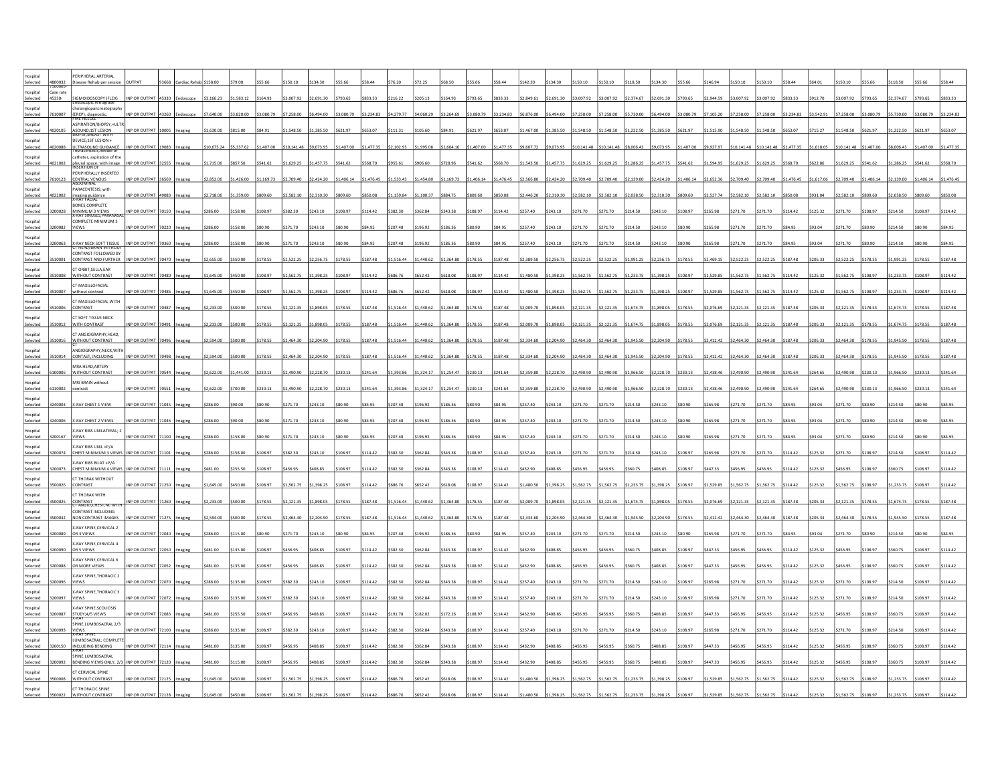| Selected             |                     | <b>FERIPHERAL ARTERIAL</b><br>Disease Rehab per session                       |                     |       |            |           |            |             |                     |            |            |                       |            |            |            |            | 142.20                                      | 134.30     | \$150.10   | 150.10                  |            | \$134.30            |            |            |            |            |          |          |                     |                      |                     |           |          |
|----------------------|---------------------|-------------------------------------------------------------------------------|---------------------|-------|------------|-----------|------------|-------------|---------------------|------------|------------|-----------------------|------------|------------|------------|------------|---------------------------------------------|------------|------------|-------------------------|------------|---------------------|------------|------------|------------|------------|----------|----------|---------------------|----------------------|---------------------|-----------|----------|
| lospital<br>Selected | Case rate<br>45330- | iMOIDOSCOPY (FLEX)<br>מסוכסטור retrograde                                     | <b>IP OR OUTPAT</b> | 45330 | 3,166.23   | 1,583.12  | \$164.93   | 3,007.92    | 2,691.30            | 793.65     |            |                       |            |            |            | \$833.33   | 2,849.61                                    | \$2,691.30 | \$3,007.92 | \$3,007.92              | \$2,374.67 | \$2,691.30          | \$793.65   | 2,944.59   |            |            |          |          | ,007.92             | 793.65               | 2,374.67            |           |          |
| Hospital<br>Selected |                     | holangiopancreatography                                                       | INP OR OUTPAT 43260 |       | \$7,640.00 | 3.820.00  | \$3,080.79 | \$7,258.00  | \$6,494.00          | \$3,080.79 | \$3,234.83 | 4.279.77              | 4.060.29   | 3.264.69   | 33.080.79  | \$3,234.83 | \$6,876.00                                  | \$6,494.00 | \$7,258.00 | \$7,258.00              | \$5,730.00 | \$6,494.00          | \$3,080.79 | \$7.105.20 | 7.258.00   | .258.00    | 3.234.83 | 3.542.91 | \$7,258.00          | \$3,080.79           | \$5,730.00          | 33.080.79 |          |
| lospital             |                     | 7610007 (ERCP); diagnostic,<br>ASPIRATION/BIOPSY,+ULTR                        |                     |       |            |           |            |             |                     |            |            |                       |            |            |            |            |                                             |            |            |                         |            |                     |            |            |            |            |          |          |                     |                      |                     |           |          |
| Selected             | )20105              | ASOUND;1ST LESION                                                             | INP OR OUTPAT 10005 |       | \$1,630.00 | \$815.00  | \$84.91    | \$1,548.50  | 1,385.50            | \$621.97   | \$653.07   |                       |            |            | 621.97     | \$653.07   | \$1,467.00                                  | \$1,385.50 | \$1,548.50 | \$1,548.50              | \$1,222.50 | \$1,385.50          | \$621.97   | 1.515.90   | .548.50    |            |          | 715.27   | 1,548.50            | \$621.97             | \$1,222.50          | \$621.97  |          |
| ospital<br>Selected  | 020088              | DEVICE;1ST LESION +<br><b>JLTRASOUND GUIDANCE</b><br>Inoracentesis, needle or | INP OR OUTPAT 19083 |       | 10,675.24  | 55,337.62 | \$1,407.00 | \$10,141.48 | \$9,073.95          | 1,407.00   | 1,477.35   | 2,102.9               |            |            | 1,407.00   | \$1,477.35 | \$9,607.72                                  | \$9,073.95 |            | \$10,141.48 \$10,141.48 | \$8,006.43 | \$9,073.95          | \$1,407.0  |            |            |            |          | ,618.05  |                     | 10,141.48 \$1,407.00 | \$8,006.43          | 1,407.00  |          |
| Hospital<br>Selected | 1021002             | catheter, aspiration of the<br>pleural space, with image                      | INP OR OUTPAT 32555 |       | \$1.715.00 | \$857.50  | \$541.62   | \$1,629.25  | 1,457.75            | \$541.62   | \$568.7    | 955.                  |            |            | \$541.62   | \$568.70   | \$1,543.50                                  | \$1,457.75 | \$1,629.25 | \$1,629.25              | \$1,286.25 | 1.457.7             | \$541.62   |            |            |            |          |          | 1,629.25            | \$541.62             | 1.286.25            | 5541.62   |          |
| lospital             |                     | PERIPHERALLY INSERTED                                                         |                     |       |            |           |            |             |                     |            |            |                       |            |            |            |            |                                             |            |            |                         |            |                     |            |            |            |            |          |          |                     |                      |                     |           |          |
| Selected<br>lospital | 7610123             | CENTRAL VENOUS<br><b>PARACENTESIS; with</b>                                   | INP OR OUTPAT       |       | 2,852.00   | 1,426.00  | 1,169.73   | \$2,709.40  | 2,424.20            | 1,406.14   | 1,476.45   | 1,533.43              | 1,454.80   | 1,169.73   | \$1,406.14 | \$1,476.45 | \$2,566.80                                  | \$2,424.20 | \$2,709.40 | 2,709.40                | \$2,139.00 | \$2,424.20          | 1,406.14   |            |            |            |          | .617.06  | ,709.40             | ,406.14              | 2,139.00            | 1,406.14  | 1.476.45 |
| Selected             | 122002              | maging guidance<br>:-RAY FACIAL                                               | INP OR OUTPAT 49083 |       | 2,718.00   | 1,359.00  | \$809,60   | \$2,582.10  | 2,310.30            | \$809.60   | \$850.08   | 1.159.84              | 1.100.37   | \$884.75   | \$809.60   | \$850.08   | \$2,446.20                                  | \$2,310.30 | \$2,582.10 | \$2,582.10              | \$2,038.50 | \$2,310.30          | \$809.60   | 52774      | 582.1      |            |          | 931.04   | 2.582.10            | 809.60               | 2.038.50            | 3809.60   | 850.08   |
| Hospital<br>Selected | 200028              | BONES.COMPLETE<br>MINIMUM 3 VIEWS                                             | INP OR OUTPAT 70150 |       | 286.00     | 158.00    | \$108.97   | \$382.30    | \$243.10            | \$108.97   | \$114.42   | \$382.30              | \$362.84   | \$343.38   | \$108.97   | \$114.42   | \$257.40                                    | \$243.10   | \$271.70   | \$271.70                | \$214.50   | \$243.10            | \$108.97   |            |            |            |          | 125.32   | 271.70              | \$108.97             | \$214.50            | \$108.97  | \$114.42 |
| ospital<br>Selected  | 00082               | <b>COMPLETE MINIMUM 3</b><br><b>VIEWS</b>                                     | INP OR OUTPAT 70220 |       |            | 158.00    | \$80.90    | \$271.70    | 243.10              |            |            |                       |            |            |            |            | \$257.40                                    | \$243.10   | \$271.70   | \$271.70                | \$214.50   | \$243.10            | \$80.90    |            |            |            |          |          |                     |                      | 214.50              | \$80.90   |          |
| letinzol             |                     |                                                                               |                     |       |            |           |            |             |                     |            |            |                       |            |            |            |            |                                             |            |            |                         |            |                     |            |            |            |            |          |          |                     |                      |                     |           |          |
| Selected<br>lospital | 3200063             | X-RAY NECK SOFT TISSUE<br>CONTRAST FOLLOWED BY                                | INP OR OUTPAT 70360 |       | 286.00     | \$158.00  | \$80.90    | \$271.70    | \$243.10            | \$80.90    | \$84.95    | 207.4                 | 196.92     | 186.36     | \$80.90    | \$84.95    | \$257.40                                    | \$243.10   | \$271.70   | \$271.70                | \$214.50   | \$243.10            | \$80.90    |            |            |            |          |          |                     | 80.90                | \$214.50            | \$80.90   |          |
| Selected             |                     | CONTRAST AND FURTHER                                                          | INP OR OUTPAT       |       |            | 550.0     | \$178.55   | \$2,522.25  | 2.256.75            | \$178.55   | \$187.48   | 1.516.4               | 1.440.62   | 1.364.80   | \$178.55   | \$187.48   | \$2,389.50                                  | \$2,256.75 | \$2,522.25 | \$2,522.25              | \$1,991.25 | \$2,256.75          | \$178.55   |            |            |            |          |          | 2.522.25            | 178.55               | 1.991.25            |           |          |
| ospital<br>Selected  |                     | <b>CT ORBIT, SELLA, EAR</b><br><b>ITHOUT CONTRAST</b>                         | <b>NP OR OUTPAT</b> |       | ,645.00    | 450.00    | \$108.97   | 1,562.75    | 1,398.25            | \$108.97   | \$114.42   |                       |            |            | 108.97     | \$114.42   | \$1,480.50                                  | 1,398.25   | \$1,562.75 | 1,562.75                | \$1,233.75 | \$1,398.25          | \$108.97   | 529.8      |            |            |          |          | ,562.75             | 108.97               | 1,233.75            | 108.97    |          |
| IstinzoH<br>Selected | 3510007             | T MAXILLOFACIAL<br>without contrast                                           | INP OR OUTPAT 70486 |       | \$1,645.00 | \$450.00  | \$108.97   | \$1,562.75  | \$1,398.25          | \$108.97   | \$114.42   | \$686.76              | \$652.42   | \$618.08   | \$108.97   | \$114.42   | \$1,480.50                                  | \$1,398.25 | \$1,562.75 | \$1,562.75              | \$1,233.75 | \$1,398.25          | \$108.97   | \$1,529.85 | 1.562.75   | 1.562.75   | 114.42   | 125.32   | 1,562.75            | \$108.97             | \$1,233.75          | \$108.97  |          |
| lospital             |                     | T MAXILLOFACIAL WITH                                                          |                     |       |            |           |            |             |                     |            |            |                       |            |            |            |            |                                             |            |            |                         |            |                     |            |            |            |            |          |          |                     |                      |                     |           |          |
| Selected<br>ospital  | 510006              | CONTRAST<br><b>CT SOFT TISSUE NECK</b>                                        | INP OR OUTPAT 70487 |       | \$2,233.00 | \$500.00  | \$178.55   | \$2,121.35  | \$1,898.05          | \$178.55   | \$187.48   | \$1,516.44            | \$1,440.62 | \$1,364.80 | \$178.55   | \$187.48   | \$2,009.70                                  | \$1,898.05 | \$2,121.35 | \$2,121.35              | \$1,674.75 | \$1,898.05          | \$178.55   | \$2.076.69 | 2.121.3    |            |          | 205.33   | \$2,121.35          | \$178.55             | \$1,674.75          | \$178.55  |          |
| Selected             | 510012              | WITH CONTRAST                                                                 | NP OR OUTPAT 70491  |       | \$2,233.00 | \$500.00  | \$178.55   | \$2,121.35  | \$1,898.05          | \$178.55   | \$187.48   | 1,516.44              | \$1,440.62 | \$1,364.80 | \$178.55   | \$187.48   | \$2,009.70                                  | \$1,898.05 | \$2,121.35 | \$2,121.35              | \$1,674.75 | \$1,898.05          | \$178.55   |            |            |            |          |          | 2,121.35            | \$178.55             | \$1,674.75          | \$178.55  |          |
| Hospital<br>Selected | 3510016             | CT ANGIOGRAPHY.HEAD.<br>WITHOUT CONTRAST                                      | INP OR OUTPAT 70496 |       | \$2,594.00 | \$500.00  | \$178.55   | \$2,464.30  | \$2,204.90          | \$178.55   | \$187.48   | 1,516.44              | 1,440.62   | 1,364.80   | \$178.55   | \$187.48   | \$2,334.60                                  | \$2,204.90 | \$2,464.30 | \$2,464.30              | \$1,945.50 | \$2,204.90          | \$178.55   | \$2,412.42 |            |            |          |          | 2,464.30            | \$178.55             | 1,945.50            | \$178.55  |          |
| Hospital<br>Selected | 510014              | ANGIOGRAPHY, NECK, WITH<br>CONTAST, INCLUDING                                 | INP OR OUTPAT       |       | \$2,594.00 | 500.00    | \$178.55   | \$2,464.30  | \$2,204.90          | \$178.55   | \$187.48   | 1,516.4               | 1,440.62   | 1,364.80   | \$178.55   | \$187.48   | \$2,334.60                                  | \$2,204.90 | \$2,464.30 | \$2,464.30              | \$1,945.50 | \$2,204.90          | \$178.55   |            |            |            |          |          | 2,464.30            | \$178.55             | 1,945.50            | 178.55    | 187.4    |
| ospital              |                     | MRA HEAD, ARTERY                                                              |                     |       |            |           |            |             |                     |            |            |                       |            |            |            |            |                                             |            |            |                         |            |                     |            |            |            |            |          |          |                     |                      |                     |           |          |
| Selected<br>Hospital |                     | <b>NITHOUT CONTRAS</b><br><b>MRI BRAIN without</b>                            | INP OR OUTPA        |       | 2,622.00   | 1,441.00  | \$230.13   | \$2,490.90  | \$2,228.70          | \$230.13   | \$241.6    | 1,393.8               |            |            |            | \$241.64   | \$2,359.80                                  | \$2,228.70 | \$2,490.90 | \$2,490.90              | \$1,966.50 | \$2,228.7           |            |            |            |            |          |          | 2,490.90            | \$230.13             | 1,966.50            | 230.13    |          |
| Selected             | 5110002             | contrast                                                                      | INP OR OUTPAT 70551 |       | \$2,622.00 | \$700.00  | \$230.13   | \$2,490.90  | \$2,228.70 \$230.13 |            | \$241.64   | \$1,393.86 \$1,324.17 |            | \$1,254.47 | \$230.13   | \$241.64   | \$2,359.80 \$2,228.70 \$2,490.90 \$2,490.90 |            |            |                         | \$1,966.50 | \$2,228.70 \$230.13 |            | \$2,438.46 | \$2,490.90 | \$2,490.90 | S241.64  | \$264.65 | \$2,490.90 \$230.13 |                      | \$1,966.50 \$230.13 |           | \$241.64 |
| lospital<br>Selected | 240003              | X-RAY CHEST 1 VIEW                                                            | NP OR OUTPAT 71045  |       | 286.00     | \$90.00   |            | 271.70      | 243.10              |            |            |                       |            |            |            | \$84.95    | \$257.40                                    | \$243.10   | \$271.70   | 271.70                  | \$214.50   | \$243.10            | \$80.90    |            |            |            |          |          |                     |                      | 214.50              | \$80.90   |          |
| Insnital<br>Selected | 240006              | X-RAY CHEST 2 VIEWS                                                           | INP OR OUTPAT 71046 |       |            | an nn     | he nat     | \$271.70    | 243.10              | hP nr2     |            | 207.41                | 196.97     |            |            | \$84.95    | 257.40                                      | \$243.10   | \$271.70   | \$271.70                | \$214.50   | \$243.10            | \$80.90    |            |            |            |          |          |                     | to en                | 214.50              | ne nat    |          |
| lospital<br>Selected | 200167              | <b>X-RAY RIBS UNILATERAL; 2</b><br>VIEWS                                      | INP OR OUTPAT 7110  |       |            | 158.00    | \$80.90    | \$271.70    | 243.10              | \$80.90    |            |                       |            |            |            | \$84.95    | \$257.40                                    | \$243.10   | \$271.70   | \$271.70                | \$214.50   | \$243.10            | \$80.90    |            |            |            |          |          |                     |                      | 214.5               | 80.9      |          |
| lospital             |                     | (-RAY RIBS UNIL +P/A                                                          |                     |       |            |           |            |             |                     |            |            |                       |            |            |            |            |                                             |            |            |                         |            |                     |            |            |            |            |          |          |                     |                      |                     |           |          |
| Selected<br>Istinzol |                     | CHEST MINIMUM 3 VIEW<br>-RAY RIRS RILAT +P/A                                  | NP OR OUTPAT        |       |            | 158.00    | \$108.97   | \$382.30    | 243.10              | 108.97     | \$114.4    |                       |            |            | 108.97     | \$114.42   | 257.40                                      | 243.10     | \$271.70   | 271.70                  | 214.50     | \$243.10            | \$108.97   |            |            |            |          |          | 271.70              | 108.97               | 214.50              | 108.97    |          |
| Selected             | 00073               | CHEST MINIMUM 4 VIEWS                                                         | INP OR OUTPAT 71111 |       | 481.00     | 1255.50   | \$108.97   | \$456.95    | FAR RS              | \$108.97   | \$114.42   | 382.30                | 362.84     | 343 38     | 108.97     | \$114.42   | \$432.90                                    | \$408.85   | \$456.95   | \$456.95                | 360.75     | 5408.85             | \$108.97   | 44733      |            |            |          | 125.32   | 456.95              | \$108.97             | \$360.75            | 108 97    |          |
| lospital<br>Selected | 500026              | T THORAX WITHOUT<br>CONTRAST                                                  | NP OR OUTPAT 71250  |       | 1,645.00   | \$450.00  | \$108.97   | \$1,562.75  | \$1,398.25          | \$108.97   | \$114.42   | \$686.76              | \$652.42   | \$618.08   | \$108.97   | \$114.42   | \$1,480.50                                  | \$1,398.25 | \$1,562.75 | \$1,562.75              | \$1,233.75 | \$1,398.25          | \$108.97   | \$1,529.85 | 1.562.75   |            | 114.42   | 125.32   | 1,562.75            | \$108.97             | \$1,233.75          | \$108.97  |          |
| ospital<br>Selected  | 500025              | <b>CT THORAX WITH</b>                                                         | INP OR OUTPAT 71260 |       | \$2,233.00 | \$500.00  | \$178.55   | \$2,121.35  | \$1,898.05          | \$178.55   | \$187.48   | 1,516.44              | \$1,440.62 | \$1,364.80 | \$178.55   | \$187.48   | \$2,009.70 \$1,898.05 \$2,121.35            |            |            | \$2,121.35              | \$1,674.75 | \$1,898.05          | \$178.55   | \$2,076.69 |            |            |          |          | 2,121.35            | \$178.55             | 1,674.75            | \$178.55  |          |
| Hospital             |                     | CONTRAST<br>CT ANGIO.CHEST.NC WITH<br>CONTRAST INCLUDING                      |                     |       |            |           |            |             |                     |            |            |                       |            |            |            |            |                                             |            |            |                         |            |                     |            |            |            |            |          |          |                     |                      |                     |           |          |
| Selected<br>Hospital | 3500032             | NON CONTRAST IMAGES<br>-RAY SPINE, CERVICAL 2                                 | INP OR OUTPAT 71275 |       | \$2,594.00 | 500.00    | \$178.55   | \$2,464.30  | 2,204.90            | \$178.55   | \$187.48   | 1,516.44              | 1,440.62   | 1,364.80   | \$178.55   | \$187.48   | \$2,334.60                                  | \$2,204.90 | \$2,464.30 | \$2,464.30              | \$1,945.50 | \$2,204.90          | \$178.55   | \$2,412.42 |            |            |          |          | 2,464.30            | 178.55               | 1,945.50            | \$178.55  |          |
| Selected             |                     | OR 3 VIEWS                                                                    | INP OR OUTPAT 72040 |       | \$286.00   | 115.00    | \$80.90    | \$271.70    | \$243.10            | \$80.90    | \$84.9     | 207.                  | 196.9      |            |            | \$84.95    | \$257.40                                    | \$243.10   | \$271.70   | \$271.70                | \$214.50   | \$243.10            | \$80.90    |            |            |            |          |          | 271.70              | 80.90                | \$214.50            | 80.90     |          |
| lospital<br>Selected |                     | -RAY SPINE, CERVICAL 4<br>OR 5 VIEWS                                          | INP OR OUTPA        |       | 481.00     | 135.00    | \$108.97   | \$456.95    | \$408.85            | \$108.97   | \$114.42   |                       |            |            |            | \$114.42   | \$432.90                                    | \$408.85   | \$456.95   | \$456.95                | 360.75     | \$408.85            | \$108.97   |            |            |            |          |          |                     | 08.97                |                     | 108.97    |          |
| IstinzoH<br>Selected | 00088               | -RAY SPINE.CERVICAL 6<br>OR MORE VIEWS                                        | INP OR OUTPAT 72052 |       | \$481.00   | 135.00    | \$108.97   | \$456.95    | \$408.85            | \$108.97   | \$114.42   | 382.3                 |            |            | 108.97     | 114.42     | \$432.90                                    | \$408.85   | \$456.95   | \$456.95                | 360.75     | \$408.85            | \$108.97   |            |            |            |          |          |                     | 108.97               | 360.75              | 108.97    | 114.42   |
| lospital             |                     | -RAY SPINE, THORACIC 2                                                        |                     |       |            |           |            |             |                     |            |            |                       |            |            |            |            |                                             |            |            |                         |            |                     |            |            |            |            |          |          |                     |                      |                     |           |          |
| Selected             |                     | VIEWS                                                                         | NP OR OUTPAT 72070  |       | 286.00     | 135.00    | \$108.97   | \$382.30    | \$243.10            | \$108.97   | \$114.42   | 382.30                | 362.84     | 343.38     | \$108.97   | \$114.42   | \$257.40                                    | \$243.10   | \$271.70   | \$271.70                | \$214.50   | \$243.10            | \$108.97   |            |            |            |          |          | 271.70              | \$108.97             | \$214.50            | \$108.97  | \$114.42 |
| ospital<br>Selected  | 200097              | -RAY SPINE, THORACIC 3<br>VIEWS                                               | INP OR OUTPAT 72072 |       | 286.00     | 135.00    | \$108.97   | \$382.30    | \$243.10            | \$108.97   | \$114.42   | 382.3                 | 362.84     | 343.38     | \$108.97   | \$114.42   | \$257.40                                    | \$243.10   | \$271.70   | 271.70                  | \$214.50   | \$243.10            | \$108.97   |            |            |            |          |          |                     | 108.97               | \$214.50            | \$108.97  |          |
| Insnital<br>Selected |                     | X-RAY SPINE, SCOLIOSIS<br>STUDY:4/5 VIEWS                                     | INP OR OUTPAT 72083 |       | 481.00     | \$255.50  | \$108.97   | \$456.95    | \$408.85            | \$108.97   | \$114.47   | 1917                  | 182.02     | \$172.26   | \$108.97   | \$114.42   | \$432.90                                    | \$408.85   | \$456.95   | \$456.95                | \$360.75   | \$408.85            | \$108.97   | \$447.37   |            |            |          | 12532    | \$456.95            | \$108.97             | 360.75              | 108.97    |          |
| lospital<br>Selected |                     | SPINE, LUMBOSACRAL 2/3                                                        | INP OR OUTPAT       |       | 286.00     | 135.00    | \$108.97   | \$382.30    | 243.10              | \$108.97   | \$114.42   | 382.3                 | 362.84     | 343.38     | \$108.97   | \$114.42   | \$257.40                                    | 243.10     | \$271.70   | 271.70                  | \$214.50   | \$243.10            | \$108.97   |            |            |            |          |          | 271.70              | 108.97               | 214.50              | 108.97    |          |
| lospital             |                     | ,<br>K-ray spine<br>LUMBOSACRAL: COMPLETE                                     |                     |       |            |           |            |             |                     |            |            |                       |            |            |            |            |                                             |            |            |                         |            |                     |            |            |            |            |          |          |                     |                      |                     |           |          |
| Selected<br>lospital |                     | INCLUDING BENDING<br><b>SPINE.LUMBOSACRAL</b>                                 | INP OR OUTPAT 7211  |       | 481.00     | 135.00    | \$108.97   | \$456.95    | <b>ADR R5</b>       | \$108.97   | \$114.42   | 382.30                | 362.84     | 343.38     | \$108.97   | \$114.42   | \$432.90                                    | \$408.85   | \$456.95   | 456.95                  | 360.75     | 28.802              | \$108.97   | 44733      |            |            | 14.42    | 125.32   | 456.95              | 108.97               | 360.75              | 108.97    |          |
| Selected             |                     | BENDING VIEWS ONLY, 2/                                                        | INP OR OUTPAT 72120 |       | \$481.00   | \$115.00  | \$108.97   | \$456.95    | \$408.85            | \$108.97   | \$114.42   | \$382.30              | \$362.84   | \$343.38   | \$108.97   | \$114.42   | \$432.90                                    | \$408.85   | \$456.95   | \$456.95                | \$360.75   | \$408.85            | \$108.97   | \$447.33   |            |            | 14.42    | 125.32   | \$456.95            | \$108.97             | \$360.75            | \$108.97  | 114.42   |
| ospital<br>Selected  |                     | <b>CT CERVICAL SPINE</b><br>WITHOUT CONTRAST                                  | P OR OUTPAT 7212    |       |            | \$450.00  |            |             | ,398.25             | 108.97     | \$114.4    |                       |            |            |            | 114.42     | 1,480.50                                    | \$1,398.25 | \$1,562.75 | \$1,562.75              | \$1,233.75 | 1,398.25            | \$108.97   |            |            |            |          |          | ,562.75             | 108.97               | 1,233.75            |           |          |
|                      |                     | CT THORACIC SPINE<br><b>NITHOUT CONTRAS</b>                                   |                     |       |            |           |            |             |                     |            |            |                       |            |            |            |            |                                             |            |            |                         |            |                     |            |            |            |            |          |          |                     |                      |                     |           |          |
|                      |                     |                                                                               |                     |       |            |           |            |             |                     |            |            |                       |            |            |            |            |                                             |            |            |                         |            |                     |            |            |            |            |          |          |                     |                      |                     |           |          |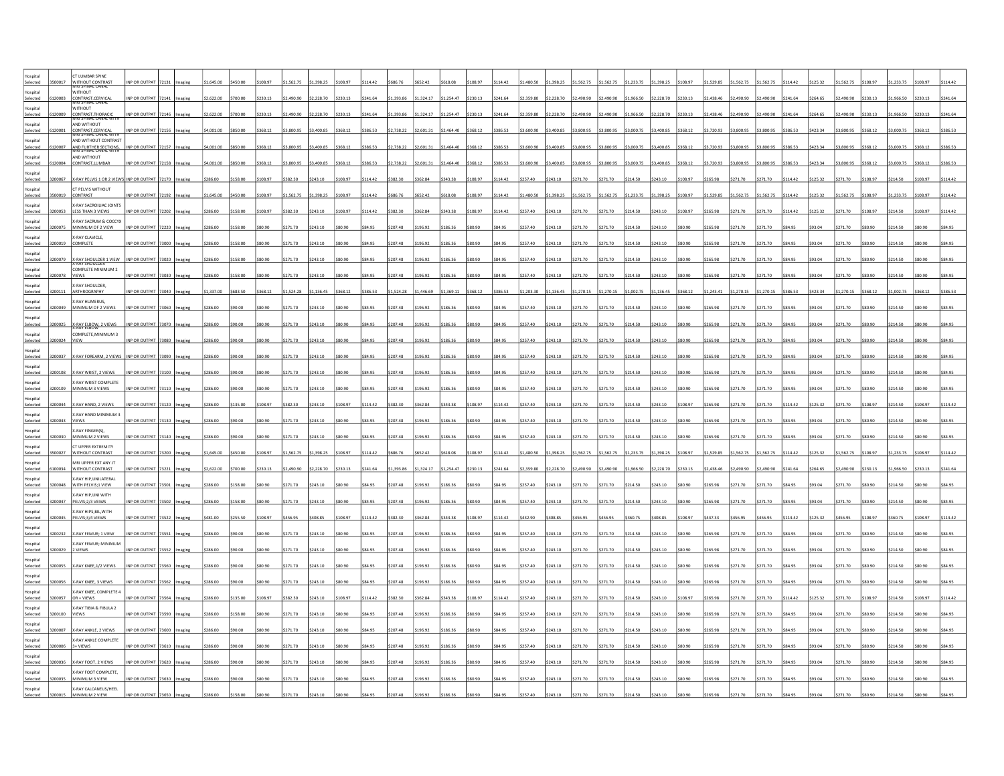|                                | CT LUMBAR SPINE                                             |                     |       |          |          |         |            |            |          |               |          |            |            |          |              |            |            |            |            |            |            |          |            |          |          |               |               |            |          |            |               |          |
|--------------------------------|-------------------------------------------------------------|---------------------|-------|----------|----------|---------|------------|------------|----------|---------------|----------|------------|------------|----------|--------------|------------|------------|------------|------------|------------|------------|----------|------------|----------|----------|---------------|---------------|------------|----------|------------|---------------|----------|
| ospital<br>Selected<br>500017  | WITHOUT CONTRAST                                            | INP OR OUTPAT       |       | 1,645.00 |          | 108.97  | 1 562 75   | \$1,398.25 | 108.97   |               |          | \$652.42   | \$618.08   | 108 97   | \$114.42     | \$1,480.50 | \$1,398.25 | \$1,562.75 | \$1,562.75 | \$1,233.75 | \$1,398.25 | \$108.97 | \$1,529.85 | 1,562.75 |          |               | 12532         | 1 562 75   | 108.97   | \$1,233.75 |               |          |
| Hospital                       | WITHOUT                                                     |                     |       |          |          |         |            |            |          |               |          |            |            |          |              |            |            |            |            |            |            |          |            |          |          |               |               |            |          |            |               |          |
| Selected<br>120003<br>ospital  | :<br>ONTRAST,CERVICA<br>VIRI SPINAL CANAL<br><b>WITHOUT</b> | NP OR OUTPAT        |       | 2,622.00 | 700.00   | 230.13  | \$2,490.90 | \$2,228.70 | \$230.13 |               | 1,393.86 | 1,324.17   | 1,254.47   | \$230.13 | \$241.64     | 2,359.80   | 2,228.70   | 2,490.90   | 2,490.90   | 1,966.50   | \$2,228.70 | \$230.13 | 2,438.46   |          |          |               | 264.65        | 2,490.90   | 230.13   | ,966.50    | 230.1         |          |
| Selected<br>120009             | .<br>ONTRAST, THORAL<br>VIRI SPINAL CANAL                   | NP OR OUTPAT        |       | 2,622.00 | 700.00   | 230.13  | 2,490.90   | 2,228.70   | \$230.13 |               | 1,393.86 | ,324.17    | 1,254.47   | \$230.13 | \$241.64     | \$2,359.80 | \$2,228.70 | \$2,490.90 | 2,490.90   | 1,966.50   | \$2,228.70 | \$230.13 | 2,438.46   | 490.90   | 490.90   |               | 264.65        | 2,490.90   | 230.13   | 1,966.50   | 230.13        |          |
| lospital<br>Selected<br>120001 | AND WITHOUT                                                 | INP OR OUTPAT 72156 |       | 4,001.00 | \$850.00 | 368.12  | \$3,800.95 | \$3,400.85 | \$368.12 | \$386.53      | 2,738.22 | \$2,601.31 | \$2,464.40 | \$368.12 | \$386.53     | \$3,600.90 | \$3,400.85 | \$3,800.95 | \$3,800.95 | \$3,000.75 | \$3,400.85 | \$368.12 | \$3,720.93 | 3.800.95 | 3.800.95 | 386.53        | \$423.34      | \$3,800.95 | \$368.12 | \$3,000.75 | \$368.12      | 386.53   |
| lospital                       | CONTRAST, CERVICAL<br>AND WITHOUT CONTRAST                  |                     |       |          |          |         |            |            |          |               |          |            |            |          |              |            |            |            |            |            |            |          |            |          |          |               |               |            |          |            |               |          |
| Selected<br>120007             | AND FURTHER SECTIONS,                                       | INP OR OUTPAT       |       | 4,001.00 | \$850.00 | 368.12  | \$3,800.95 | \$3,400.85 | \$368.12 | \$386.53      | 2,738.22 | \$2,601.31 | 2,464.40   | \$368.12 | \$386.53     | \$3,600.90 | \$3,400.85 | \$3,800.95 | \$3,800.95 | \$3,000.75 | \$3,400.85 | \$368.12 | \$3,720.93 |          |          |               | 423.34        | 3,800.95   | \$368.12 | 3,000.75   | \$368.12      |          |
| lospital<br>Selected<br>120004 | AND WITHOUT<br>CONTRAST, LUMBAR                             | INP OR OUTPAT       | 72158 | 4,001.00 | \$850.00 | 368.12  | \$3,800.95 | \$3,400.85 | \$368.12 | \$386.53      | 2,738.22 | 2,601.31   | 2,464.40   | \$368.12 | \$386.53     | \$3,600.90 | \$3,400.85 | \$3,800.95 | \$3,800.95 | \$3,000.75 | \$3,400.85 | \$368.12 | 3,720.93   |          |          |               | 423.34        | 3,800.95   | \$368.12 | 3,000.75   | \$368.12      | 386.5    |
| Hospital                       |                                                             |                     |       |          |          |         |            |            |          |               |          |            |            |          |              |            |            |            |            |            |            |          |            |          |          |               |               |            |          |            |               |          |
| Selected<br>100067             | -RAY PELVIS 1 OR 2 VIEWS INP OR OUTPAT                      |                     |       | 286.00   | 158.00   | 108.97  | \$382.30   | \$243.10   | \$108.97 | 114.4         | 382.30   | 362.84     | 343.38     | 108.97   | \$114.42     | \$257.40   | \$243.10   | \$271.70   | \$271.70   | \$214.50   | \$243.10   | \$108.97 |            |          |          |               |               | \$271.70   | \$108.97 | 214.50     | 108.97        | 114.42   |
| Hospital<br>Selected           | T PELVIS WITHOUT<br><b>ONTRAST</b>                          | NP OR OUTPAT        |       | .645.00  | 450.00   | 108.97  | 1,562.75   | \$1,398.25 | \$108.97 | 114.42        | 586.7    | 652.42     | 618.08     | 108.97   | 114.42       | 1,480.50   | 1,398.25   | 1,562.75   | 1,562.75   | 1,233.75   | \$1,398.25 | \$108.97 |            |          |          |               |               | 562.75     | 108.97   | 1,233.75   | 108.97        | 144      |
| Hospital<br>200053<br>Selected | <b>GRAY SACROILIAC JOINTS</b><br>LESS THAN 3 VIEWS          | INP OR OUTPAT 72202 |       | 286.00   | \$158.00 | 108.97  | \$382.30   | \$243.10   | \$108.97 | S114.42       | 382.30   | \$362.84   | \$343.38   | \$108.97 | \$114.42     | \$257.40   | \$243.10   | \$271.70   | \$271.70   | \$214.50   | \$243.10   | \$108.97 | \$265.90   |          |          |               | 125.32        | 271.70     | \$108.97 | \$214.50   | \$108.97      | \$114.42 |
| lospital                       | -RAY SACRUM & COCCYX                                        |                     |       |          |          |         |            |            |          |               |          |            |            |          |              |            |            |            |            |            |            |          |            |          |          |               |               |            |          |            |               |          |
| Selected<br>200075             | MINIMUM OF 2 VIEW                                           | INP OR OUTPAT 72220 |       | 286.00   | 158.00   | 80.90   | \$271.70   | \$243.10   | \$80.90  | \$84.95       | 207.48   | 196.92     | \$186.36   | \$80.90  | \$84.95      | \$257.40   | \$243.10   | \$271.70   | \$271.70   | \$214.50   | \$243.10   | \$80.90  |            |          |          |               |               | 71.70      | 80.90    | 214.50     | \$80.90       |          |
| ospital<br>Selected<br>200019  | <b>GRAY CLAVICLE</b><br>COMPLETE                            | NP OR OUTPAT        | 73000 | 286.00   | 158.00   | 80.90   | 271.70     | \$243.10   | \$80.90  |               | 207.48   | 196.92     |            | \$80.90  | \$84.95      | \$257.40   | \$243.10   | \$271.70   | 271.70     | \$214.50   | \$243.10   |          |            |          |          |               |               |            |          | 214.50     | 80.90         |          |
| lospital                       |                                                             |                     |       |          |          |         |            |            |          |               |          |            |            |          |              |            |            |            |            |            |            |          |            |          |          |               |               |            |          |            |               |          |
| Selected<br>200079             | X-RAY SHOULDER 1 VIEW                                       | INP OR OUTPAT       |       | 286.01   | \$158.00 | an ar   | \$271.70   | \$243.10   | S80 90   | <b>SR4 91</b> | 207 48   | 196 92     | 18636      | 580.90   | \$84.95      | \$257.40   | \$243.10   | \$271.70   | \$271.70   | \$214.50   | \$243.10   | \$80.90  |            | 12717    |          |               |               |            | an or    | \$214.50   | e nat         |          |
| Hospital<br>Selected           | COMPLETE MINIMUM 2<br>VIEWS                                 | NP OR OUTPAT        |       |          | 158.00   | 80.9    | 271.70     | \$243.10   |          |               |          | 196.92     | \$186.36   | \$80.90  | \$84.95      | \$257.40   | 243.10     | \$271.70   | 271.70     | \$214.50   | \$243.10   |          |            |          |          |               |               | 271.70     |          | 214.50     |               |          |
| lospital<br>Selected           | <b>GRAY SHOULDER</b><br><b>ARTHROGRAPHY</b>                 | <b>IP OR OUTPAT</b> | 73040 | 1,337.00 | 683.50   | 368.12  | 1,524.28   | 1,136.45   | \$368.12 | 386.53        | 1,524.28 | 1.446.69   | 1,369.11   | 368.12   | \$386.53     | \$1,203.30 | \$1,136.45 | \$1,270.15 | 1,270.15   | 1,002.75   | \$1,136.45 | \$368.12 | 1.243.41   | 1.270.15 | 270.15   | 386.53        | 423.34        | 1,270.15   | 368.12   | 1,002.75   | 368 17        |          |
| lospital                       | <b>GRAY HUMERUS</b>                                         |                     |       |          |          |         |            |            |          |               |          |            |            |          |              |            |            |            |            |            |            |          |            |          |          |               |               |            |          |            |               |          |
| Selected<br>200049             | MINIMUM OF 2 VIEWS                                          | INP OR OUTPAT 73060 |       | \$286.00 | \$90.00  | \$80.90 | \$271.70   | \$243.10   | \$80.90  | \$84.95       | 207.48   | \$196.92   | \$186.36   | \$80.90  | \$84.95      | \$257.40   | \$243.10   | \$271.70   | \$271.70   | \$214.50   | \$243.10   | \$80.90  | \$265.98   | 271.70   | \$271.70 |               | \$93.04       | 271.70     | \$80.90  | \$214.50   | 380.9C        |          |
| lospital<br>Selected<br>200025 | X-RAY ELBOW, 2 VIEWS                                        | INP OR OUTPAT 73070 |       | 286.00   | \$90.00  | 80.90   | 271.70     | \$243.10   | \$80.90  | \$84.95       | 207.4    | 196.92     | \$186.36   | \$80.90  | \$84.95      | \$257.40   | \$243.10   | \$271.70   | \$271.70   | \$214.50   | \$243.10   | \$80.90  |            |          |          |               |               | 271.70     | 80.90    | 214.50     | \$80.90       |          |
| lospital                       | COMPLETE, MINIMUM 3                                         |                     |       |          |          |         |            |            |          |               |          |            |            |          |              |            |            |            |            |            |            |          |            |          |          |               |               |            |          |            |               |          |
| Selected<br>200024<br>Hospital | <b>VIEW</b>                                                 | NP OR OUTPAT        | 73080 | 286.00   | 90.00    | 80.90   | \$271.70   | \$243.10   | \$80.90  |               | 207.48   | 196.92     | 186.3      |          | \$84.95      | \$257.40   | \$243.10   | \$271.70   | \$271.70   | \$214.50   | \$243.10   | \$80.90  |            |          |          |               |               |            | RO 90    | 214.50     | 80.90         |          |
| Selected                       | X-RAY FOREARM, 2 VIEWS                                      | INP OR OUTPAT       |       |          |          | 80.90   | \$271.70   | \$243.10   | \$80.90  | \$84.9        |          |            |            |          | \$84.95      | \$257.40   | \$243.10   | \$271.70   | \$271.70   | \$214.50   | \$243.10   | \$80.90  | \$265.     |          |          |               |               |            |          | 214.5      |               |          |
| Hospital<br>Selected           | <b>X-RAY WRIST, 2 VIEWS</b>                                 | NP OR OUTPA         |       |          |          | 80.90   | 271.70     | \$243.10   | \$80.90  |               |          |            |            |          |              | \$257.40   | 243.10     | \$271.70   | \$271.70   | \$214.50   | \$243.10   |          |            |          |          |               |               |            |          | 214.5      |               |          |
| lospital                       | <b>GRAY WRIST COMPLETE</b>                                  |                     |       |          |          |         |            |            |          |               |          |            |            |          |              |            |            |            |            |            |            |          |            |          |          |               |               |            |          |            |               |          |
| Selected<br>200109             | MINIMUM 3 VIEWS                                             | INP OR OUTPAT 73110 |       | 286.00   | \$90.00  | 380.90  | \$271.70   | \$243.10   | \$80.90  | S84.95        | 207.48   | \$196.92   | \$186.36   | \$80.90  | \$84.95      | \$257.40   | \$243.10   | \$271.70   | \$271.70   | \$214.50   | \$243.10   | \$80.90  | \$265.98   | 1271.70  | \$271.70 | <b>SR4 95</b> | \$93.04       | \$271.70   | \$80.90  | \$214.50   | \$80.90       | \$84.95  |
| lospital<br>Selected           | 200044 X-RAY HAND, 2 VIEWS                                  | INP OR OUTPAT 73120 |       | 286.00   | 135.00   | 108.97  | \$382.30   | \$243.10   | \$108.97 | \$114.42      | 382.30   | \$362.84   | 343.38     | \$108.97 | \$114.42     | \$257.40   | \$243.10   | \$271.70   | \$271.70   | \$214.50   | \$243.10   | \$108.97 | \$265.9    |          |          | 114.42        | 125.32        | \$271.70   | \$108.97 | \$214.50   | \$108.97      | \$114.42 |
| ospital                        | <b>X-RAY HAND MINIMUM 3</b>                                 |                     |       |          |          |         |            |            |          |               |          |            |            |          |              |            |            |            |            |            |            |          |            |          |          |               |               |            |          |            |               |          |
| Selected<br>nnn43<br>lospital  | <b>VIEWS</b><br><b>X-RAY FINGER(S)</b>                      | NP OR OUTPAT        | 73130 |          |          | 80.90   | 271.70     | \$243.10   |          |               |          | 196.92     |            | \$80.90  | \$84.95      | \$257.40   | \$243.10   | \$271.70   | 271.70     | \$214.50   | \$243.10   |          |            |          |          |               |               |            |          | 214.50     |               |          |
| Selected                       | MINIMUM 2 VIEW:                                             | INP OR OUTPAT       |       |          |          | an ar   | \$271.70   | \$243.10   | S80 90   |               | 207 41   | 19693      | 18636      | \$80.90  | \$84.95      | \$257.40   | \$243.10   | \$271.70   | \$271.70   | \$214.50   | \$243.10   | \$80.90  |            |          |          |               |               |            | an or    | \$214.50   | 80.90         |          |
| Hospital<br>Selected           | CT UPPER EXTREMITY<br><b>VITHOUT CONTRAS</b>                | NP OR OUTPAT        |       | 1,645.00 | 450.0    | 108.97  | 1,562.75   | 1,398.25   | 108.97   |               |          | 652.42     | 618.08     | 108.97   | \$114.42     | \$1,480.50 | 1,398.25   | 1,562.75   | 1,562.75   | \$1,233.75 | \$1,398.25 | 108.97   | ,529.8     |          |          |               |               | 1,562.75   | 108.97   | 1,233.75   |               |          |
| ospital                        | MRI UPPER EXT ANY JT                                        |                     |       |          |          |         |            |            |          |               |          |            |            |          |              |            |            |            |            |            |            |          |            |          |          |               |               |            |          |            |               |          |
| Selected                       | WITHOUT CONTRAST                                            | <b>IP OR OUTPAT</b> |       | 2.622.00 | 700.00   | 230.13  | 2,490.90   | 2.228.70   | \$230.13 |               | .393.86  | 324.17     | 254.47     | 230.13   | \$241.64     | \$2,359.80 | \$2,228.70 | \$2,490.90 | 2,490.90   | 1.966.50   | \$2,228,70 | \$230.13 | 438.46     |          |          |               | 64.65         | 2.490.90   | 230.13   | 196650     |               |          |
| lospital<br>Selected<br>200048 | -RAY HIP.UNILATERAL<br>WITH PELVIS;1 VIEW                   | INP OR OUTPAT 73501 |       | \$286.00 | \$158.00 | \$80.90 | \$271.70   | \$243.10   | \$80.90  | \$84.95       | 207.48   | 196.92     | \$186.36   | \$80.90  | \$84.95      | \$257.40   | \$243.10   | \$271.70   | \$271.70   | \$214.50   | \$243.10   | \$80.90  | \$265.98   | 271.70   | \$271.70 | \$84.95       | \$93.04       | 271.70     | \$80.90  | \$214.50   | \$80.90       |          |
| lospital                       | (-RAY HIP,UNI WITH                                          |                     |       |          |          |         |            |            |          |               |          |            |            |          |              |            |            |            |            |            |            |          |            |          |          |               |               |            |          |            |               |          |
| Selected<br>200047             | PELVIS; 2/3 VEIWS                                           | NP OR OUTPAT 73502  |       | 286.00   | 158.00   | 80.90   | 271.70     | \$243.10   | \$80.90  |               |          | 196.92     | 186.3      | 80.90    | \$84.95      | \$257.40   | \$243.10   | \$271.70   | \$271.70   | \$214.50   | \$243.10   | \$80.90  |            |          |          |               |               | 271.70     | 80.90    | 214.50     |               |          |
| ospital<br>Selected<br>200045  | -RAY HIPS.BIL.WITH<br>PELVIS;3/4 VIEWS                      | NP OR OUTPAT        | 73522 |          | 255.50   | 108.97  | \$456.95   | \$408.85   | \$108.97 |               |          |            |            | 108 97   | 114.42       | \$432.90   | \$408.85   | \$456.95   | \$456.95   | \$360.75   | \$408.85   | \$108.97 |            |          |          |               |               |            | 08.97    |            | <b>INR 97</b> |          |
| Hospital                       |                                                             |                     |       |          |          |         |            |            |          |               |          |            |            |          |              |            |            |            |            |            |            |          |            |          |          |               |               |            |          |            |               |          |
| Selected<br>200232<br>Hospital | X-RAY FEMUR; 1 VIEW<br>-RAY FEMUR; MINIMUM                  | INP OR OUTPAT       | 73551 |          |          | 80.90   | \$271.70   | \$243.10   | \$80.90  |               |          | 196.9      |            |          | \$84.95      | \$257.40   | \$243.10   | \$271.70   | \$271.70   | \$214.50   | \$243.10   | \$80.9   |            |          |          |               |               |            |          | 214.5      |               |          |
| Selected                       | 2 VIEWS                                                     | NP OR OUTP.         |       |          |          | 80.90   | \$271.70   | \$243.10   | \$80.90  |               |          |            |            |          |              | \$257.40   | 243.10     | \$271.70   | \$271.70   | \$214.50   | \$243.10   |          |            |          |          |               |               |            |          |            |               |          |
| Hospital<br>Selected<br>200055 | X-RAY KNEE, 1/2 VIEWS                                       | INP OR OUTPAT       |       |          |          | 80.90   | \$271.70   | \$243.10   | \$80.90  |               | 207.48   |            |            |          | 84.95        | \$257.40   | \$243.10   | \$271.70   | \$271.70   | \$214.50   | \$243.10   | \$80.90  |            |          |          |               |               |            |          | 214.50     | 80.90         |          |
| lospital                       |                                                             |                     |       |          |          |         |            |            |          |               |          |            |            |          |              |            |            |            |            |            |            |          |            |          |          |               |               |            |          |            |               |          |
| Selected                       | 200056 X-RAY KNEE, 3 VIEWS                                  | INP OR OUTPAT 73562 |       | 286.00   | \$90.00  | 80.90   | \$271.70   | \$243.10   | \$80.90  |               | 207.48   | \$196.92   | \$186.36   | \$80.90  | \$84.95      | \$257.40   | \$243.10   | \$271.70   | \$271.70   | \$214.50   | \$243.10   | \$80.90  |            |          |          |               |               | 271.70     | 80.90    | 214.50     | \$80.90       | 84.9     |
| lospital<br>Selected<br>200057 | -RAY KNEE, COMPLETE<br>OR + VIEWS                           | INP OR OUTPAT       | 73564 | 286.00   | 135.00   | 108.97  | \$382.30   | \$243.10   | \$108.97 | \$114.42      | 382.30   | \$362.84   | 343.38     | 108.97   | \$114.42     | \$257.40   | \$243.10   | \$271.70   | 271.70     | \$214.50   | \$243.10   | \$108.97 |            |          |          |               |               |            | 108.97   | 214.50     | 108.97        | 114.42   |
| lospital                       | X-RAY TIBIA & FIBULA 2                                      | INP OR OUTPAT       |       |          | \$158.00 | an ar   | \$271.70   | \$243.10   | S80 90   | <b>SR4 95</b> | 207 48   |            | 18636      | 580.90   | \$84.95      | \$257.40   | \$243.10   | \$271.70   | \$271.70   | \$214.50   | \$243.10   |          |            | 2717     | \$271.70 |               |               | 1271 70    | an an    | \$214.50   | an ar         |          |
| Selected<br>Hospital           | <b>VIEWS</b>                                                |                     |       | 286.00   |          |         |            |            |          |               |          | 196.92     |            |          |              |            |            |            |            |            |            | \$80.90  |            |          |          |               |               |            |          |            |               |          |
| Selected                       | (-RAY ANKLE, 2 VIEWS                                        | NP OR OUTPAT        |       | 286.00   | 90.00    | 80.90   | 271.70     | \$243.10   | \$80.90  |               | 207.48   | 196.92     | \$186.36   | \$80.90  | \$84.95      | \$257.40   | 3243.10    | \$271.70   | 271.70     | \$214.50   | \$243.10   | \$80.90  |            |          | 271.70   |               |               | 271.70     | 60.90    | 214.50     |               |          |
| lospital<br>Selected           | -RAY ANKLE COMPLETE<br>3+ VIEWS                             | <b>IP OR OUTPAT</b> |       | 286.00   | nn nei   | ne na:  | 271.70     | \$243.10   | san ar   |               | 207.48   | 196.92     | 35 3812    | ne nat   | <b>P AR2</b> | \$257.40   | \$243.10   | \$271.70   | 271.70     | \$214.50   | \$243.10   | \$80.90  | 265.98     | 271 70   |          |               | 43.04         | 271 70     | RN 90    | 214.50     |               |          |
| lospital                       |                                                             |                     |       |          |          |         |            |            |          |               |          |            |            |          |              |            |            |            |            |            |            |          |            |          |          |               |               |            |          |            |               |          |
| Selected                       | 200036 X-RAY FOOT, 2 VIEWS                                  | INP OR OUTPAT 73620 |       | \$286.00 | sen nn   | \$80.90 | \$271.70   | \$243.10   | \$80.90  | <b>SR4 95</b> | 207.48   | \$196.92   | \$186.36   | \$80.90  | \$84.95      | \$257.40   | \$243.10   | \$271.70   | \$271.70   | \$214.50   | \$243.10   | \$80.90  | \$265.98   | 1271.70  | \$271.70 |               | <b>AN FP2</b> | 271.70     | \$80.90  | \$214.50   | SSO 90        |          |
| lospital<br>Selected<br>100035 | -RAY FOOT COMPLETE,<br>MINIMUM 3 VIEW                       | NP OR OUTPAT        |       |          |          |         | 271.70     | \$243.10   |          |               |          |            |            |          |              | \$257.40   | \$243.10   | \$271.70   | \$271.70   | \$214.50   | \$243.10   |          |            |          |          |               |               |            |          |            |               |          |
| ospital                        | <b>X-RAY CALCANEUS/HEEL</b><br><b>MINIMUM 2 VIEW</b>        |                     |       |          |          |         |            |            |          |               |          |            |            |          |              |            |            |            |            |            |            |          |            |          |          |               |               |            |          |            |               |          |
|                                |                                                             |                     |       |          |          |         |            |            |          |               |          |            |            |          |              |            |            |            |            |            |            |          |            |          |          |               |               |            |          |            |               |          |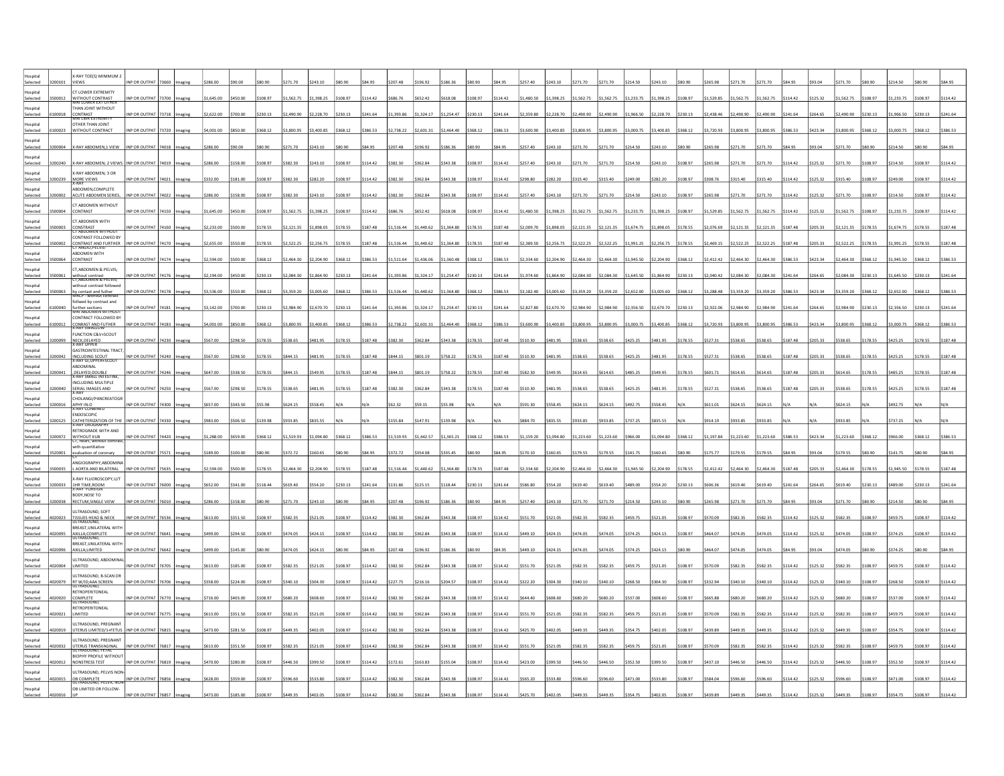| ospital<br>Selected                 | X-RAY TOE(S) MINIMUM 2<br>VIEWS                                                    | NP OR OUTPAT        |       |       |            |          |          |            | \$243.10   |          |          |          |            |            |          |          | \$257.40                         | \$243.10   | \$271.70   | 271 70     | \$214.50   | \$243.10   |          |            | 2717     |            |          |          |            |          | \$214.50   |          |          |
|-------------------------------------|------------------------------------------------------------------------------------|---------------------|-------|-------|------------|----------|----------|------------|------------|----------|----------|----------|------------|------------|----------|----------|----------------------------------|------------|------------|------------|------------|------------|----------|------------|----------|------------|----------|----------|------------|----------|------------|----------|----------|
| Hospital<br>Selected                | CT LOWER EXTREMITY<br>NITHOUT CONTRAST<br>VIRI LOWER EXT OTHER                     | NP OR OUTPAT        |       |       | 1,645.00   |          | 108.97   | 1,562.75   | 1,398.25   | \$108.97 |          |          |            |            | 108.97   | 114.42   | \$1,480.50                       | 1,398.25   | 1,562.75   | 1,562.75   | 1,233.7    | \$1,398.25 | 108.97   | 1,529.85   |          |            |          |          | ,562.75    | 108.97   | 1,233.75   |          |          |
| ospital<br>Selected                 | THAN JOINT WITHOUT<br>:<br>ONTRAST<br>VIRI LWR EXTREMIT                            | <b>IP OR OUTPAT</b> |       |       | 2,622.00   | 700.00   | 230.13   | 2,490.90   | 2,228.70   | \$230.13 |          | ,393.86  | 324.17     | 1,254.47   | 230.13   | 241.64   | 2,359.80                         | \$2,228.70 | \$2,490.90 | 2,490.90   | 1,966.50   | \$2,228.70 | \$230.13 | 2.438.46   | .490.90  | 490.90     |          | 264.65   | 2,490.90   | 230.13   | 1,966.50   |          |          |
| lospital<br>Selected<br>00023       | <b>THER THAN JOINT</b><br>WITHOUT CONTRACT                                         | INP OR OUTPAT 73720 |       |       | 4,001.00   | \$850.00 | 368.12   | \$3,800.95 | \$3,400.85 | \$368.12 | \$386.53 | 2,738.22 | \$2,601.31 | 2,464.40   | \$368.12 | \$386.53 | \$3,600.90                       | \$3,400.85 | \$3,800.95 | \$3,800.95 | \$3,000.75 | \$3,400.85 | \$368.12 | \$3,720.93 | 3.800.95 | 3.800.95   |          | 423.34   | \$3,800.95 | \$368.12 | \$3,000.75 | \$368.12 | 386.53   |
| lospital                            |                                                                                    |                     |       |       |            |          |          |            |            |          |          |          |            |            |          |          |                                  |            |            |            |            |            |          |            |          |            |          |          |            |          |            |          |          |
| Selected<br>100004<br>lospital      | X-RAY ABDOMEN,1 VIEW                                                               | INP OR OUTPAT 74018 |       |       | 286.00     | 90.0     | 80.90    | 271.70     | \$243.10   | \$80.90  |          | 207.4    | 196.92     |            | 80.90    | \$84.95  | \$257.40                         | \$243.10   | \$271.70   | \$271.70   | \$214.50   | \$243.10   | \$80.90  |            |          |            |          | 93.04    | 271.70     | \$80.90  | 214.50     | 380.9C   |          |
| Selected<br>200240<br>Hospital      | X-RAY ABDOMEN; 2 VIEWS INP OR OUTPAT<br><b>X-RAY ABDOMEN: 3 OR</b>                 |                     | 74019 |       | 286.00     | 158.00   | 108.97   | \$382.30   | \$243.10   | \$108.97 |          | 382.     |            |            | 108.97   | \$114.42 | \$257.40                         | \$243.10   | \$271.70   | \$271.70   | \$214.50   | \$243.10   | \$108.97 |            |          |            |          |          |            | 108.97   | \$214.50   | 108.97   | 114.4    |
| Selected<br>Hospital                | MORE VIEWS<br>ABDOMEN, COMPLETE                                                    | INP OR OUTPA        |       |       | 332.00     | 181.00   | 108.97   | \$382.30   | \$282.20   | \$108.97 |          | 382.30   | 362.84     |            | 108.97   | \$114.42 | \$298.80                         | \$282.20   | \$315.40   | \$315.40   | \$249.00   | \$282.20   | \$108.97 |            |          |            |          |          | 315.40     | 108.97   | 249.00     | 108.97   | 114.42   |
| Selected<br>nnnn<br>Hospital        | <b>ACUTE ABDOMEN SERIES</b><br>T ABDOMEN WITHOUT                                   | NP OR OUTPAT        |       |       | 86.00      | 158.00   | 108.97   | \$382.30   | \$243.10   | \$108.97 | 114.42   | 382.30   | 362.84     | 343 38     | 108.97   | 114.42   | \$257.40                         | \$243.10   | \$271.70   | 271.70     | \$214.50   | \$243.10   | 10897    |            |          |            |          |          | 271.70     | 108.97   | 214.50     | 108.97   | 1447     |
| 500004<br>Selected<br>lospital      | <b>CONTRAST</b><br>T ABDOMEN WITH                                                  | INP OR OUTPAT 74150 |       |       | 1.645.00   | \$450.00 | \$108.97 | \$1.562.75 | \$1,398.25 | \$108.97 | \$114.42 | 686.76   | \$652.42   | \$618.08   | 108.97   | S114.42  |                                  |            |            | \$1,562.75 | \$1,233.75 | \$1,398.25 | \$108.97 | 1.529.85   | 562.75   |            |          | 125.32   | 1.562.75   | S108.97  | \$1,233,75 | \$108.97 | \$114.42 |
| Selected<br>500003<br>ospital       | CONSTRAST<br>CT ABDOMEN WI<br>CONTRAST FOLLOWED BY                                 | NP OR OUTPAT 74160  |       |       | 2,233.00   | 500.00   | 178.55   | \$2,121.35 | \$1,898.05 | \$178.55 | \$187.48 | 1,516.44 | \$1,440.62 | \$1,364.80 | \$178.55 | \$187.48 | \$2,009.70 \$1,898.05 \$2,121.35 |            |            | \$2,121.35 | \$1,674.75 | \$1,898.05 | \$178.55 | 2,076.69   |          |            |          | 205.33   | 2,121.35   | \$178.55 | \$1,674.75 | \$178.55 | \$187.48 |
| Selected                            | <b>CONTRAST AND FURTHER</b><br>.T ANGIO,PELVIS-<br><b>ABDOMEN WITH</b>             | INP OR OUTPAT       | 74170 |       | 2,655.00   | 550.00   | 178.55   | 2,522.25   | \$2,256.75 | \$178.55 | \$187.48 | 1,516.44 | 1,440.62   | 1,364.80   | \$178.55 | \$187.48 | \$2,389.50                       | \$2,256.75 | \$2,522.25 | 2,522.25   | \$1,991.25 | \$2,256.75 | \$178.55 |            |          |            |          |          | 2,522.25   | \$178.55 | 1,991.25   | \$178.55 | 187.48   |
| lospital<br>Selected                | CONTRAST                                                                           | INP OR OUTPAT 7417  |       |       | 2.594.00   |          | 368.12   | \$2,464.30 | \$2,204.90 | \$368.12 | 1286.57  | 1,511.64 | \$1,436.06 | \$1,360.48 | \$368.12 | \$386.53 | \$2,334.60                       | \$2,204.90 | \$2,464.30 | \$2,464.30 | \$1,945.50 | \$2,204.90 | \$368.12 | 12 412 42  | 464 30   |            |          | \$423.34 | \$2,464.30 | \$368.12 | \$1,945.50 | \$368.12 | 386.53   |
| Hospital<br>Selected                | CT, ABDOMEN & PELVIS;<br>ithout contrast<br>1,ABDOMEN & PELVIS;                    | NP OR OUTPAT        |       |       | 2,194.00   |          | 230.13   | 2,084.30   | \$1,864.90 | \$230.13 |          | 1,393.86 | 1,324.17   | 1,254.47   | 3230.13  | \$241.64 | \$1,974.60                       | 1,864.90   | 2,084.30   | 2,084.30   | 1,645.50   | \$1,864.90 | \$230.13 | ,040.42    |          |            |          |          | 2,084.30   | 230.13   | 1,645.50   | 230.13   |          |
| ospital<br>Selected<br><b>Fannn</b> | vithout contrast followed<br><b>y</b> contast and futher<br>HKCP - without contras | <b>IP OR OUTPAT</b> |       |       | 3,536.00   | 550.00   | 368.12   | 3,359.20   | 3.005.60   | \$368.12 | \$386.53 | 1,516.44 | 1,440.62   | 1,364.80   | 368.12   | \$386.53 | \$3,182.40                       | \$3,005.60 | \$3,359.20 | \$3,359.20 | \$2,652.00 | 3,005.60   | \$368.12 | 3.288.48   | 359.20   | 3.359.20   | 386.53   | 423.34   | 3,359.20   | \$368.12 | 2,652.00   | 368 12   |          |
| lospital<br>Selected<br>00040       | bliwed by contrast and<br>further sections<br>MRI ABDOMEN WITHOU                   | NP OR OUTPAT 74181  |       |       | \$3,142.00 | \$700.00 | \$230.13 | 2,984.90   | \$2,670.70 | \$230.13 | \$241.64 | 1,393.86 | \$1,324.17 | \$1,254.47 | \$230.13 | \$241.64 | \$2,827.80                       | \$2,670.70 | \$2,984.90 | \$2,984.90 | \$2,356.50 | \$2,670.70 | \$230.13 | \$2,922.06 | 2,984.90 | \$2,984.90 | \$241.64 | \$264.65 | \$2,984.90 | \$230.13 | \$2,356.50 | \$230.13 | \$241.64 |
| lospital<br>Selected<br>00012       | CONTRACT FOLLOWED BY<br>CONRAST AND FUTHER                                         | INP OR OUTPAT 74183 |       |       | \$4,001.00 | \$850.00 | 368.12   | 3,800.95   | \$3,400.85 | \$368.12 | \$386.53 | 2,738.22 | \$2,601.31 | \$2,464.40 | \$368.12 | \$386.53 | \$3,600.90                       | \$3,400.85 | \$3,800.95 | \$3,800.95 | \$3,000.75 | \$3,400.85 | \$368.12 | \$3,720.93 |          |            |          | 423.34   | 3,800.95   | \$368.12 | 3,000.75   | \$368.12 |          |
| lospital<br>Selected<br>200099      | <b>FUNCTION C&amp;V+SCOUT</b><br>NECK, DELAYED                                     | INP OR OUTPAT 74230 |       |       | 567.00     | 298.50   | 178.55   | \$538.65   | \$481.95   | \$178.55 | \$187.48 | 382.30   | 362.84     | 343.38     | \$178.55 | \$187.48 | \$510.30                         | \$481.95   | \$538.65   | \$538.65   | \$425.25   | \$481.95   | \$178.55 | \$527.3    | 538.6    | 538.6      |          | 205.33   | 538.65     | \$178.55 | \$425.25   | 178.55   | 187.48   |
| Hospital<br>Selected                | <b>GASTROINTESTINAL TRACT</b><br>INCLUDING SCOUT<br>X-RAY GI, UPPER+SCOU           | INP OR OUTPAT       | 4240  |       | 567.01     | 298.50   | 178.55   | \$844.15   | \$481.95   | \$178.55 | \$187.48 | 844.1    | \$801.19   | 5758.22    | \$178.55 | \$187.48 | \$510.30                         | \$481.95   | \$538.65   | \$538.65   | \$425.25   | \$481.95   | \$178.55 | \$527.3    |          |            |          |          | 538.65     | \$178.55 | \$425.25   | 178.55   | 187.48   |
| Hospital<br>Selected                | ABDOMINAL<br><b>DELAYED;DOUBLE</b><br>GRAY SMALL INTESTINI                         | NP OR OUTP.         |       |       |            | 38.50    | 178.55   | \$844.15   | \$549.95   | \$178.55 | 187.4    | 844.15   | 801.19     |            | 178.55   | 187.48   | \$582.30                         | 549.95     | \$614.65   | \$614.65   | \$485.25   | \$549.95   | \$178.55 |            |          |            |          |          | 614.65     | 178.55   | 485.25     | 178.55   |          |
| Hospital<br>Selected<br>200040      | INCLUDING MULTIPLE<br><b>SERIAL IMAGES AND</b>                                     | INP OR OUTPAT 74250 |       | aging | \$567.00   | \$298.50 | \$178.55 | \$538.65   | \$481.95   | \$178.55 | S187.48  | 382.30   | \$362.84   | \$343.38   | \$178.55 | \$187.48 | \$510.30                         | \$481.95   | \$538.65   | \$538.65   | \$425.25   | S481.95    | \$178.55 | \$527.31   | 538.65   | 33.8522    | \$187.48 | 205.33   | \$538.65   | \$178.55 | \$425.25   | \$178.55 | \$187.48 |
| Hospital<br>Selected<br>200016      | -RAY<br>CHOLANGI/PANCREATOGR                                                       | INP OR OUTPAT 74300 |       |       | 657.00     | 343.50   | 55.98    | \$624.15   | \$558.45   |          |          | 62.32    | 59.1       |            |          |          | \$591.30                         | \$558.45   | \$624.15   | \$624.15   | \$492.75   | \$558.45   |          | \$611.01   | 624.15   | 624.15     |          |          | 624.15     |          |            |          |          |
| ospital                             | APHY IN-O<br>X-RAY CONBINE<br><b>ENDOSCOPIC</b>                                    |                     |       |       |            |          |          |            |            |          |          |          |            |            |          |          |                                  |            |            |            |            |            |          |            |          |            |          |          |            |          |            |          |          |
| Selected<br>100125<br>lospital      | CATHETERIZATION OF THE<br><b>GRAY UROGRAP</b><br>RETROGRADE WITH AND               | INP OR OUTPAT       | 4330  |       |            | 506.50   | 139.98   | \$933.85   | \$835.55   |          |          | 155.84   | 147.91     |            |          |          | \$884.70                         | \$835.55   | \$933.85   | \$933.85   | \$737.25   | \$835.55   |          | \$914.19   |          |            |          |          |            |          |            |          |          |
| Selected<br>Hospital                | WITHOUT KUB<br>CT, heart, without contrast,<br>with quantitative                   | INP OR OUTPAT       |       |       | 1 288.00   | in P2a;  | 368 12   | \$1.519.93 | \$1.094.80 | \$368.12 | 1286.53  | 1.519.93 | \$1.442.57 | \$1.365.21 | \$368.12 | \$386.53 | \$1,159.20                       | \$1,094.80 | \$1,223.60 | \$1,223.60 | \$966.00   | \$1.094.80 | \$368.12 | \$1.197.84 | 1 223 60 |            |          | \$423.34 | 1.223.60   | 368.12   | 10 aaet    | 368.1    |          |
| Selected<br>ospital                 | valuation of coronary<br>MGIOGRAPHY ARDOMIN                                        | NP OR OUTPAT        |       |       | 189.00     |          |          | 372.72     | \$160.65   |          |          | 372.72   | 354.08     |            |          | \$84.95  | \$170.10                         | 160.65     | 179.55     | 179.55     | \$141.75   | \$160.65   |          |            |          |            |          |          | 179.55     | 80.90    | 141.75     |          |          |
| Selected<br>lospital                | AORTA AND BILATERAL<br>(-RAY FLUOROSCOPY.U/T                                       | NP OR OUTPAT        |       |       | 2.594.00   | 500.00   | 178.55   | 2.464.30   | 2.204.90   | \$178.55 | 187.45   | 1,516.44 | 440.62     | 1.364.80   | 178.55   | \$187.48 | \$2,334.60                       | \$2,204.90 | \$2,464.30 | 2.464.30   | 1.945.50   | \$2,204.90 | \$178.55 | 2.412.42   |          |            |          | 205.33   | 2.464.30   | 178.55   | 1.945.50   | 178.55   |          |
| Selected<br>200033<br>lospital      | <b>1HR TIME, ROOM</b><br>BODY, NOSE TO                                             | INP OR OUTPAT 76000 |       |       | \$652.00   | \$341.00 | 118.44   | \$619.40   | \$554.20   | \$230.13 | \$241.64 | 131.86   | \$125.15   | \$118.44   | \$230.13 | \$241.64 | \$586.80                         | \$554.20   | \$619.40   | \$619.40   | \$489.00   | \$554.20   | \$230.13 | 606.3      |          | 619.40     | \$241.64 | 264.65   | \$619.40   | \$230.13 | \$489.00   | \$230.13 | 241.64   |
| Selected<br>100038<br>lospital      | RECTUM, SINGLE VIEW<br>JLTRASOUND, SOFT                                            | INP OR OUTPAT       |       |       | 286.00     | 158.00   | 80.90    | 271.70     | \$243.10   | \$80.90  |          |          | 196.92     | 186.3      | 80.90    | \$84.95  | \$257.40                         | \$243.10   | \$271.70   | \$271.70   | \$214.50   | \$243.10   | \$80.90  |            |          |            |          |          | 271.70     | \$80.90  | 214.50     | 80.90    |          |
| Selected<br>020023                  | TISSUES HEAD & NECK                                                                | INP OR OUTPAT       | 76536 |       | 513.00     | 351.50   | 108.97   | \$582.35   | \$521.05   | \$108.97 |          | 382.3    | 362.8      |            | 108.97   | 114.42   | \$551.70                         | \$521.05   | \$582.35   | \$582.35   | \$459.75   | \$521.05   | \$108.97 |            |          |            |          |          | 582.35     | 108.97   | 4597       | 108.97   |          |
| Hospital<br>Selected                | BREAST.UNILATERAL WITH<br>AXILLA;COMPLETE                                          | INP OR OUTPAT       |       |       | 99.0       | 294.50   | 108.97   | \$474.05   | \$424.15   | \$108.97 | 114.4    | 382.3    | 362.84     | 343.3      | 108.97   | \$114.42 | \$449.10                         | \$424.15   | \$474.05   | \$474.05   | \$374.25   | \$424.15   | \$108.97 | \$464.     |          |            |          |          | 474.0      | 108.97   | 374.2      | 108.97   |          |
| Hospital<br>Selected                | BREAST, UNILATERAL WITH<br>VILLA;LIMITED                                           | INP OR OUTPA        |       |       |            |          | 80.90    | \$474.05   | \$424.15   | \$80.90  |          |          | 196.92     |            |          | \$84.95  | \$449.10                         | \$424.15   | \$474.05   | \$474.05   | \$374.25   | \$424.15   | \$80.90  |            |          |            |          |          | 174.05     |          | \$74.25    |          |          |
| lospital<br>Selected                | <b>JLTRASOUND, ABDOMINA</b><br><b>LIMITED</b>                                      | INP OR OUTPAT       |       |       | 13.00      | 185.00   | 108.97   | \$582.35   | \$521.05   | \$108.97 | 11442    | 382.30   | 362.84     |            | 108.97   | 114.42   | \$551.70                         | \$521.05   | \$582.35   | \$582.35   | \$459.75   | \$521.05   | \$108.97 |            |          |            |          |          |            | 108.97   | \$459.75   | 108.97   | 114.42   |
| lospital<br>Selected<br>020079      | <b>JLTRASOUND, B-SCAN OR</b><br>RT W/ID;AAA SCREEN                                 | INP OR OUTPAT 76706 |       |       | 358.00     | 224.00   | 108.97   | \$340.10   | \$304.30   | \$108.97 | \$114.42 | 227.75   | \$216.16   | 204.57     | \$108.97 | \$114.42 | \$322.20                         | \$304.30   | \$340.10   | \$340.10   | \$268.50   | \$304.30   | \$108.97 | \$332.94   |          |            |          | 125.32   | 340.10     | \$108.97 | \$268.50   | \$108.97 | \$114.42 |
| lospital<br>Selected<br>120020      | <b>RETROPERITONEAL</b><br>COMPLETE<br><b>TRASOUN</b>                               | NP OR OUTPAT        |       |       | 716.00     | 403.00   | 108.97   | \$680.20   | \$608.60   | \$108.97 | \$114.42 | 382.30   | \$362.84   | 343.38     | \$108.97 | \$114.42 | \$644.40                         | \$608.60   | \$680.20   | \$680.20   | \$537.00   | \$608.60   | \$108.97 |            |          |            | 11442    | 125.32   | 680.20     | 108.97   | 5537.00    | 108.97   | 114.42   |
| lospital<br>Selected                | <b>RETROPERITONEAL</b><br>LIMITED                                                  | NP OR OUTPAT        |       |       | 613.00     | \$351.50 | 108.97   | \$582.35   | \$521.05   | \$108.97 | \$114.42 | 382.30   | \$362.84   | \$343.38   | \$108.97 | \$114.42 | \$551.70                         | \$521.05   | \$582.35   | \$582.35   | \$459.75   | \$521.05   | \$108.97 |            | 5823     | 5823       | 114 42   | 125 32   | \$582.35   | \$108.97 | \$459.75   | 108.97   |          |
| lospital<br>Selected                | ULTRASOUND, PREGNANT<br><b>JTERUS LIMITED/1+FETUS</b>                              | NP OR OUTPAT        |       |       | 173.00     | 281.50   | 108.97   | 449.35     | \$402.05   | \$108.97 | 114.4    | 382.30   | 362.84     | 343.38     | 108.97   | \$114.42 | \$425.70                         | \$402.05   | \$449.35   | \$449.35   | \$354.75   | \$402.05   | 108.97   |            | 149.3    |            |          | 125.32   | 449.35     | 108.97   | 354.75     | 108.97   |          |
| ospital<br>Selected                 | <b>JLTRASOUND, PREGNANT</b><br><b>JTERUS TRANSVAGINAL</b>                          | NP OR OUTPAT        |       |       | 613.00     | 351.50   | 108.97   | 582.35     | \$521.05   | \$108.97 | 114.42   | 382.30   | 362.84     | 343.38     | 108.97   | \$114.42 | \$551.70                         | \$521.05   | \$582.35   | 582.35     | \$459.75   | \$521.05   | \$108.97 |            |          |            | 114 42   | 125.32   | 582.35     | 108.97   | 459.75     | 108.97   |          |
| lospital<br>20012                   | <b>RASCURIT FETAL</b><br><b>SIOPHY PROFILE WITHOU</b><br>NONSTRESS TEST            | INP OR OUTPAT       |       |       | \$470.00   | \$280.00 | \$108.97 | \$446.50   | \$399.50   | \$108.97 | \$114.42 | \$172.61 | \$163.83   | \$155.04   | \$108.97 | \$114.42 | \$423.00                         | \$399.50   | \$446.50   | \$446.50   | \$352.50   | \$399.50   | \$108.97 | \$437.10   | 446.50   | 446.50     | \$114.42 | 125.32   | \$446.50   | \$108.97 | \$352.50   | \$108.97 | \$114.42 |
| Selected<br>lospital                | JLTRASOUND, PELVIS NON                                                             |                     |       |       |            |          |          |            |            |          |          |          |            |            |          |          |                                  |            |            |            |            |            |          |            |          |            |          |          |            |          |            |          |          |
| Selected<br>020015<br>ospital       | OB COMPLETE<br>ULTRASOUND: PELVIC NO<br>OB LIMITED OR FOLLOW-                      | INP OR OUTPAT       |       |       |            |          | 108.97   | 596.60     | \$533.80   | \$108.97 |          | 382.30   | 362.84     | 343.38     | 108.97   | \$114.42 | \$565.20                         | \$533.80   | \$596.60   | \$596.60   | \$471.00   | \$533.80   | \$108.97 |            |          |            |          |          | 596.60     | \$108.97 | \$471.00   | \$108.97 |          |
|                                     |                                                                                    |                     |       |       |            |          |          |            |            |          |          |          |            |            |          |          |                                  |            |            |            |            |            |          |            |          |            |          |          |            |          |            |          |          |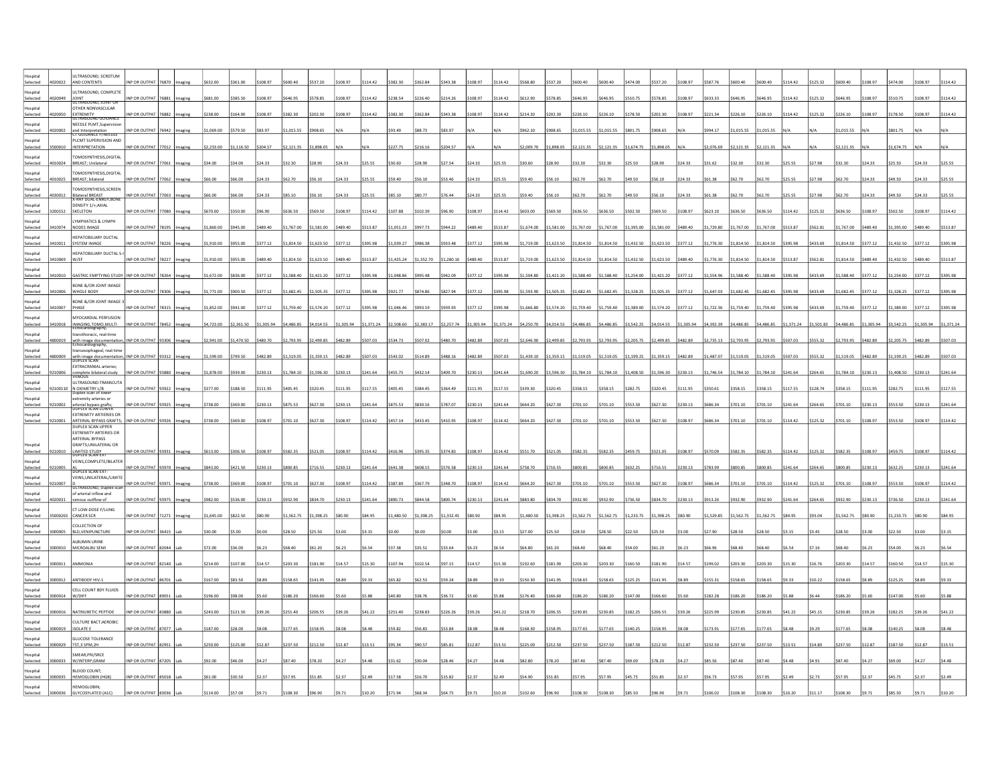| Selected                        | ULTRASOUND, SCROTUM<br>AND CONTENTS                                          | IP OR OUTPA         |       |         |            |            |            |            |            |            |          |            |            |            |            | 114.42                                      | 568.80                | 537.20                |            |            |            |            | 108.97     |            |            |            |          |          |            | 108.97     | \$474.00            |            |            |
|---------------------------------|------------------------------------------------------------------------------|---------------------|-------|---------|------------|------------|------------|------------|------------|------------|----------|------------|------------|------------|------------|---------------------------------------------|-----------------------|-----------------------|------------|------------|------------|------------|------------|------------|------------|------------|----------|----------|------------|------------|---------------------|------------|------------|
| Insnital                        | ULTRASOUND, COMPLETE                                                         |                     |       |         |            |            |            | 646.95     |            | 108 97     | 114 42   | 238.54     | \$226.40   | 214 26     | 108 97     |                                             |                       |                       |            |            | \$510.75   | 38.852     |            |            |            |            | 14.42    | 125.32   | 646.95     |            |                     | \$108.97   |            |
| Selected<br>P20049<br>lospital  | JOINT<br>TULTRASOUND, JOINT OR<br>OTHER NONVASCULAR                          | NP OR OUTPAT 76881  |       |         | \$681.00   | \$385.50   | \$108.97   |            | 578.85     |            |          |            |            |            |            | \$114.42                                    | \$612.90              | \$578.85              | \$646.95   | 646.95     |            |            | \$108.97   | \$633.33   | 646.9      |            |          |          |            | 108.97     | \$510.75            |            |            |
| Selected<br>20050<br>ospital    | EXTREMITY<br>ULTRASOUND GUIDANCE<br>NEEDLE PLMT, Supervision                 | INP OR OUTPAT 76882 |       |         | \$238.00   | \$164.00   | \$108.97   | \$382.30   | \$202.30   | \$108.97   | \$114.42 | \$382.30   | \$362.84   | \$343.38   | 108.97     | \$114.42                                    | \$214.20              | \$202.30              | \$226.10   | \$226.10   | \$178.50   | \$202.30   | \$108.97   | \$221.34   | 226.10     |            |          | 125.32   | 226.10     | \$108.97   | \$178.50            | \$108.97   | \$114.42   |
| Selected<br>020002<br>Hospital  | and Interpretation<br>CT GUIDANCE F/NEEDLE<br>PLCMT SUPERVISION AND          | INP OR OUTPAT 76942 |       |         | \$1,069.00 | \$579.50   | \$83.97    | \$1,015.55 | \$908.65   |            |          | \$93.49    | \$88.73    | \$83.97    |            |                                             | \$962.10              | \$908.65              | \$1,015.55 | \$1,015.55 | \$801.75   | \$908.65   |            | \$994.17   | 1,015.55   |            |          |          | 1,015.55   |            | \$801.75            |            |            |
| Selected<br>500010<br>Hospital  | <b>INTERPRETATION</b><br>TOMOSYNTHESIS.DIGITAL                               | INP OR OUTPAT       | 77012 |         | \$2,233.00 | 1,116.50   | \$204.57   | \$2,121.3  | 1,898.09   |            |          | \$227.7    | 216.16     | \$204.57   |            |                                             | \$2,009.70            | 1,898.05              | \$2,121.35 | \$2,121.35 | \$1,674.75 | 1,898.05   |            | \$2,076.69 |            |            |          |          | .121.35    |            | 1.674.7             |            |            |
| Selected                        | BREAST; Unilateral                                                           | INP OR OUTPAT       | 7061  |         | 34.00      | 34.00      | \$24.33    | \$32.30    | \$28.90    | \$24.33    | 325.5    | 30.60      | \$28.9     | 27.54      | 324.33     | \$25.55                                     | \$30.60               | \$28.90               | \$32.30    | \$32.30    | \$25.50    | \$28.90    | \$24.33    | \$31.62    |            |            |          |          |            |            |                     |            |            |
| Hospital<br>elected<br>010025   | OMOSYNTHESIS, DIGITAL<br><b>BREAST; bilateral</b>                            | INP OR OUTPAT       | 7062  |         | 66.00      | 66.00      | \$24.33    | \$62.70    | 56.10      | \$24.33    | \$25.55  | 59.40      | \$56.10    | 53.46      | 24.33      | \$25.55                                     | \$59.40               | \$56.10               | \$62.70    | \$62.70    | \$49.50    | \$56.10    | \$24.33    | \$61.38    |            |            |          |          |            | 24.33      | \$49.50             | 324.33     |            |
| lospital<br>Selected<br>4030012 | OMOSYNTHESIS.SCREEN<br>Bilateral BREAST<br>X-RAY DUAL-ENRGY,BONE             | INP OR OUTPAT 77063 |       |         | \$66.00    | \$66.00    | \$24.33    | \$85.10    | \$56.10    | \$24.33    | \$25.55  | \$85.10    | \$80.77    | \$76.44    | \$24.33    | \$25.55                                     | \$59.40               | \$56.10               | S62.70     | \$62.70    | \$49.50    | \$56.10    | \$24.33    | \$61.38    | \$62.70    | \$62.70    |          | 2798     | 62.70      | \$24.33    | \$49.50             | \$24.33    | \$25.55    |
| lospital<br>Selected<br>200152  | DENSITY 1/+:AXIAL<br>SKELETON                                                | INP OR OUTPAT 77080 |       |         | \$670.00   | \$350.00   | \$96.90    | \$636.50   | \$569.50   | \$108.97   | \$114.42 | \$107.88   | \$102.39   | \$96.90    | \$108.97   | \$114.42                                    | \$603.00              | \$569.50              | \$636.50   | \$636.50   | \$502.50   | \$569.50   | \$108.97   | \$623.10   | \$636.50   |            | 14.42    | 125.32   | 636.50     | \$108.97   | \$502.50            | \$108.97   | \$114.42   |
| ospital<br>Selected<br>410074   | YMPHATICS & LYMPH<br>NODES IMAGE                                             | NP OR OUTPAT 78195  |       |         | 1,860.00   | \$945.00   | \$489.40   | \$1,767.00 | \$1,581.00 | \$489.40   | \$513.87 | 1,051.23   | \$997.73   | \$944.22   | \$489.40   | \$513.87                                    | \$1,674.00 \$1,581.00 |                       | \$1,767.00 | \$1,767.00 | \$1,395.00 | \$1,581.00 | \$489.40   | \$1,729.80 | 1,767.0    |            |          |          | 1,767.00   | \$489.40   | \$1,395.00          | \$489.40   | \$513.87   |
| Hospital<br>Selected<br>3410011 | <b>HEPATOBILIARY DUCTAL</b><br><b>SYSTEM IMAGE</b>                           | NP OR OUTPAT 78226  |       |         | \$1,910.00 | \$955.00   | \$377.12   | \$1,814.50 | \$1,623.50 | \$377.12   | \$395.98 | \$1,039.27 | \$986.38   | \$933.48   | \$377.12   | \$395.98                                    | \$1,719.00            | \$1,623.50 \$1,814.50 |            | \$1,814.50 | \$1,432.50 | \$1,623.50 | \$377.12   | \$1,776.30 | 1.814.50   | \$1.814.50 | 395.98   | \$433.69 | \$1,814.50 | \$377.12   | \$1,432.50 \$377.12 |            | \$395.98   |
| Hospital<br>Selected            | <b>EPATOBILIARY DUCTAL S-</b><br>W/EF                                        | INP OR OUTPAT       | 78227 |         | 1,910.00   | \$955.00   | 489.40     | \$1,814.50 | \$1,623.50 | 489.40     | 513.87   | 1.425.24   | \$1.352.70 | 1,280.16   | \$489.40   | \$513.87                                    | \$1,719.00            | \$1,623.50            | \$1,814.50 | \$1,814.50 | \$1,432.50 | \$1,623.50 | \$489.40   | \$1,776.30 |            |            |          |          | 1.814.50   | \$489.40   | \$1,432.50          | \$489.40   | \$513.87   |
| lospital                        |                                                                              |                     |       |         |            |            |            |            |            |            |          |            |            |            |            |                                             |                       |                       |            |            |            |            |            |            |            |            |          |          |            |            |                     |            |            |
| Selected<br>10010<br>Hospital   | <b>GASTRIC EMPTYING STUD</b><br>BONE & OR JOINT IMAGE                        | NP OR OUTPAT        |       |         | 1,672.00   | \$836.00   | 3377.12    | \$1,588.40 | 1,421.20   | 377.12     | 395.98   | 1,048.86   | \$995.48   | 942.09     | 377.12     | \$395.98                                    | \$1,504.80            | 1,421.20              | \$1,588.40 | 1,588.40   | \$1,254.00 | \$1,421.20 | \$377.12   | 1,554.9    | 588.40     |            |          |          | 1,588.40   | \$377.12   | \$1,254.00          | 377.12     |            |
| Selected<br>410006<br>Hospital  | WHOLE BODY<br>BONE &/OR JOINT IMAGE                                          | INP OR OUTPAT 78306 |       |         | \$1,771.00 | \$900.50   | \$377.12   | \$1,682.45 | \$1,505.35 | \$377.12   | \$395.98 | \$921.77   | \$874.86   | \$827.94   | \$377.12   | \$395.98                                    | \$1,593.90            | \$1,505.35            | \$1,682.45 | \$1,682.45 | \$1,328.25 | \$1,505.35 | \$377.12   | \$1,647.03 | \$1,682.45 | 1.682.45   | 395.98   | 433.69   | 1,682.45   | \$377.12   | \$1,328.25          | \$377.12   | \$395.98   |
| Selected<br>3410007<br>lospital | PHASE<br>MYOCARDIAL PERFUSION                                                | INP OR OUTPAT 78315 |       |         | \$1,852.00 | \$941.00   | \$377.12   | \$1,759.40 | \$1,574.20 | \$377.12   | \$395.98 | 1,046.46   | \$993.19   | \$939.93   | \$377.12   | \$395.98                                    | \$1,666.80            | \$1,574.20            | \$1,759.40 | \$1,759.40 | \$1,389.00 | \$1,574.20 | \$377.12   | \$1,722.36 | \$1,759.40 | \$1.759.40 |          | 433.69   | 1,759.40   | \$377.12   | \$1,389.00          | \$377.12   | \$395.98   |
| Selected<br>3410018<br>Hospital | IMAGING, TOMO, MULTI<br>ransthoracic, real-time                              | NP OR OUTPAT 78452  |       |         | \$4,723.00 | \$2,361.50 | \$1,305.94 | \$4,486.85 | \$4,014.55 | \$1,305.94 | 1,371.24 | 2,508.60   | \$2,383.17 | \$2,257.74 | \$1,305.94 | \$1,371.24 \$4,250.70 \$4,014.55 \$4,486.85 |                       |                       |            | \$4,486.85 | \$3,542.25 | \$4,014.55 | \$1,305.94 | \$4,392.39 | 4,486.85   |            |          | ,501.83  | \$4,486.85 | \$1,305.94 | \$3,542.25          | \$1,305.94 | \$1,371.24 |
| Selected<br>4800019             | with image documentation,<br>Echocardiography,                               | INP OR OUTPAT 93306 |       | naging  | \$2,941.00 | \$1,470.50 | \$480.70   | \$2,793.95 | \$2,499.85 | \$482.89   | \$507.03 | 534.73     | \$507.02   | \$480.70   | \$482.89   | \$507.03                                    | \$2,646.90            | \$2,499.85            | \$2,793.95 | \$2,793.95 | \$2,205.75 | \$2,499.85 | \$482.89   | \$2,735.13 | 2,793.9    |            |          |          | 2,793.95   | \$482.89   | \$2,205.75          | \$482.89   | \$507.03   |
| Hospital<br>Selected<br>800009  | ransesophageal, real-tin<br>with image documentation<br>DUPLEX SCAN          | INP OR OUTPAT 93312 |       | maging  | 1,599.00   | \$799.50   | \$482.89   | \$1,519.05 | \$1,359.15 | \$482.8    |          |            | 514.8      | 488.1      | \$482.89   | \$507.03                                    | \$1,439.10            | \$1,359.15            | \$1,519.05 | \$1,519.05 | \$1,199.25 | \$1,359.15 | \$482.89   | \$1,487.07 |            |            |          |          | 1,519.05   | \$482.89   | \$1,199.25          | \$482.89   | \$507.03   |
| Hospital<br>Selected<br>210006  | EXTRACRANIAL arteries;<br>complete bilateral study                           | INP OR OUTPA        | 3880  | naging  | 1,878.00   | \$939.00   | \$230.13   | \$1,784.10 | \$1,596.30 | \$230.13   |          |            |            |            | 230.13     | \$241.64                                    | \$1,690.20            | \$1,596.30            | \$1,784.10 | \$1,784.10 | \$1,408.50 | \$1,596.30 | \$230.13   | \$1,746.54 |            |            |          |          | 1,784.10   | \$230.13   | \$1,408.50          | \$230.13   | \$241.64   |
| Hospital<br>Selected            | <b>ULTRASOUND:TRANSCUTA</b><br>92100110 N OXIMETRY L/B<br>uplex scan of lowe | INP OR OUTPAT 93922 |       | maging  | \$377.00   | \$188.50   | \$111.95   | \$405.45   | \$320.45   | \$111.95   | \$117.55 | \$405.45   | \$384.45   | \$364.49   | 3111.95    | \$117.55                                    | \$339.30              | \$320.45              | \$358.15   | \$358.15   | \$282.75   | \$320.45   | \$111.95   | \$350.61   | \$358.15   | \$358.15   | \$117.55 | 128.74   | \$358.15   | \$111.95   | \$282.75            | S111.95    | \$117.55   |
| lospital<br>210002<br>Selected  | extremity arteries or<br>arterial bypass grafts;<br>DUPLEX SCAN LOWER        | NP OR OUTPAT 93925  |       | nagin   | 738.00     | 369.00     | \$230.13   | \$875.53   | \$627.30   | \$230.13   | \$241.64 | \$875.53   | \$830.16   | \$787.07   | \$230.13   | \$241.64                                    | \$664.20              | \$627.30              | \$701.10   | \$701.10   | \$553.50   | \$627.30   | \$230.13   | \$686.34   | \$701.10   | \$701.10   | \$241.64 | \$264.65 | 701.10     | \$230.13   | \$553.50            | \$230.13   | \$241.64   |
| ospital<br>Selected<br>210001   | <b>EXTREMITY ARTIERIES OR</b><br>ARTERIAL BYPASS GRAFTS                      | NP OR OUTPAT 93926  |       | naginj  | 738.00     | 369.00     | \$108.97   | \$701.10   | \$627.30   | \$108.97   | 114.42   | \$457.14   | \$433.45   | \$410.95   | \$108.97   | \$114.42                                    | \$664.20              | \$627.30              | \$701.10   | \$701.10   | \$553.50   | \$627.30   | \$108.97   | \$686.34   | 701.1      |            | 114.42   | 125.32   | \$701.10   | \$108.97   | \$553.50            | \$108.97   | \$114.42   |
|                                 | DUPLEX SCAN UPPER<br><b>EXTREMITY ARTERIES OR</b><br>ARTERIAL BYPASS         |                     |       |         |            |            |            |            |            |            |          |            |            |            |            |                                             |                       |                       |            |            |            |            |            |            |            |            |          |          |            |            |                     |            |            |
| ospital<br>9210010<br>Selected  | <b>GRAFTS;UNILATERAL OR</b><br>LIMITED STUDY                                 | INP OR OUTPAT 93931 |       | Imaging | \$613.00   | \$306.50   | \$108.97   | \$582.35   | \$521.05   | \$108.97   | \$114.42 | \$416.96   | \$395.35   | \$374.83   | \$108.97   | \$114.42                                    | \$551.70              | \$521.05              | \$582.35   | \$582.35   | \$459.75   | \$521.05   | \$108.97   | \$570.09   | \$582.3    | \$582.35   | \$114.42 | 125.32   | \$582.35   | \$108.97   | \$459.75            | \$108.97   | S114.42    |
| ospital<br>Selected<br>210005   | VEINS, COMPLETE/BILATER                                                      | NP OR OUTPAT 93970  |       | naging  | \$843.00   | \$421.50   | \$230.13   | \$800.85   | \$716.55   | \$230.13   | \$241.64 | \$641.38   | \$608.15   | 576.58     | 3230.13    | \$241.64                                    | \$758.70              | \$716.55              | \$800.85   | \$800.85   | \$632.25   | \$716.55   | \$230.13   | \$783.99   | \$800.8    |            |          |          | 800.85     | \$230.13   | \$632.25            | \$230.13   |            |
| Hospital<br>Selected<br>9210007 | <b>IPLEX SCAN EX</b><br>VEINS.UNILATERAL/LIMITE                              | INP OR OUTPAT       | 93971 |         | \$738.00   | 369.00     | \$108.97   | \$701.10   | \$627.30   | 108.97     | 114.42   | 387.89     | 367.79     | 348.70     | 108.97     | \$114.42                                    | \$664.20              | \$627.30              | \$701.10   | 5701.10    | \$553.50   | \$627.30   | 108.97     | \$686.34   |            |            |          |          |            | 108.97     | \$553.50            | \$108.97   | 114.42     |
| Hospital<br>Selected            | <b>RASOUND: DUDIEX SCE</b><br>of arterial inflow and<br>venous outflow of    | INP OR OUTPAT       | 93975 |         | \$982.00   | \$536.00   | \$230.13   | \$932.90   | \$834.70   | \$230.13   | \$241.6  | \$890.73   | \$844.58   | \$800.74   | \$230.13   | \$241.64                                    | \$883.80              | \$834.70              | \$932.90   | \$932.90   | \$736.50   | \$834.70   | \$230.13   | \$913.26   |            |            |          |          |            | \$230.13   | \$736.50            | \$230.13   | \$241.6    |
| lospital                        | CT LOW-DOSE F/LUNG                                                           |                     |       |         |            |            |            |            |            |            |          |            |            |            |            |                                             |                       |                       |            |            |            |            |            |            |            |            |          |          |            |            |                     |            |            |
| Selected<br>lospital            | <b>CANCER SCR</b><br>COLLECTION OF                                           | NP OR OUTPA'        |       |         | 1,645.00   | \$822.50   | \$80.90    | 1,562.7    | 1,398.25   |            |          | 1,480.50   | 1,398.25   | 1,332.45   |            | \$84.95                                     | \$1,480.50            | 1,398.25              | 1,562.75   | 1,562.75   | \$1,233.75 | 1,398.25   | \$80.90    | 1,529.     |            |            |          |          |            |            | 1,233.7             | 80.90      |            |
| Selected<br>nnnns<br>lospital   | BLD, VENIPUNCTUR<br>ALBUMIN URINE                                            | INP OR OUTPAT       | 36415 |         | 30.00      |            | sn nn      | \$28.50    | \$25.50    | ta nn      |          |            |            |            | 3.00       | 53.15                                       | \$27.00               | \$25.50               | \$28.50    | \$28.50    | \$22.50    | \$25.50    | \$3,00     | \$27.90    |            |            |          |          |            |            |                     |            |            |
| Selected<br>3000010<br>ospital  | MICROALBU SEMI                                                               | INP OR OUTPAT 82044 |       |         | \$72.00    | \$36.00    | \$6.23     | \$68.40    | \$61.20    | \$6.23     | \$6.54   | \$37.38    | \$35.51    | \$33.64    | \$6.23     | \$6.54                                      | \$64.80               | \$61.20               | \$68.40    | \$68.40    | \$54.00    | \$61.20    | \$6.23     | \$66.96    | \$68.40    |            |          |          |            |            |                     |            |            |
| Selected<br>000011<br>ospital   | <b>MMONIA</b>                                                                | NP OR OUTPAT 82140  |       |         | 214.00     | \$107.00   | \$14.57    | \$203.30   | \$181.90   | \$14.57    | \$15.30  | \$107.94   | \$102.54   | \$97.15    | \$14.57    | \$15.30                                     | \$192.60              | \$181.90              | \$203.30   | \$203.30   | \$160.50   | \$181.90   | \$14.57    | \$199.02   |            |            |          |          |            |            | \$160.50            |            |            |
| Selected<br>000012<br>Hospital  | ANTIBODY HIV-1<br>CELL COUNT BDY FLUIDS                                      | NP OR OUTPAT 86701  |       |         | \$167.00   | \$83.50    | \$8.89     | \$158.65   | \$141.95   | \$8.89     | 9.33     | 65.82      | \$62.53    | 559.24     | \$8.89     | \$9.33                                      | \$150.30              | \$141.95              | \$158.65   | \$158.65   | \$125.25   | \$141.95   | \$8.89     | \$155.31   | 158.6      |            |          |          | 158.65     |            | \$125.25            | \$8.89     |            |
| Selected<br>100014              | W/DIFF                                                                       | INP OR OUTPAT 89051 |       |         | \$196.00   | \$98.00    | \$5.60     | \$186.20   | \$166.60   | 5560       | \$5.88   | \$40.80    | \$38.76    | \$36.72    | 55.60      | \$5.88                                      | \$176.40              | \$166.60              | \$186.20   | \$186.20   | \$147.00   | \$166.60   | \$5.60     | \$182.28   | \$186.20   |            |          |          | 186.20     |            | \$147.00            | \$5.60     |            |
| Hospital<br>Selected<br>200016  | NATRIURETIC PEPTIDE                                                          | NP OR OUTPAT        | 83880 |         | \$243.00   | \$121.50   | \$39.26    | \$251.40   | \$206.55   | \$39.26    | \$41.22  | \$251.40   | \$238.83   | 226.26     | \$39.26    | \$41.22                                     | \$218.70              | \$206.55              | \$230.85   | \$230.85   | \$182.25   | \$206.55   | \$39.26    | \$225.99   | 230.85     | \$230.85   | 41.22    |          | 230.85     | \$39.26    | \$182.25            | \$39.26    | \$41.22    |
| Hospital<br>Selected<br>100019  | CULTURE BACT;AEROBIC<br><b>ISOLATE E</b>                                     | NP OR OUTPAT        | 87077 |         | \$187.00   | \$28.00    | 80.82      | \$177.65   | \$158.95   | \$8.08     | \$8.48   | \$59.82    | \$56.83    | 553.84     | 38.08      | S8.48                                       | \$168.30              | \$158.95              | \$177.65   | \$177.65   | \$140.25   | \$158.95   | \$8.08     | \$173.91   | \$177.65   | \$177.65   | 8.48     |          | 177.65     | \$8.08     | \$140.25            | \$8.08     | \$8.48     |
| Hospital<br>Selected<br>3000029 | <b>GLUCOSE TOLERANCE</b><br>TST,3 SPM,2H                                     | INP OR OUTPAT 82951 |       |         | \$250.00   | \$125.00   | \$12.87    | \$237.50   | \$212.50   | \$12.87    | \$13.51  | \$95.34    | \$90.57    | \$85.81    | \$12.87    | \$13.51                                     | \$225.00              | \$212.50              | \$237.50   | \$237.50   | \$187.50   | \$212.50   | \$12.87    | \$232.50   | \$237.50   | \$237.50   | \$13.51  | 14.80    | \$237.50   | \$12.87    | \$187.50            | \$12.87    | \$13.51    |
| ospital<br>Selected<br>000033   | SMEAR, PRI/SRCE<br>W/INTERP;GRAM                                             | INP OR OUTPAT       | 87205 |         | \$92.00    | \$46.00    | \$4.27     | \$87.40    | \$78.20    | \$4.27     | 4 48     | \$31.62    | \$30.04    | 28.46      | \$4.27     | \$4.48                                      | \$82.80               | \$78.20               | \$87.40    | \$87.40    | \$69.00    | \$78.20    | \$4.27     | \$85.56    | \$87.40    |            |          |          |            |            |                     |            |            |
| Hospital<br>Selected<br>3000035 | <b>BLOOD COUNT</b><br>HEMOGLOBIN (HGE                                        | INP OR OUTPAT 85018 |       |         | 61.00      | 30.50      | \$2.37     | \$57.95    | \$51.85    |            |          | 17.58      | \$16.70    | \$15.82    |            | 52.49                                       | 554.90                | \$51.85               | \$57.95    | \$57.95    | \$45.75    | \$51.85    | \$2.37     | \$56.73    | \$57.9     |            |          |          |            |            |                     |            |            |
| Hospital<br>30000<br>Selected   | HEMOGLOBIN;<br>GLYCOSYLATED (A1)                                             |                     |       |         |            |            |            |            |            |            |          |            |            |            |            |                                             |                       |                       |            |            |            |            |            |            |            |            |          |          |            |            |                     |            |            |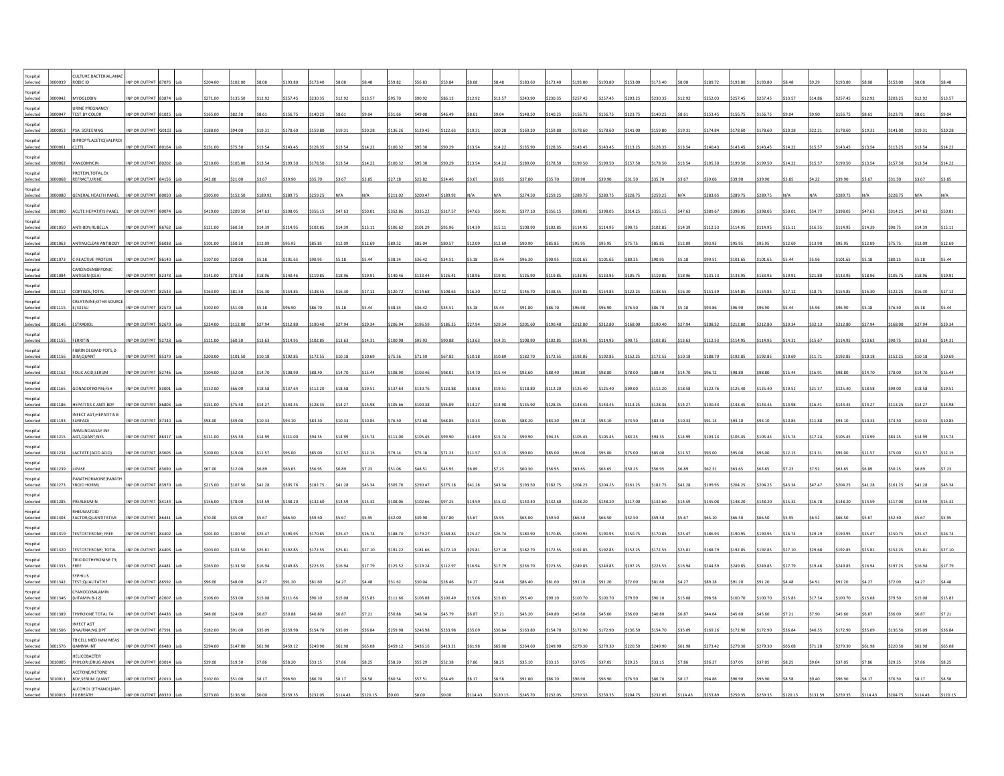| Selected                        | CULTURE, BACTERIAL; ANAE<br>ROBIC ID          | INP OR OUTPAT       |       | 204.00   |          |          | \$193.80 | \$173.40 |         |              |          |          |               |                |         | \$183.60 | \$173.40 | \$193.80 | \$193.80 | \$153.00 | \$173.40 |         | 189.72        |          |          |         |         |          |         |          |         |         |
|---------------------------------|-----------------------------------------------|---------------------|-------|----------|----------|----------|----------|----------|---------|--------------|----------|----------|---------------|----------------|---------|----------|----------|----------|----------|----------|----------|---------|---------------|----------|----------|---------|---------|----------|---------|----------|---------|---------|
| lospital                        |                                               |                     |       |          |          |          |          |          |         |              |          |          |               |                |         |          |          |          |          |          |          |         |               |          |          |         |         |          |         |          |         |         |
| Selected<br>Hospital            | <b>IYOGLOBIN</b><br>URINE PREGNANCY           | NP OR OUTPAT        | 3874  | 271.00   | 135.50   |          | 257.45   | \$230.35 |         |              |          |          |               | \$12.92        | \$13.57 | \$243.90 | 230.35   | \$257.45 | \$257.45 | \$203.25 | \$230.35 | \$12.92 | 252.03        |          |          |         |         | 257.45   | 12.92   |          |         |         |
| Selected<br>000047<br>lospital  | TEST, BY COLOR                                | INP OR OUTPAT 81025 |       | \$165.00 | \$82.50  | 8.61     | \$156.75 | \$140.25 |         | <b>SQ 04</b> |          | 49.08    | 46.49         | \$8.61         | S9.04   | \$148.50 | \$140.25 | \$156.75 | \$156.75 | \$123.75 | \$140.25 | \$8.61  | \$153.45      |          |          |         |         | 156.75   | \$8.61  | 123.75   |         |         |
| Selected                        | 000053 PSA SCREENING                          | INP OR OUTPAT G0103 |       | \$188.00 | \$94.00  | \$19.31  | \$178.60 | \$159.80 | \$19.31 | \$20.28      | 136.2    | 129.45   | \$122.63      | \$19.31        | \$20.28 | \$169.20 | \$159.80 | \$178.60 | \$178.60 | \$141.00 | \$159.80 | \$19.31 | \$174.84      | 178.6    |          |         | 22.21   | 178.60   | \$19.31 | \$141.00 |         |         |
| ospital<br>Selected<br>000061   | DIPROPYLACETIC(VALPROI<br>$C$ ;TTL            | INP OR OUTPAT       |       | \$151.00 | \$75.50  | \$13.54  | \$143.45 | \$128.35 | \$13.54 | \$14.2       |          |          |               | \$13.54        | \$14.22 | \$135.90 | \$128.35 | \$143.45 | \$143.45 | \$113.25 | \$128.35 | \$13.54 | 140.43        |          |          |         |         | 143.45   | \$13.54 | 113.2    |         |         |
| Hospital<br>Selected<br>000062  | VANCOMYCIN                                    | INP OR OUTPAT       | 30202 | \$210.00 | 105.00   | \$13.54  | \$199.50 | \$178.50 | \$13.54 | 34.2         |          |          |               | \$13.54        | S14.22  | \$189.00 | \$178.50 | \$199.50 | \$199.50 | \$157.50 | \$178.50 | \$13.54 |               |          |          |         |         |          |         |          |         |         |
| Hospital<br>000068<br>Selected  | PROTEIN; TOTAL, EX<br>REFRACT, URINE          | NP OR OUTPAT        | 34156 | 42.00    | 21.00    | 3.67     | \$39.90  | \$35.70  | \$3.67  |              |          |          |               | \$3.67         | \$3.85  | \$37.80  | \$35.70  | \$39.90  | \$39.90  | \$31.50  | \$35.70  | \$3.67  |               |          |          |         |         |          |         |          |         |         |
| lospital<br>Selected<br>cennon  | <b>GENERAL HEALTH PANEL</b>                   | INP OR OUTPAT       | 80050 | 305.00   | 152.50   | \$189.92 | \$289.75 | \$259.25 |         |              | 211.02   | 200.47   | 189.92        |                |         | \$274.50 | \$259.25 | \$289.75 | \$289.75 | \$228.75 | \$259.25 |         | \$283.65      |          |          |         |         |          |         |          |         |         |
| Hospital                        |                                               |                     |       |          |          |          |          |          |         |              |          |          |               |                |         |          |          |          |          |          |          |         |               |          |          |         |         |          |         |          |         |         |
| Selected<br>ospital             | 3001000 ACUTE HEPATITIS PANEL                 | INP OR OUTPAT 80074 |       | \$419.00 | \$209.50 | \$47.63  | \$398.05 | \$356.15 | \$47.63 | \$50.01      | \$352.86 | \$335.22 | \$317.57      | \$47.63        | \$50.01 | \$377.10 | \$356.15 | \$398.05 | \$398.05 | \$314.25 | \$356.15 | \$47.63 | \$389.67      | 398.05   |          |         |         | 398.05   | \$47.63 | \$314.25 | \$47.63 |         |
| Selected<br>001050<br>lospital  | ANTI-BDY;RUBELLA                              | INP OR OUTPAT       | 86762 | 121.00   | 60.50    | \$14.39  | \$114.95 | \$102.85 |         |              | 106.62   | 101.29   |               | \$14.39        | \$15.11 | \$108.90 | \$102.85 | \$114.95 | \$114.95 | \$90.75  | \$102.85 | \$14.39 | 112.5         |          |          |         |         |          |         |          | 14.39   |         |
| Selected<br>3001063             | ANTINUCLEAR ANTIBODY                          | INP OR OUTPAT       | 86038 | \$101.00 | 550.50   | \$12.09  | \$95.95  | \$85.85  | \$12.09 | \$12.69      | 89.52    | \$85.04  | \$80.57       | \$12.09        | \$12.69 | \$90.90  | \$85.85  | \$95.95  | \$95.95  | \$75.75  | \$85.85  | \$12.09 | <b>CD FD:</b> |          |          |         |         |          | 12.09   | 75.75    | 12.09   |         |
| Hospital<br>3001073<br>Selected | C-REACTIVE PROTEIN                            | INP OR OUTPAT       | 86140 | \$107.00 | \$20.0   | 5.18     | \$101.65 | \$90.95  |         | \$5.44       | 38.34    | 36.42    | \$34.51       | \$5.18         | S5.44   | \$96.30  | \$90.95  | \$101.65 | \$101.65 | \$80.25  | \$90.95  | \$5.18  | 99.5          |          |          |         |         |          |         | 80.2     |         |         |
| Hospital<br>Selected            | CARCINOEMBRYONIC<br>ANTIGEN (CEA)             | NP OR OUTPAT        | 32378 | \$141.00 | 570.50   |          | \$140.46 | \$119.85 | \$18.96 | 19.91        | 140.46   | 133.44   | 126.41        | \$18.96        | \$19.91 | \$126.90 | \$119.85 | \$133.95 | \$133.95 | \$105.75 | \$119.85 | \$18.96 | 131.13        |          |          |         |         | 133.95   | 18.96   |          |         |         |
| Hospital<br>Selected<br>3001112 | CORTISOL;TOTAL                                | INP OR OUTPAT 82533 |       | \$163.00 | \$81.50  | 16.30    | \$154.85 | \$138.55 | \$16.30 | \$17.12      | 120.72   | 114.68   | \$108.65      | \$16.30        | \$17.12 | \$146.70 | \$138.55 | \$154.85 | \$154.85 | \$122.25 | \$138.55 | \$16.30 | \$151.59      | 154.85   | 154.85   |         |         | 154.85   | \$16.30 | \$122.25 |         |         |
| Hospital                        | CREATININE; OTHR SOURCE                       |                     |       |          |          |          |          |          |         |              |          |          |               |                |         |          |          |          |          |          |          |         |               |          |          |         |         |          |         |          |         |         |
| Selected<br>Hospital            | 3001115 E/3315U                               | INP OR OUTPAT 82570 |       | \$102.00 | \$51.00  | 55.18    | \$96.90  | \$86.70  | S5.18   | \$5.44       | \$38.34  | 36.42    | \$34.51       | \$5.18         | \$5.44  | \$91.80  | \$86.70  | \$96.90  | \$96.90  | \$76.50  | \$86.70  | \$5.18  | \$94.86       | :96.90   |          |         |         |          |         | \$76.50  |         |         |
| Selected<br>Hospital            | 3001146 ESTRADIOL                             | INP OR OUTPAT 82670 |       | \$224.00 | \$112.00 | \$27.94  | \$212.80 | \$190.40 | \$27.94 | \$29.34      | 206.94   | 196.59   | \$186.25      | \$27.94        | \$29.34 | \$201.60 | \$190.40 | \$212.80 | \$212.80 | \$168.00 | \$190.40 | \$27.94 | 208.32        | 5212.8   |          |         |         | 212.80   | \$27.94 | \$168.00 | \$27.94 |         |
| Selected<br>3001155             | FERRITIN                                      | INP OR OUTPAT 82728 |       | \$121.00 | \$60.50  | \$13.63  | \$114.95 | \$102.85 | \$13.63 | \$14.3       | 100.9    |          | \$90.88       | \$13.63        | \$14.31 | \$108.90 | \$102.85 | \$114.95 | \$114.95 | \$90.75  | \$102.85 | \$13.63 | 112.53        | 114.9    |          |         |         | 114.95   | \$13.63 | \$90.75  | 13.63   |         |
| Hospital<br>Selected<br>3001156 | FIBRIN DEGRAD PDTS,D-<br>DIM; QUANT           | INP OR OUTPAT       | 85379 | \$203.00 | \$101.50 | \$10.18  | \$192.85 | \$172.55 | \$10.18 | \$10.69      |          |          |               | \$10.18        | \$10.69 | \$182.70 | \$172.55 | \$192.85 | \$192.85 | \$152.25 | \$172.55 | \$10.18 | \$188.7       |          |          |         |         |          | 10.18   |          |         |         |
| Hospital<br>Selected<br>3001162 | FOLIC ACID; SERUM                             | INP OR OUTPA        | 32746 | \$104.00 | 552.00   | \$14.70  | \$108.90 | \$88.40  | \$14.70 | ،15.4        |          |          |               |                | \$15.44 | \$93.60  | \$88.40  | \$98.80  | \$98.80  | \$78.00  | \$88.40  | \$14.70 |               |          |          |         |         |          | 14.70   |          |         |         |
| Hospital<br>Selected            | 3001165 GONADOTROPIN;FSH                      | INP OR OUTPAT 83001 |       | \$132.00 | \$66.00  | \$18.58  | \$137.64 | \$112.20 | \$18.58 | S19.51       | \$137.64 | \$130.76 | \$123.88      | \$18.58        | \$19.51 | \$118.80 | \$112.20 | \$125.40 | \$125.40 | \$99.00  | \$112.20 | \$18.58 | \$122.76      | \$125.40 | \$125.40 | \$19.51 | \$21.37 | \$125.40 | S18.58  | \$99.00  | \$18.58 | \$19.51 |
| lospital<br>Selected            | 3001186 HEPATITIS C ANTI-BDY                  | INP OR OUTPAT 86803 |       | \$151.00 | \$75.50  | \$14.27  | \$143.45 | \$128.35 | \$14.27 | \$14.98      | \$105.66 | \$100.38 | \$95.09       | \$14.27        | \$14.98 | \$135.90 | \$128.35 | \$143.45 | \$143.45 | \$113.25 | \$128.35 | \$14.27 | \$140.43      | \$143.45 | \$143.45 |         | 16.41   | 143.45   | \$14.27 | \$113.25 | \$14.27 | \$14.9  |
| ospital                         | <b>INFECT AGT;HEPATITIS B</b>                 |                     |       |          |          |          |          |          |         |              |          |          |               |                |         |          |          |          |          |          |          |         |               |          |          |         |         |          |         |          |         |         |
| Selected<br>3001193<br>Hospital | SURFACE<br>IMMUNOASSAY INF                    | NP OR OUTPAT 87340  |       | \$98.00  | \$49.00  | \$10.33  | \$93.10  | \$83.30  | \$10.33 | 10.8         |          |          | 68.85         | \$10.33        | \$10.85 | \$88.20  | \$83.30  | \$93.10  | \$93.10  | \$73.50  | \$83.30  | \$10.33 | 91.14         |          |          |         |         |          | 10.33   |          |         |         |
| Selected<br>Hospital            | 3001215 AGT.QUANT:NES                         | INP OR OUTPAT 86317 |       | \$111.00 | \$55.50  | 14 99    | \$111.00 | \$94.35  | \$14.99 | \$15.74      |          | 105 45   | <b>NP PP2</b> | \$14.99        | \$15.74 | \$99.90  | \$94.35  | \$105.45 | \$105.45 | \$83.25  | \$94.35  | \$14.99 | \$103.23      | 105.4    |          |         | 1724    | 105.45   | 14.99   | \$83.7   |         |         |
| 3001234<br>Selected             | LACTATE (ACID ACID)                           | NP OR OUTPAT        |       | \$100.00 | 19.00    | \$11.57  | \$95.00  | \$85.00  | \$11.57 |              | 79.14    |          | 571.23        | \$11.57        | \$12.15 | \$90.00  | \$85.00  | \$95.00  | \$95.00  | \$75.00  | \$85.00  | \$11.57 | 93.00         |          |          |         |         |          | \$11.57 |          |         |         |
| lospital<br>Selected<br>001239  | <b>IPASE</b>                                  | NP OR OUTPAT        |       | \$67.00  | \$12.00  | 6.89     | \$63.65  |          |         |              |          |          |               |                | \$7.23  | \$60.30  | \$56.95  | \$63.65  | \$63.65  | \$50.25  | \$56.95  | 6.89    |               | 63.65    | 63.65    |         |         |          |         |          |         |         |
| Hospital<br>Selected            | PARATHORMONE (PARATH<br>3001273   YROID HORM) | INP OR OUTPAT 83970 |       | \$215.00 | \$107.50 | \$41.28  | \$305.76 | \$182.75 | S41.28  | \$43.34      | 305.76   | \$290.47 | \$275.18      | <b>\$41.28</b> | S43.34  | \$193.50 | \$182.75 | \$204.25 | \$204.25 | \$161.25 | \$182.75 | \$41.28 | \$199.95      | \$204.25 | \$204.25 | \$43.34 | \$47.47 | 204.25   | S41.28  | \$161.25 | 41 28   |         |
| lospital<br>Selected            | 3001285 PREALBUMIN                            | INP OR OUTPAT 84134 |       | \$156.00 | \$78.00  | \$14.59  | \$148.20 | \$132.60 | \$14.59 | 515.3        | 108.0    | 102.66   | \$97.25       | \$14.59        | \$15.32 | \$140.40 | \$132.60 | \$148.20 | \$148.20 | \$117.00 | \$132.60 | \$14.59 | \$145.08      | \$148.20 | \$148.20 |         | 16.78   | 148.20   | \$14.59 | \$117.00 | 14.59   |         |
| ospital<br>Selected             | RHEUMATOID<br>3001303 FACTOR;QUANTITATIVE     | INP OR OUTPAT       | 3643  | 70.00    | 35.00    |          | 66.50    | \$59.50  |         |              |          |          |               |                |         | \$63.00  | \$59.50  | \$66.50  | \$66.50  | \$52.50  | \$59.50  | \$5.67  |               |          |          |         |         |          |         |          |         |         |
| Hospital                        |                                               |                     |       |          |          |          |          |          |         |              |          |          |               |                |         |          |          |          |          |          |          |         |               |          |          |         |         |          |         |          |         |         |
| Selected<br>Hospital            | 3001319 TESTOSTERONE; FREE                    | INP OR OUTPAT       | 84402 | \$201.00 | 100.50   | \$25.47  | \$190.95 | \$170.85 | \$25.47 | 26.74        |          | 179.27   | 169.83        | \$25.47        | \$26.74 | \$180.90 | \$170.85 | \$190.95 | \$190.95 | \$150.75 | \$170.85 | \$25.47 | 186.9         |          |          |         |         |          |         |          |         |         |
| 001320<br>Selected<br>lospital  | TESTOSTERONE; TOTAL<br>TRIIODOTHYRONINE T3;   | INP OR OUTPAT       | 84403 | \$203.00 | 101.50   | \$25.81  | \$192.85 | \$172.55 | \$25.8  | 527.10       |          |          | \$172.10      | \$25.81        | \$27.10 | \$182.70 | \$172.55 | \$192.85 | \$192.85 | \$152.25 | \$172.55 | \$25.81 | 188.7         |          |          |         |         |          |         |          |         |         |
| Selected<br>001333              | FREE                                          | NP OR OUTPAT        |       | 263.00   | 131.50   | 16.94    | \$249.85 | \$223.55 | \$16.94 | 17.79        |          |          | 112.97        | \$16.94        | \$17.79 | \$236.70 | \$223.55 | \$249.85 | \$249.85 | \$197.25 | \$223.55 | \$16.94 |               |          |          |         |         |          |         |          |         |         |
| lospital<br>Selected            | SYPHILIS<br>3001342 TEST; QUALITATIVE         | INP OR OUTPAT 86592 |       | \$96.00  | \$48.00  | \$4.27   | \$91.20  | \$81.60  | \$4.27  | S4.48        | \$31.62  | \$30.04  | \$28.46       | \$4.27         | \$4.48  | \$86.40  | \$81.60  | \$91.20  | \$91.20  | \$72.00  | \$81.60  | \$4.27  | \$89.28       |          |          |         |         |          |         | 572.00   | \$4.27  |         |
| ospital<br>3001346<br>Selected  | YANOCOBALAMIN<br>(VITAMIN B-12)               | NP OR OUTPAT        | 82607 | 106.00   | 553.00   | \$15.08  | \$111.66 | \$90.10  | \$15.08 | \$15.83      |          | 106.08   | \$100.49      | \$15.08        | \$15.83 | \$95.40  | \$90.10  | \$100.70 | \$100.70 | \$79.50  | \$90.10  | \$15.08 | 98.58         |          |          |         |         |          |         |          | 15.08   |         |
| ospital<br>Selected<br>3001389  | THYROXINE TOTAL T4                            | INP OR OUTPAT 84436 |       | \$48.00  | 24.00    | 6.87     | \$50.88  | \$40.80  | \$6.87  | 57.21        | 50.88    | 48.34    | \$45.79       | \$6.87         | \$7.21  | \$43.20  | \$40.80  | \$45.60  | \$45.60  | \$36.00  | \$40.80  | \$6.87  | 44.64         |          |          |         |         |          |         | 36.00    | 6.87    |         |
| Hospital                        | INFECT AGT<br>DNA/RNA;NG,DP                   | NP OR OUTPAT        |       | \$182.00 | \$91.00  | \$35.09  | \$259.98 | \$154.70 | \$35.09 | \$36.84      | 259.9    | 246.98   | \$233.98      | \$35.09        | \$36.84 | \$163.80 | \$154.70 | \$172.90 | \$172.90 | \$136.50 | \$154.70 | \$35.09 | 169.2         |          |          |         |         |          |         | 136.50   |         |         |
| Selected<br>ospital             | TB CELL MED IMM MEAS                          |                     | 37591 |          |          |          |          |          |         |              |          |          |               |                |         |          |          |          |          |          |          |         |               |          |          |         |         |          |         |          |         |         |
| Selected<br>IstinzoH            | THI AMMA<br><b>HELICORACTER</b>               | <b>IP OR OUTPAT</b> |       | 294.00   | 147.00   |          | \$459.12 | \$249.90 |         |              |          | 436.16   | \$413.21      | \$61.98        | \$65.08 | 264.60   | 249.90   | \$279.30 | \$279.30 | \$220.50 | \$249.90 | 61.98   | 273.42        |          |          |         |         | 279.30   |         |          |         |         |
| Selected<br>010005              | PHYLORI; DRUG ADMM                            | INP OR OUTPAT 83014 |       | \$39.00  | \$19.50  | 57.86    | \$58.20  | \$33.15  | \$7.86  | <b>S8.25</b> | 558.20   | \$55.29  | \$52.38       | \$7.86         | \$8.25  | \$35.10  | \$33.15  | \$37.05  | \$37.05  | \$29.25  | \$33.15  | \$7.86  | \$36.27       | \$37.05  | \$37.05  |         |         | 37.05    | \$7.86  | \$29.25  |         |         |
| ospital<br>Selected<br>010011   | ACETONE/KETONE<br><b>BDY, SERUM QUANT</b>     | INP OR OUTPAT 82010 |       | \$102.00 | \$51.00  |          | \$96.90  | 86.70    | \$8.17  | \$8.58       | 60.54    | \$57.51  | 554.49        | \$8.17         | S8.58   | \$91.80  | \$86.70  | \$96.90  | \$96.90  | \$76.50  | \$86.70  |         |               | 96.90    |          |         |         |          |         |          |         |         |
| 3010013                         | ALCOHOL (ETHANOL)ANY<br>EX BREATH             |                     |       |          |          |          |          |          |         |              |          |          |               |                |         |          |          |          |          |          |          |         |               |          |          |         |         |          |         |          |         |         |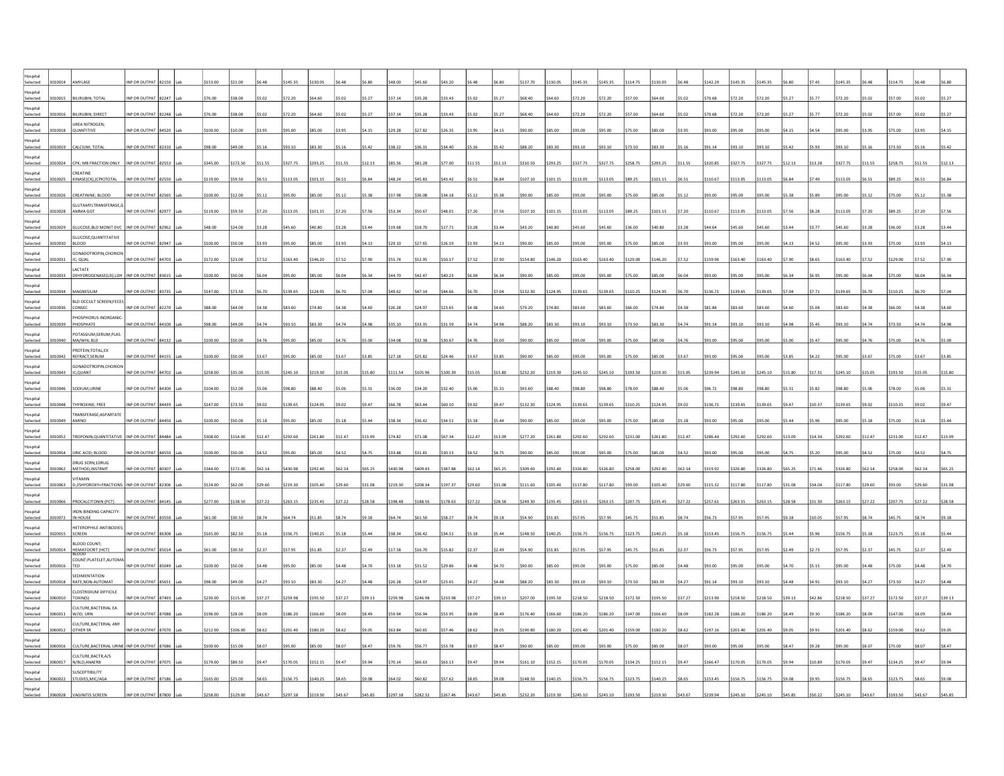| Selected                                   |                                                                   | INP OR OUTPAT 8:                           |  | 153.00            |                     |                | \$145.35            | 130.05              |                   |                   | as or             | 45 6                |                     |                   |                   | \$137.70            | \$130.05            | \$145.35            | \$145.35            | \$114.75            | \$130.05            |                   | \$142.29            | \$145.3             | 1453                |       |         | \$145.35 |         |          |         |        |
|--------------------------------------------|-------------------------------------------------------------------|--------------------------------------------|--|-------------------|---------------------|----------------|---------------------|---------------------|-------------------|-------------------|-------------------|---------------------|---------------------|-------------------|-------------------|---------------------|---------------------|---------------------|---------------------|---------------------|---------------------|-------------------|---------------------|---------------------|---------------------|-------|---------|----------|---------|----------|---------|--------|
| lospital<br>Selected                       | LIRUBIN; TOTA                                                     | NP OR OUTPAT                               |  | 76.00             | 38.00               |                | \$72.20             | \$64.60             |                   |                   | 37.14             | 35.28               | 33.43               |                   |                   | \$68.40             | 64.60               | \$72.20             | 572.20              | \$57.00             | \$64.60             |                   | \$70.68             | 72.21               |                     |       |         |          |         |          |         |        |
| lospital<br>Selected                       | <b>BILIRUBIN; DIRECT</b>                                          | NP OR OUTPAT                               |  | 76.00             | 38.00               | 5.02           | 572.20              | \$64.60             |                   |                   | 37.14             | 35.28               | 33.43               |                   |                   | \$68.40             | 64.60               | \$72.20             | \$72.20             | \$57.00             | \$64.60             | \$5.02            | \$70.68             | 572.20              | 72.20               |       |         |          |         |          |         |        |
| letiozof                                   | <b>JREA NITROGEN;</b>                                             |                                            |  |                   |                     |                |                     |                     |                   |                   |                   |                     |                     |                   |                   |                     |                     |                     |                     |                     |                     |                   |                     |                     |                     |       |         |          |         |          |         |        |
| Selected<br>3010018<br>lospital            | QUANTITIVE                                                        | INP OR OUTPAT 84520                        |  | \$100.00          | \$10.00             | 33.95          | \$95.00             | \$85.00             | \$3.95            | S4.15             | \$29.28           | \$27.82             | \$26.35             | \$3.95            | S4.15             | \$90.00             | \$85.00             | \$95.00             | \$95.00             | \$75.00             | \$85.00             | \$3.95            | \$93.00             | \$95.00             | \$95.00             |       | \$4.54  | \$95.00  |         |          |         |        |
| Selected<br>010019<br>lospital             | CALCIUM; TOTAL                                                    | INP OR OUTPAT 82310                        |  | 98.00             | \$49.00             |                | \$93.10             | \$83.30             | \$5.16            | \$5.42            | 38.22             | 36.31               | \$34.40             |                   | \$5.42            | \$88.20             | \$83.30             | \$93.10             | \$93.10             | \$73.50             | \$83.30             | \$5.16            | \$91.14             | \$93.10             | 93.1C               |       |         |          |         |          |         |        |
| Selected<br>010024<br>lospital             | CPK; MB FRACTION ONLY<br>CREATINE                                 | INP OR OUTPAT 82553                        |  | \$345.00          | 172.50              | 11.55          | \$327.75            | \$293.25            | \$11.55           |                   | 85.5              | 31.28               |                     |                   | \$12.13           | \$310.50            | \$293.25            | \$327.75            | \$327.75            | \$258.75            | \$293.25            | \$11.55           | \$320.85            | 327.                |                     |       |         |          |         |          |         |        |
| Selected<br>010025<br>Hospital             | KINASE(CK),(CPK)TOTAL                                             | INP OR OUTPAT                              |  | 119.00            | 59.50               | 6.51           | \$113.05            | \$101.15            | \$6.51            | \$6.84            | 48.24             | \$45.83             | \$43.42             | \$6.51            | \$6.84            | \$107.10            | \$101.15            | \$113.05            | \$113.05            | \$89.25             | \$101.15            | \$6.51            | \$110.67            |                     |                     |       |         | 113.05   |         | 89.25    |         |        |
| Selected<br>010026<br>letiozof             | CREATININE; BLOOD<br><b>SLUTAMYLTRANSFERASE.C</b>                 | INP OR OUTPAT                              |  | on on             | 12.00               | 5.12           | 95.00               | \$85.00             | \$5.12            |                   | 37.98             | 80.85               | 34 18               |                   | 55.28             | 90.00               | \$85.00             | \$95.00             | \$95.00             | \$75.00             | \$85.00             | \$512             | \$93.00             |                     |                     |       |         |          |         |          |         |        |
| Selected                                   | 3010028 AMMA GGT                                                  | INP OR OUTPAT 82977                        |  | 119.00            | \$59.50             | 57.20          | \$113.05            | \$101.15            | \$7.20            | \$7.56            | \$53.34           | \$50.67             | \$48.01             | 57.20             | \$7.56            | \$107.10            | \$101.15            | \$113.05            | \$113.05            | \$89.25             | \$101.15            | \$7.20            | \$110.67            | \$113.05            |                     |       |         | 113.05   |         |          |         |        |
| lospital<br>Selected                       | 010029 GLUCOSE, BLD MONIT DVC   INP OR OUTPAT 82962               |                                            |  |                   | 24.00               | 3.28           | \$45.60             | \$40.80             | \$3.28            | \$3.44            | \$19.68           | \$18.70             | \$17.71             |                   | \$3.44            | \$43.20             | \$40.80             | \$45.60             | \$45.60             | \$36.00             | \$40.80             | \$3.28            | \$44.64             |                     |                     |       |         |          |         |          |         |        |
| lospital<br>Selected<br>010030             | GLUCOSE; QUANTITATIVE<br><b>BLOOD</b>                             | INP OR OUTPAT 82947                        |  | 100.00            | 50.00               | 3 qa           | 195.00              | \$85.00             | \$3.93            |                   | 29.10             | 27.65               | 26.19               | 59.93             | \$4.13            | \$90.00             | \$85.00             | \$95.00             | \$95.00             | \$75.00             | \$85.00             | \$3.93            | \$93.00             |                     |                     |       |         |          |         |          |         |        |
| letiozot<br>Selected<br>3010031            | <b>GONADOTROPIN.CHORION</b><br>IC; QUAL                           | INP OR OUTPAT 84703                        |  | \$172.00          | \$23.00             | 752            | \$163.40            | \$146.20            | \$7.52            | \$7.90            | \$55.74           | \$52.95             | \$50.17             | \$7.52            | \$7.90            | \$154.80            | \$146.20            | \$163.40            | \$163.40            | \$129.00            | \$146.20            | \$7.52            | \$159.96            | \$163.40            | \$163.40            |       |         | \$163.40 |         |          |         |        |
| lospital<br>Selected<br>10033              | LACTATE<br>DEHYDROGENASE(LD), LDH INP OR OUTPAT                   |                                            |  | 100.00            | 50.00               | 6.04           | \$95.00             | \$85.00             |                   | \$6.34            | 44.70             | 42.47               | \$40.23             | \$6.04            | \$6.34            | \$90.00             | \$85.00             | \$95.00             | \$95.00             | \$75.00             | \$85.00             | \$6.04            | \$93.00             | 95.00               |                     |       |         | \$95.00  |         |          |         |        |
| lospital<br>Selected<br>010034             | MAGNESIUM                                                         | NP OR OUTPAT 83735                         |  | 147.00            | 573.50              | 6.70           | 139.65              | 124.95              | \$6.70            | \$7.04            | \$49.62           | 47.14               | \$44.66             | <b>670</b>        | \$7.04            | \$132.30            | \$124.95            | \$139.65            | \$139.65            | \$110.25            | \$124.95            | \$6.70            | \$136.71            | 139.65              | 139.65              |       |         | \$139.65 |         |          |         |        |
| letiozol<br>Selected                       | <b>BLD OCCULT SCREEN:FECES</b><br>010036 CONSEC                   | INP OR OUTPAT 82270                        |  | \$88.00           | \$44.00             | \$4.38         | \$83.60             | \$74.80             | \$4.38            | \$4.60            | \$26.28           | \$24.97             | \$23.65             | \$4.38            | \$4.60            | \$79.20             | \$74.80             | \$83.60             | \$83.60             | \$66.00             | \$74.80             | \$4.38            | \$81.84             | \$83.60             | \$83.60             |       |         | \$83.60  | \$4.38  |          |         |        |
| lospital<br>Selected<br>010039             | HOSPHORUS INORGANIC<br>PHOSPHATE                                  | INP OR OUTPAT 84100                        |  | \$98.00           | \$49.00             | 64.74          | \$93.10             | \$83.30             | \$4.74            | \$4.98            | \$35.10           | \$33.35             | \$31.59             |                   | \$4.98            | \$88.20             | \$83.30             | \$93.10             | \$93.10             | \$73.50             | \$83.30             | \$4.74            | \$91.14             | \$93.10             | \$93.10             |       |         | \$93.10  |         |          |         |        |
| lospital<br>Selected<br>010040             | POTASSIUM;SERUM,PLAS<br>MA/WHL BLD                                | INP OR OUTPAT 84132                        |  | 100.00            | 50.00               |                | \$95.00             | \$85.00             | \$4.7             |                   | \$34.08           | 32.38               | 30.67               |                   |                   | \$90.00             | \$85.00             | \$95.00             | \$95.00             | \$75.00             | \$85.00             | \$4.76            | \$93.00             | \$95.0              |                     |       |         |          |         |          |         |        |
| lospital<br>Selected<br>3010042            | <b>ROTEIN:TOTAL.EX</b><br>REFRACT, SERUM                          | INP OR OUTPAT 84155                        |  | 100.00            | 550.00              | 3.67           | \$95.00             | \$85.00             | \$3.67            | \$3.85            | \$27.18           | \$25.82             | \$24.46             | \$3.67            | \$3.85            | \$90.00             | \$85.00             | \$95.00             | \$95.00             | \$75.00             | \$85.00             | \$3.67            | \$93.00             | \$95.0              |                     |       |         |          |         |          |         |        |
| lospital<br>Selected<br>010043             | <b>GONADOTROPIN, CHORION</b><br>IC;QUANT                          | INP OR OUTPAT                              |  | 258.00            |                     |                | \$245.10            | \$219.30            | \$15.05           | \$15.80           | 111.5             |                     |                     |                   |                   | \$232.20            | \$219.30            | \$245.10            | \$245.10            | \$193.50            | \$219.30            | \$15.05           | \$239.94            | 245.1               |                     |       |         |          |         |          |         |        |
| lospital<br>3010046<br>Selected            | SODIUM.URINE                                                      | INP OR OUTPAT 84300                        |  | \$104.00          | \$52.00             | \$5.06         | \$98.80             | \$88.40             | \$5.06            | S5.31             | \$36.00           | \$34.20             | \$32.40             | \$5.06            | \$5.31            | \$93.60             | \$88.40             | S98.80              | \$98.80             | \$78.00             | \$88.40             | \$5.06            | \$96.72             | \$98.80             | ng gp:              |       |         | \$98.80  | \$5.06  | \$78.00  | 5.06    | \$5.31 |
| lospital<br>010048<br>Selected             | THYROXINE; FREE                                                   | INP OR OUTPAT 84439                        |  | 147.00            | 573.50              | \$9.02         | \$139.65            | \$124.95            | \$9.02            | \$9.47            | 66.78             | 63.44               | 60.10               | \$9.02            | \$9.47            | \$132.30            | \$124.95            | \$139.65            | \$139.65            | \$110.25            | \$124.95            | \$9.02            | \$136.71            | \$139.65            | \$139.65            |       | 10.37   | \$139.65 | \$9.02  | 110.25   | 9.02    |        |
| lospital<br>Selected<br><b>PAODIO</b>      | <b>FRANSFERASE;ASPARTATE</b><br><b>AMINO</b>                      | INP OR OUTPAT                              |  | 100.00            | so oc               |                | 95.00               | 85.00               |                   |                   | 38.34             | 36.42               |                     |                   |                   | 90.00               | \$85.00             | \$95.00             | \$95.00             | \$75.00             | \$85.00             | \$5.18            | \$93.00             | tes on              |                     |       |         |          |         |          |         |        |
| letiozot<br>Selected<br>3010052            | TROPONIN, QUANTITATIVE                                            | INP OR OUTPAT 8448                         |  | 308.00            | \$154.00            | \$12.47        | \$292.60            | \$261.80            | \$12.47           | \$13.09           | \$74.82           | \$71.08             | \$67.34             | \$12.47           | \$13.09           | \$277.20            | \$261.80            | \$292.60            | \$292.60            | \$231.00            | \$261.80            | \$12.47           | \$286.44            | \$292.60            | \$292.60            | 13.09 | \$14.34 | \$292.60 | \$12.47 | \$231.00 | 12.47   |        |
| lospital<br>Selected<br>10054              | JRIC ACID; BLOOD                                                  | NP OR OUTPAT                               |  | 100.00            | 50.00               | 4.52           | \$95.00             | 85.00               | \$4.52            |                   | 33.48             | 31.81               | \$30.13             | \$4.52            |                   | \$90.00             | \$85.00             | \$95.00             | \$95.00             | \$75.00             | \$85.00             | \$4.52            | \$93.00             | 95.00               |                     |       |         |          |         |          |         |        |
| lospital<br>Selected<br>10062              | RUG SCRN:1DRUG<br>METHOD.INSTRMT                                  | NP OR OUTPAT                               |  | 344.00            | 172.00              | 62 14          | 430.98              | \$292.40            | \$62.14           |                   | 430.98            | Eb PNA              | 387.88              | 662 14            | \$65.25           | \$309.60            | \$292.40            | \$326.80            | \$326.80            | \$258.00            | \$292.40            | \$62.14           | \$319.92            | 326.80              | 326.80              |       |         | 326.80   | \$62.14 |          |         |        |
| lospital<br>Selected                       | <b>ITAMIN</b><br>010063 D;25HYDROXY+FRACTIONS INP OR OUTPAT 82306 |                                            |  | \$124.00          | \$62.00             | \$29.60        | \$219.30            | \$105.40            | \$29.60           | \$31.08           | \$219.30          | \$208.34            | \$197.37            | \$29.60           | \$31.08           | \$111.60            | \$105.40            | \$117.80            | \$117.80            | \$93.00             | \$105.40            | \$29.60           | \$115.32            | \$117.80            | 117.80              | 31.08 | \$34.04 | \$117.80 | \$29.60 | \$93.00  | 29.60   |        |
| lospital<br>Selected                       | 010066 PROCALCITONIN (PCT)                                        | INP OR OUTPAT 84145                        |  | \$277.00          | \$138.50            | \$27.22        | \$263.15            | \$235.45            | \$27.22           | \$28.58           | 198.48            | 188.56              | \$178.63            | \$27.22           | \$28.58           | \$249.30            | \$235.45            | \$263.15            | \$263.15            | \$207.75            | \$235.45            | \$27.22           | \$257.61            | 263.1               |                     |       |         | \$263.15 | \$27.22 |          |         |        |
| lospital<br>Selected<br>010072             | <b>IRON BINDING CAPACITY-</b><br>IN HOUSE                         | INP OR OUTPAT 83550                        |  | 51.00             | 30.50               |                | \$64.74             | 51.85               | \$8.74            |                   | 64.74             |                     |                     |                   |                   | \$54.90             | 51.85               | \$57.95             | \$57.95             | \$45.75             | \$51.85             | \$8.74            | \$56.73             |                     |                     |       |         |          |         |          |         |        |
| Hospital<br>Selected<br>020015             | HETEROPHILE ANTIBODIES:<br>SCREEN                                 | INP OR OUTPAT 86308                        |  | 165.01            | 82.50               | 5.18           | \$156.75            | \$140.25            | \$5.18            | \$5.44            | 38.34             | 36.4                | 34.5                |                   | \$5.44            | \$148.50            | \$140.25            | \$156.75            | \$156.75            | \$123.75            | \$140.25            | \$5.18            | \$153.49            |                     |                     |       |         |          |         |          |         |        |
| lospital<br>Selected<br>050014             | <b>BLOOD COUNT;</b><br>HEMATOCRIT (HCT)                           | INP OR OUTPAT                              |  |                   |                     |                | \$57.95             | \$51.85             | \$2.37            |                   | 17.58             |                     |                     |                   |                   | 54.90               | 51.85               | \$57.95             | \$57.95             | \$45.75             | \$51.85             | \$2.37            | \$56.73             |                     |                     |       |         |          |         |          |         |        |
| letiozof                                   | COUNT;PLATELET,AUTOMA<br><b>TFD</b>                               |                                            |  |                   |                     |                |                     |                     | \$4.48            |                   |                   |                     |                     |                   |                   |                     |                     |                     |                     |                     |                     |                   |                     |                     |                     |       |         |          |         |          |         |        |
| Selected<br>lospital                       | <b>SEDIMENTATION</b>                                              | INP OR OUTPAT 85049                        |  |                   |                     |                | 95.00               | \$85.00             |                   |                   | 33.18             |                     |                     |                   |                   | \$90.00             | \$85.00             | \$95.00             | \$95.00             | \$75.00             | \$85.00             | \$4.48            | \$93.00             |                     |                     |       |         |          |         |          |         |        |
| Selected<br>lospital<br>Selected<br>060010 | 050018 RATE, NON-AUTOMAT<br>LOSTRIDIUM DIFFICILE<br>TOXIN(S)      | INP OR OUTPAT 85651<br>INP OR OUTPAT 87493 |  | 98.00<br>\$230.00 | \$49.00<br>\$115.00 | 4.27<br>337.27 | \$93.10<br>\$259.98 | \$83.30<br>\$195.50 | \$4.27<br>\$37.27 | \$4.48<br>\$39.13 | 26.28<br>\$259.98 | \$24.97<br>\$246.98 | \$23.65<br>\$233.98 | \$4.27<br>\$37.27 | \$4.48<br>\$39.13 | \$88.20<br>\$207.00 | \$83.30<br>\$195.50 | \$93.10<br>\$218.50 | \$93.10<br>\$218.50 | \$73.50<br>\$172.50 | \$83.30<br>\$195.50 | \$4.27<br>\$37.27 | \$91.14<br>\$213.90 | \$93.10<br>\$218.50 | \$93.10<br>\$218.50 |       |         | \$218.50 | \$37.27 | 172.50   | \$37.27 |        |
| lospital                                   | CULTURE, BACTERIAL EA                                             | INP OR OUTPAT 8708                         |  |                   |                     |                |                     |                     |                   |                   |                   |                     |                     |                   |                   | \$176.40            | \$166.60            | \$186.20            |                     |                     | \$166.60            |                   |                     |                     |                     |       |         |          |         |          |         |        |
| Selected<br>060011<br>lospital             | W/ID, URN<br>CULTURE, BACTERIAL ANY                               |                                            |  | 196.00            | \$28.00             | \$8.09         | \$186.20            | \$166.60            | \$8.09            | S8.49             | \$59.94           | \$56.94             | \$53.95             | \$8.09            | S8.49             |                     |                     |                     | \$186.20            | \$147.00            |                     | \$8.09            | \$182.28            | \$186.20            | 186.20              |       |         | \$186.20 |         | 147.00   | PO 8    |        |
| Selected<br>160012<br>lospital             | <b>OTHER SR</b>                                                   | INP OR OUTPAT                              |  | 212.00            | 106.00              | 38.62          | \$201.40            | \$180.20            | \$8.62            | \$9.05            | 63.84             | 60.65               | 557.46              | \$8.62            | \$9.05            | \$190.80            | \$180.20            | \$201.40            | \$201.40            | \$159.00            | \$180.20            | \$8.62            | \$197.16            | 201.4               | 201.40              |       |         | \$201.40 | \$8.62  | 159.00   |         |        |
| Selected<br>lospital                       | ULTURE, BACTERIAL URINE INP OR OUTPAT<br>CULTURE.BACTR.A/S        |                                            |  | 100.00            | 3500                | <b>SR 07</b>   | 00.28               | 585.00              | \$8.07            | <b>SR 47</b>      | \$9.76            | 56 77               | \$53.78             | \$8.07            | SR 47             | 00.00               | \$85.00             | \$95.00             | \$95.00             | \$75.00             | \$85.00             | \$8.07            | \$93.00             | 00.29               |                     |       |         | 395.00   | \$8.07  |          |         |        |
| Selected<br>060017<br>lospital             | N/BLD, ANAERB<br><b>USCEPTIBILITY</b>                             | INP OR OUTPAT 87075                        |  | \$179.00          | \$89.50             | \$9.47         | \$170.05            | \$152.15            | \$9.47            | \$9.94            | \$70.14           | \$66.63             | \$63.13             | \$9.47            | \$9.94            | \$161.10            | \$152.15            | \$170.05            | \$170.05            | \$134.25            | \$152.15            | \$9.47            | \$166.47            | \$170.05            | \$170.05            |       | \$10.89 | \$170.05 | \$9.47  | 134.25   |         |        |
| Selected<br>060022<br>lospital             | STUDIES, MIC/AGA                                                  | NP OR OUTPAT 87186                         |  | 165.00            | \$25.00             |                | 156.75              | 140.25              |                   |                   | 64.02             |                     |                     |                   |                   | \$148.50            | \$140.25            | \$156.75            | \$156.75            | \$123.75            | \$140.25            |                   | \$153.45            | 156.7               |                     |       |         |          |         |          |         |        |
| ielected                                   |                                                                   |                                            |  |                   |                     |                |                     |                     |                   |                   |                   |                     |                     |                   |                   |                     |                     |                     |                     |                     |                     |                   |                     |                     |                     |       |         |          |         |          |         |        |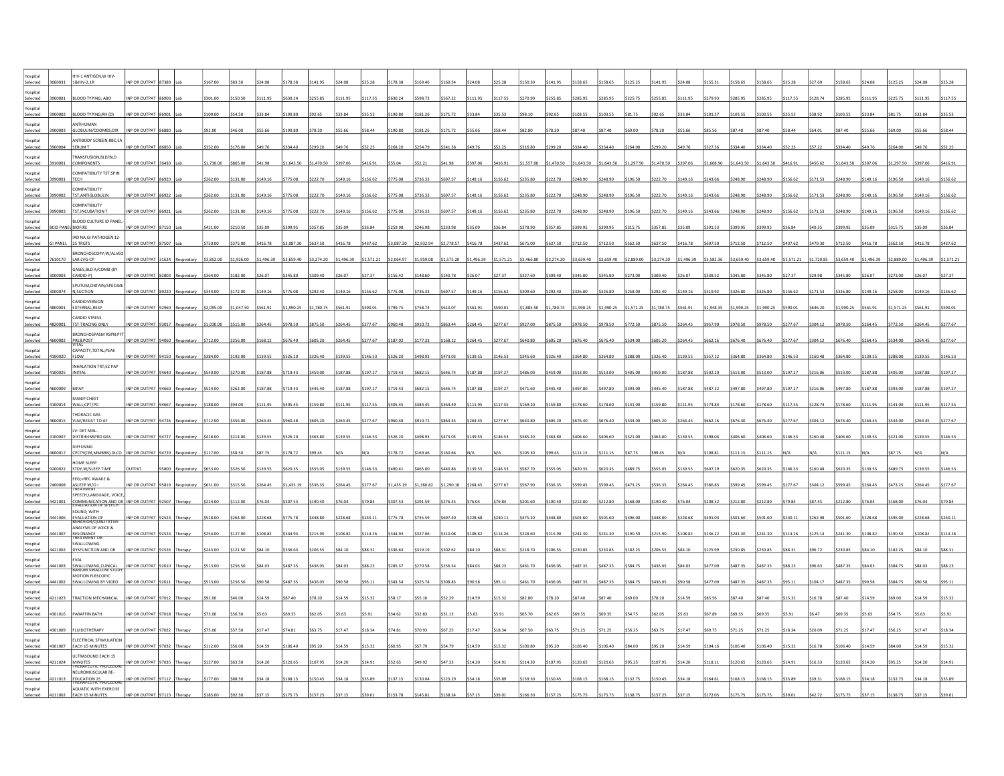| Selected             | 060031          | HIV-1 ANTIGEN, WHIV-<br>1&HIV-2,1R                      | INP OR OUTPAT 87389 |       |                        | \$167.00   | \$83.50    |            | 5178.38    | 141.95     |            |            |               |            |            |            |            | 150.30     | 141.95     | \$158.65   | \$158.65   | \$125.25   | \$141.95   |            |            |          |              |          |          |          |          |            |          |          |
|----------------------|-----------------|---------------------------------------------------------|---------------------|-------|------------------------|------------|------------|------------|------------|------------|------------|------------|---------------|------------|------------|------------|------------|------------|------------|------------|------------|------------|------------|------------|------------|----------|--------------|----------|----------|----------|----------|------------|----------|----------|
| letinzo              |                 |                                                         |                     |       |                        |            |            |            |            |            |            |            |               |            |            |            |            |            |            |            |            |            |            |            |            |          |              |          |          |          |          |            |          |          |
| Selected<br>Hospital |                 | <b>OD TYPING: ABC</b>                                   | NP OR OUTPAT        |       |                        | 301.00     | 150.50     | \$111.95   | 630.24     |            | \$111.95   | 117.5      |               |            |            |            | \$117.55   | 270.90     | 255.85     | \$285.95   | \$285.95   | \$225.75   | \$255.85   | \$111.95   | 279.93     |          |              |          |          |          | 111.95   |            |          |          |
| Selected             | 3900002         | <b>BLOOD TYPING:RH (D)</b>                              | INP OR OUTPAT 86901 |       |                        | \$109.00   | \$54.50    | \$33.84    | \$190.80   | \$92.65    | \$33.84    | \$35.53    | \$190.80      | 181.26     | \$171.72   | \$33.84    | \$35.53    | \$98.10    | \$92.65    | \$103.55   | 103.55     | \$81.75    | \$92.65    | \$33.84    | \$101.37   | 103.55   |              |          | 38.92    | 103.55   | \$33.84  |            |          |          |
| lospital<br>Selected | 8900003         | <b>NTIHUMAN</b><br>GLOBULIN/COOMBS;DIR                  | INP OR OUTPAT 86880 |       |                        | \$92.00    | \$46.00    | 555.66     | \$190.80   | \$78.20    | \$55.66    | \$58.44    | \$190.80      | 181.26     | \$171.72   |            | \$58.44    | \$82.80    | \$78.20    | \$87.40    | \$87.40    | \$69.00    | \$78.20    | \$55.66    | \$85.56    | \$87.40  |              |          |          |          |          |            |          |          |
| lospital             |                 | ANTIBODY SCREEN, RBC, EA                                |                     |       |                        |            |            |            |            |            |            |            |               |            |            |            |            |            |            |            |            |            |            |            |            |          |              |          |          |          |          |            |          |          |
| Selected<br>Hospital | 3900004         | SERUM T<br>FRANSFUSION.BLD/BLD                          | INP OR OUTPAT 86850 |       |                        | 352.00     | 176.00     | \$49.76    | \$334.40   | \$299.20   | \$49.76    |            | 268.2         |            |            |            | \$52.25    | \$316.80   | \$299.20   | \$334.40   | \$334.40   | \$264.00   | \$299.20   | \$49.76    | \$327.36   | 334.4    |              |          |          |          |          |            |          |          |
| Selected             | 3910001         | COMPONENTS                                              | INP OR OUTPAT 36430 |       |                        | \$1,730.00 | \$865.00   | \$41.98    | \$1,643.50 | 1,470.50   | \$397.06   | S416.9     |               |            |            |            | \$416.91   | \$1,557.00 | \$1,470.50 | \$1,643.50 | \$1,643.50 | \$1,297.50 | \$1,470.50 | \$397.06   | \$1,608.9  | 1.643.5  |              |          |          | .643.50  | 397.06   | 1.297.50   | 3397.06  |          |
| Hospital<br>Selected | 990001          | COMPATIBILITY TST;SPIN<br><b>TECH</b>                   | INP OR OUTPAT       |       |                        | \$262.00   | 131.00     | 149.16     | \$775.08   | 222.70     | \$149.16   | \$156.62   | 775.0         |            |            | \$149.16   | \$156.62   | \$235.80   | \$222.70   | \$248.90   | 248.90     | \$196.50   | \$222.70   | \$149.16   |            |          |              |          |          | 248.90   | 149.16   | 196.50     | 149.16   | 156.62   |
| lospital<br>Selected | 3990002         | <b>OMPATIBILITY</b><br>TST;ANTIGLOBULIN                 | INP OR OUTPAT 86922 |       |                        | 262.00     | 131.00     | \$149.16   | \$775.08   | \$222.70   | \$149.16   | \$156.62   | 775.08        | 736.33     | 697.57     | 3149.16    | \$156.62   | \$235.80   | \$222.70   | \$248.90   | 248.90     | \$196.50   | \$222.70   | \$149.16   |            |          |              |          | 71.53    | 248.90   | 149.16   | 196.50     | \$149.16 | 156.62   |
| Hospital             |                 | COMPATIBILITY                                           |                     |       |                        |            |            |            |            |            |            |            |               |            |            |            |            |            |            |            |            |            |            |            |            |          |              |          |          |          |          |            |          |          |
| Selected<br>ospital  |                 | 3990003 TST, INCUBATION T<br>BLOOD CULTURE ID PANE      | INP OR OUTPAT 86921 |       |                        | \$262.00   | \$131.00   | \$149.16   | \$775.08   | \$222.70   | \$149.16   | \$156.62   | \$775.08      | \$736.33   | \$697.57   | \$149.16   | \$156.62   | \$235.80   | \$222.70   | \$248.90   | \$248.90   | \$196.50   | \$222.70   | \$149.16   | \$243.66   |          |              |          | 171.53   | 248.90   | \$149.16 | \$196.50   | \$149.16 | \$156.62 |
| Selected             |                 | D PANEL BIOFIRE                                         | INP OR OUTPAT 87150 |       |                        | \$421.00   | \$210.50   | \$35.09    | \$399.95   | 357.85     |            | \$36.84    | 259.9         |            | 233.98     | 335.09     | \$36.84    | \$378.90   | \$357.85   | \$399.95   | \$399.95   | \$315.75   | \$357.85   |            |            |          |              |          |          |          |          | 315.75     | \$35.09  |          |
| IstinzoH<br>Selected | <b>SI PANEL</b> | IAD NA;GI PATHOGEN 12-<br>25 TRGTS                      | INP OR OUTPAT 87507 |       |                        | \$750.00   | \$375.00   | \$416.78   | \$3,087.30 | \$637.50   | \$416.78   | \$437.62   | \$3,087.30    | \$2,932.94 | \$2,778.57 | \$416.78   | \$437.62   | \$675.00   | \$637.50   | \$712.50   | \$712.50   | \$562.50   | \$637.50   | \$416.78   | \$697.50   |          |              | 437.62   | 479.30   | \$712.50 | \$416.78 | \$562.50   | \$416.78 | \$437.62 |
| lospital<br>Selected | 610170          | BRONCHOSCOPY;W/ALVEC<br>LAR LVG-CP                      | INP OR OUTPAT       |       |                        | \$3,852.00 | 1,926.00   | \$1,496.39 | \$3,659.40 | \$3,274.20 | \$1,496.39 | \$1,571.21 | 2.064.97      | 1.959.08   | 1,575.20   | \$1,496.39 | \$1,571.21 | \$3,466.80 | \$3,274.20 | \$3,659.40 | \$3,659.40 | \$2,889.00 | \$3,274.20 | \$1,496.39 | \$3,582.3  |          |              |          |          | 3.659.40 | ,496.39  | 2,889.00   | 1.496.39 |          |
| ospital              |                 | GASES, BLD A/COMB (BY                                   |                     |       |                        |            |            |            |            |            |            |            |               |            |            |            |            |            |            |            |            |            |            |            |            |          |              |          |          |          |          |            |          |          |
| Selected<br>IstinzoH |                 | CARDIO-P)<br><b>SPUTUM, OBTAIN/SPECIME</b>              | NP OR OUTPAT        |       |                        | \$364.00   | 182.00     | \$26.07    | \$345.80   | 309.40     |            |            | 156.4         | 148.60     | \$140.78   | \$26.07    | \$27.37    | \$327.60   | 309.40     | \$345.80   | \$345.80   | \$273.00   | \$309.40   | \$26.07    |            |          |              |          |          | 345.80   | 26.07    | 273.00     |          |          |
| Selected             | 3000074         | N,SUCTION                                               | INP OR OUTPAT 89220 |       | tespiratory            | \$344.00   | \$172.00   | \$149.16   | \$775.08   | \$292.40   | \$149.16   | \$156.62   | \$775.08      | 3736.33    | \$697.57   | \$149.16   | \$156.62   | \$309.60   | \$292.40   | \$326.80   | \$326.80   | \$258.00   | \$292.40   | \$149.16   | \$319.92   | 3326.80  | 326.80       | 156.62   | \$171.53 | \$326.80 | \$149.16 | \$258.00   | \$149.16 | 156.62   |
| lospital<br>Selected | 800001          | ARDIOVERSION<br>EXTERNAL, RESP                          | INP OR OUTPAT 92960 |       | Respiratory            | \$2,095.00 | \$1,047.50 | \$561.91   | \$1,990.25 | \$1,780.75 | \$561.91   | \$590.01   | \$799.75      | \$758.74   | 610.07     | \$561.91   | \$590.01   | \$1,885.50 | \$1,780.75 | \$1,990.25 | \$1,990.25 | \$1,571.25 | \$1,780.75 | \$561.91   | \$1,948.35 | 1,990.25 | .990.25      |          | 646.20   | 1,990.25 | \$561.91 | \$1,571.25 | \$561.91 | \$590.0  |
| ospital              |                 | ARDIO STRESS                                            |                     |       |                        |            |            |            |            |            |            |            |               |            |            |            |            |            |            |            |            |            |            |            |            |          |              |          |          |          |          |            |          |          |
| Selected<br>Hospital | 1820001         | TST:TRACING ONLY<br>BRONCHOSPASM RSPN;PFT               | INP OR OUTPAT 93017 |       | Respiratory \$1,030.00 |            | \$515.00   | \$264.45   | \$978.50   | \$875.50   | \$264.45   | \$277.67   | \$960.4       | 910.72     | \$863.44   | 3264.45    | \$277.67   | \$927.00   | \$875.50   | \$978.50   | \$978.50   | \$772.50   | \$875.50   | \$264.45   |            |          |              |          |          | 978.50   | \$264.45 | \$772.50   | \$264.45 |          |
| Selected             | 1600002         | PRE&POST                                                | INP OR OUTPAT 94060 |       | espiratory             | \$712.00   | 356.00     | \$168.12   | \$676.40   | \$605.20   | \$264.45   | \$277.6    | \$187.0       |            |            | 264.45     | \$277.67   | \$640.80   | \$605.20   | \$676.40   | \$676.40   | \$534.00   | \$605.20   | \$264.45   | \$662.1    |          |              |          |          |          | 264.45   | 534.00     | \$264.45 | 277.67   |
| Hospital<br>Selected |                 | CAPACITY, TOTAL; PEAK<br>FLOW                           | INP OR OUTPAT 94150 |       | Respiratory            | \$384.00   | 192.00     | \$139.55   | \$526.20   | \$326.40   | \$139.55   | \$146.53   | \$526.2       |            |            | \$139.55   | \$146.53   | \$345.60   | \$326.40   | \$364.80   | \$364.80   | \$288.00   | \$326.40   | \$139.55   | \$357.1    |          |              |          |          |          | 139.55   | 288.00     | 139.55   | \$146.53 |
| lospital<br>Selected |                 | NHALATION TRT;EZ PAP<br><b>NITIAL</b>                   | INP OR OUTPA        |       |                        | \$540.00   | 270.00     | \$187.88   | \$719.43   | \$459.00   | \$187.88   | \$197.27   | 719.4         |            |            | 187.88     | \$197.27   | \$486.00   | 459.00     | \$513.00   | \$513.00   | \$405.00   | \$459.00   | \$187.88   |            |          |              |          |          | 513.00   | 187.88   | 405.00     | \$187.88 | 197.2    |
| Hospital             |                 |                                                         |                     |       |                        |            |            |            |            |            |            |            |               |            |            |            |            |            |            |            |            |            |            |            |            |          |              |          |          |          |          |            |          |          |
| Selected             | 1600009         | BIPAP                                                   | INP OR OUTPAT 94660 |       | Respiratory \$524.00   |            | \$262.00   | \$187.88   | \$719.43   | \$445.40   | \$187.88   | \$197.27   | \$719.43      | \$682.15   | \$646.74   | \$187.88   | \$197.27   | \$471.60   | \$445.40   | \$497.80   | \$497.80   | \$393.00   | \$445.40   | \$187.88   | \$487.32   | \$497.80 | \$497.80     | \$197.27 | \$216.06 | \$497.80 | \$187.88 | \$393.00   | \$187.88 | \$197.27 |
| lospital<br>Selected | 100014          | MANIP CHEST<br>WALL;CPT/PD                              | NP OR OUTPAT 94667  |       | Respiratory            | \$188.00   | \$94.00    | \$111.95   | \$405.45   | 159.80     | \$111.95   | \$117.55   | 405.45        | 384.45     |            | \$111.95   | \$117.55   | \$169.20   | \$159.80   | \$178.60   | \$178.60   | \$141.00   | \$159.80   | \$111.95   | \$174.84   | 178.60   | 178.60       | 117.55   | 128.74   | 178.60   | \$111.95 | 141.00     | \$111.95 | \$117.55 |
| lospital<br>Selected | 1600015         | HORACIC GAS<br>VLM/RESIST TO AP                         | INP OR OUTPAT 94726 |       |                        | \$712.00   | 356.00     | \$264.45   | \$960.48   | 605.20     | \$264.45   | \$277.67   | 960 4         | 91072      | 863 44     | \$264.45   | \$277.67   | \$640.80   | 605.20     | \$676.40   | 676.40     | \$534.00   | \$605.20   | \$264.45   | \$662.16   |          |              |          |          | 676.40   | 264 45   | 5534.00    | \$264.45 | 277.67   |
| lospital             |                 | LV: DET MAL-                                            |                     |       |                        |            |            |            |            |            |            |            |               |            |            |            |            |            |            |            |            |            |            |            |            |          |              |          |          |          |          |            |          |          |
| Selected<br>lospital |                 | <b>DISTRIB:INSPRD</b><br>DIFFUSING                      | INP OR OUTPAT       | 94727 |                        | 428.0      | \$214.00   | \$139.55   | \$526.20   | \$363.80   | \$139.55   | \$146.53   | 526.2         | 498.93     | \$473.03   | \$139.55   | \$146.53   | \$385.20   | \$363.80   | \$406.60   | \$406.60   | \$321.00   | \$363.80   | \$139.55   | \$398.04   |          |              |          |          | 406.60   | \$139.55 | \$321.0    | 139.55   |          |
| Selected             |                 | CPCTY(CM,MM<br>N) DLCC                                  | INP OR OUTPAT       |       |                        | 117.00     | 558.50     | \$87.75    | \$178.72   | \$99.45    |            |            | 178.72        |            |            |            |            | 105.30     | 99.45      | \$111.15   | \$111.15   | \$87.75    | \$99.45    |            |            |          |              |          |          | 111.15   |          |            |          |          |
| Istinzol<br>Selected | 00022           | <b>OME SLEEP</b><br>STDY, W/SLEEP TIME                  | <b>IITPAT</b>       |       |                        | 00.533     | 326.50     | \$139.55   | \$620.35   | 555.05     | \$139.55   | \$146.53   | 490 41        | 465.00     | 440.86     | \$139.55   | \$146.53   | \$587.70   | 555.05     | \$620.35   | \$620.35   | \$489.75   | \$555.05   | \$139.55   | \$607.29   |          |              | 146.53   | 16048    | 620.35   | \$139.55 | 489.75     | 139.55   |          |
| lospital<br>Selected | 400008          | EEG;+REC AWAKE &                                        | INP OR OUTPAT 95819 |       |                        | \$631.00   | \$315.50   | \$264.45   | \$1,435.19 | \$536.35   | \$264.45   | \$277.67   | \$1,435.19    | \$1,360.82 | \$1,290.18 | \$264.45   | \$277.67   | \$567.90   | \$536.35   | \$599.45   | \$599.45   | \$473.25   | \$536.35   | \$264.45   | \$586.83   | 599.45   |              | 277.67   | 304.12   | 599.45   | \$264.45 | \$473.25   | \$264.45 | 277.67   |
| lospital             |                 | ASLEEP W/O I<br>SPEECH, LANGUAGE, VOICE                 |                     |       |                        |            |            |            |            |            |            |            |               |            |            |            |            |            |            |            |            |            |            |            |            |          |              |          |          |          |          |            |          |          |
| Selected<br>Hospital | 1421001         | COMMUNICATION AND OR INP OR OUTPAT 92507<br>SOUND: WITH |                     |       |                        | \$224.00   | \$112.00   | \$76.04    | \$307.53   | \$190.40   | \$76.04    | \$79.84    | \$307.53      | \$291.59   |            | \$76.04    | \$79.84    | \$201.60   | \$190.40   | \$212.80   | \$212.80   | \$168.00   | \$190.40   | \$76.04    | \$208.32   |          |              |          |          | 212.80   | \$76.04  | 168.00     | \$76.04  |          |
| Selected             | 4441006         | EVALUATION OF<br>BEHAVIOR/QUALITATIVI                   | INP OR OUTPAT 92523 |       |                        | \$528.00   | 264.00     | \$228.68   | \$775.78   | \$448.80   | \$228.68   | \$240.1    | 775.7         |            |            | \$228.68   | \$240.11   | \$475.20   | \$448.80   | \$501.60   | \$501.60   | \$396.00   | \$448.80   | \$228.68   | \$491.04   |          |              |          |          |          | 228.68   | 396.00     | 228.68   |          |
| Hospital<br>Selected | 1441007         | ANALYSIS OF VOICE &<br>RESONANCE<br>TREATMENT OR        | INP OR OUTPAT 92524 |       |                        | \$254.0    | 127.00     | \$108.82   | \$344.93   | \$215.90   | \$108.82   | \$114.2    | 344.9         |            |            | \$108.82   | \$114.26   | \$228.60   | \$215.90   | \$241.30   | \$241.30   | \$190.50   | \$215.90   | \$108.82   | \$236.2    |          |              |          |          |          | 08.82    | 190.50     | 108.82   |          |
| lospital             |                 | SWALLOWING                                              |                     |       |                        |            |            |            |            |            |            |            |               |            |            |            |            |            |            |            |            |            |            |            |            |          |              |          |          |          |          |            |          |          |
| Selected<br>IstinzoH | 421002          | DYSFUNCTION AND OR<br><b>VAI</b>                        | INP OR OUTPA        |       |                        |            | 121.50     | \$84.10    | \$336.63   | \$206.55   | \$84.10    | \$88.31    | 336.63        | 319.19     |            |            | \$88.31    | 218.70     | 206.55     | \$230.85   | \$230.85   | \$182.25   | \$206.55   | \$84.10    |            |          |              |          |          |          |          |            |          |          |
| Selected             | 1441003         | SWALLOWING, CLINICAL<br>BARIUM SWALLOW STUDY            | INP OR OUTPAT 92610 |       |                        |            | 256.50     | \$84.03    | \$487.35   | \$436.05   | \$84.03    | \$88.23    | \$285.37      |            |            | \$84.03    | \$88.23    | \$461.70   | \$436.05   | \$487.35   | \$487.35   | 3384.75    | \$436.05   | \$84.03    |            |          |              |          |          |          |          |            | 84.03    |          |
| Hospital<br>Selected | 1441002         | MOTION FLRSCOPIC<br>SWALLOWING BY VIDEO                 | INP OR OUTPAT 92611 |       |                        | 513.00     | \$256.50   | \$90.58    | \$487.35   | \$436.05   | \$90.58    | \$95.11    | \$343.54      | \$325.74   | 308.83     | \$90.58    | \$95.11    | \$461.70   | \$436.05   | \$487.35   | \$487.35   | \$384.75   | \$436.05   | \$90.58    | \$477.09   | 487.3    |              |          |          |          | 90.58    | 384.75     | \$90.58  |          |
| ospital<br>Selected  | 4211023         | TRACTION MECHANICAL                                     | INP OR OUTPAT 97012 |       |                        |            | 46.00      | \$14.59    | \$87.40    | \$78.20    | \$14.59    | \$15.32    | \$58.17       | 55.16      |            | \$14.59    | \$15.32    | \$82.80    | \$78.20    | \$87.40    | \$87.40    | \$69.00    | \$78.20    | \$14.59    | \$85.56    | \$87.40  |              |          |          |          |          |            |          |          |
| IstinzoH             |                 |                                                         |                     |       |                        |            |            |            |            |            |            |            |               |            |            |            |            |            |            |            |            |            |            |            |            |          |              |          |          |          |          |            |          |          |
| Selected             | 4301016         | PARAFFIN BATH                                           | INP OR OUTPAT 97018 |       |                        |            | 36.50      | \$5.63     | \$69.35    | \$62.05    | \$5.63     | \$5.91     | \$34.62       | \$32.83    | 531 13     | \$5.63     | \$5.91     | \$65.70    | \$62.05    | \$69.35    | \$69.35    | \$54.75    | \$62.05    | \$5.63     | \$67.89    | \$69.35  | <b>F PA:</b> |          |          |          |          |            |          |          |
| Hospital<br>Selected |                 | LUIDOTHERAPY                                            | NP OR OUTPAT 97022  |       |                        |            | 37.50      | 17.47      | \$74.81    | 63.75      | \$17.47    | \$18.34    | 74.81         | 70.93      | 67.25      | \$17.47    | \$18.34    | \$67.50    | \$63.75    | \$71.25    | 571.25     | \$56.25    | \$63.75    | \$17.47    | \$69.75    | 71.25    | 71.21        | 348.34   |          |          | 17.47    |            |          |          |
| letigor<br>Selected  | 301007          | ELECTRICAL STIMULATION<br><b>EACH 15 MINUTES</b>        | INP OR OUTPAT 97032 |       |                        | 112.00     | 56.00      | 14 59      | 106.40     | \$95.20    | \$14.59    | \$15.32    | <b>2P 032</b> | 57 79      | 54.79      | \$14.59    | \$15.32    | \$100.80   | \$95.20    | \$106.40   | 106.40     | \$84.00    | \$95.20    | \$14.59    | 104 16     | 106.40   |              | 1532     | 16.78    | 106.40   | 14.59    | tea nn     |          |          |
| Hospital             |                 | <b>ILTRASOUND EACH 15</b>                               |                     |       |                        |            |            |            |            |            |            |            |               |            |            |            |            |            |            |            |            |            |            |            |            |          |              |          |          |          |          |            |          |          |
| Selected<br>lospital | 4211024         | MINUTES<br>THERAPEUTIC PROCEDU<br>NEUROMUSCULAR RE-     | INP OR OUTPAT 97035 |       |                        | \$127.00   | \$63.50    | \$14.20    | \$120.65   | \$107.95   | \$14.20    | \$14.91    | \$52.65       | \$49.92    | \$47.33    | \$14.20    | \$14.91    | \$114.30   | \$107.95   | \$120.65   | \$120.65   | \$95.25    | \$107.95   | \$14.20    | \$118.11   | 120.65   | 120.65       | \$14.91  | \$16.33  | 120.65   | \$14.20  | \$95.25    |          |          |
| Selected             | 1211013         | EDUCATION 15                                            | NP OR OUTPAT 97112  |       |                        |            |            |            | 168.15     | 150.45     | 34.18      | \$35.89    | 137.1         |            |            |            |            | 159.30     | 150.45     | \$168.15   | \$168.15   | \$132.75   | \$150.45   | \$34.18    |            |          |              |          |          |          |          |            |          |          |
| ispital              |                 | <b>AQUATIC WITH EXERCISE</b><br><b>EACH 15 MINUTES</b>  |                     |       |                        |            |            |            |            |            |            |            |               |            |            |            |            |            |            |            |            |            |            |            |            |          |              |          |          |          |          |            |          |          |